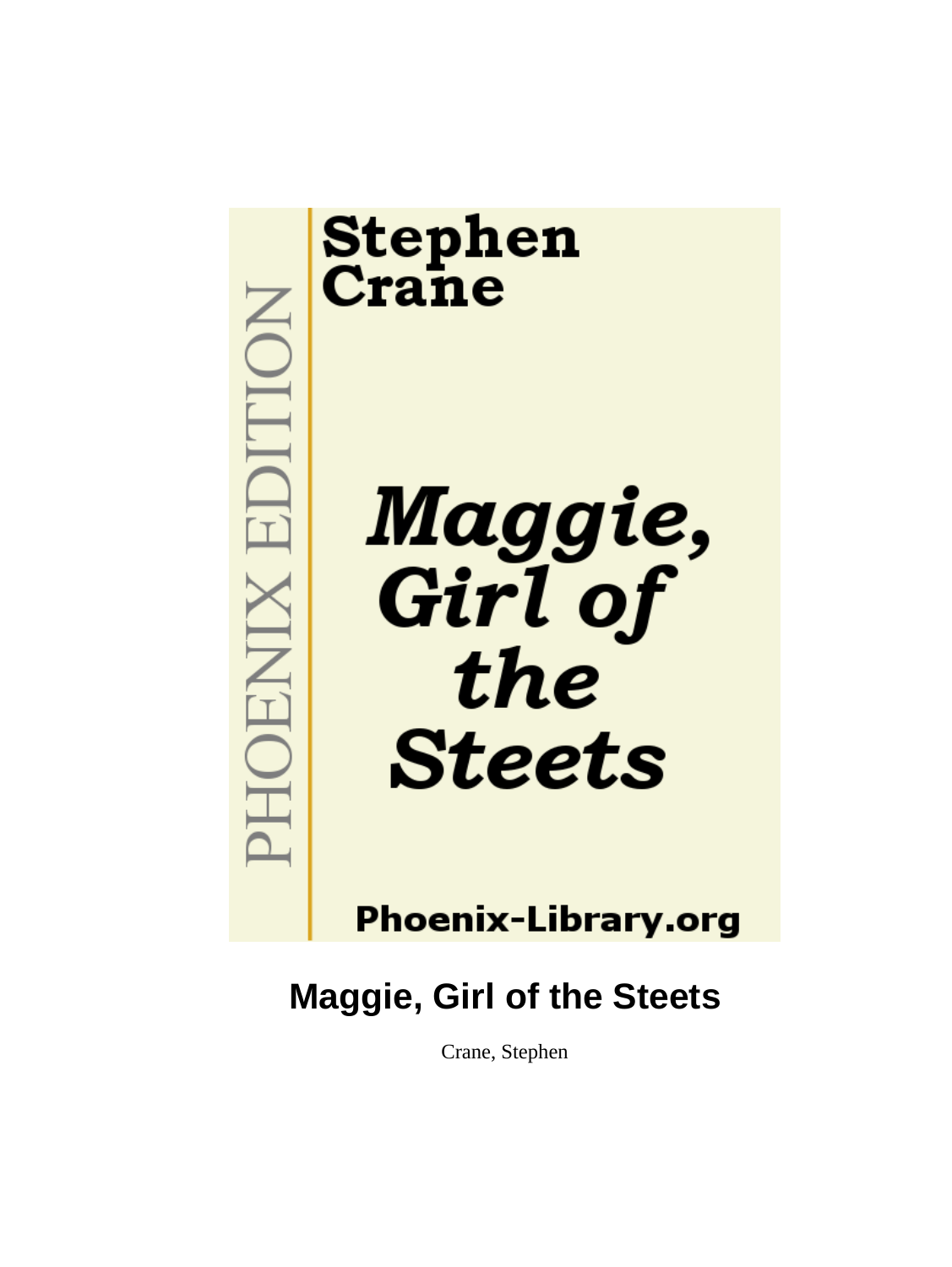

# **Stephen**<br>Crane

Maggie,<br>Girl of the **Steets** 

## **Phoenix-Library.org**

## **Maggie, Girl of the Steets**

Crane, Stephen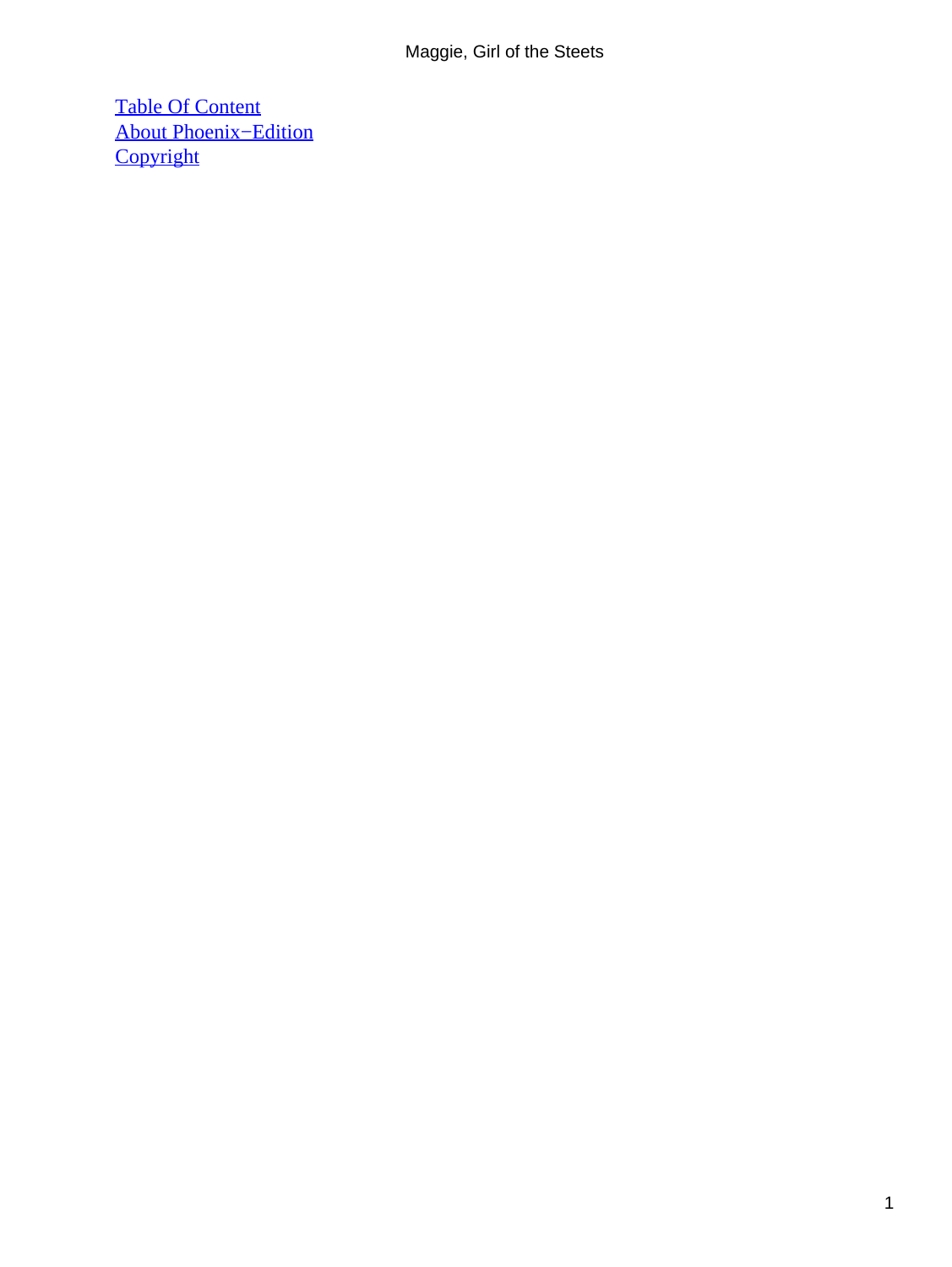[Table Of Content](#page-67-0) [About Phoenix−Edition](#page-68-0) **[Copyright](#page-71-0)**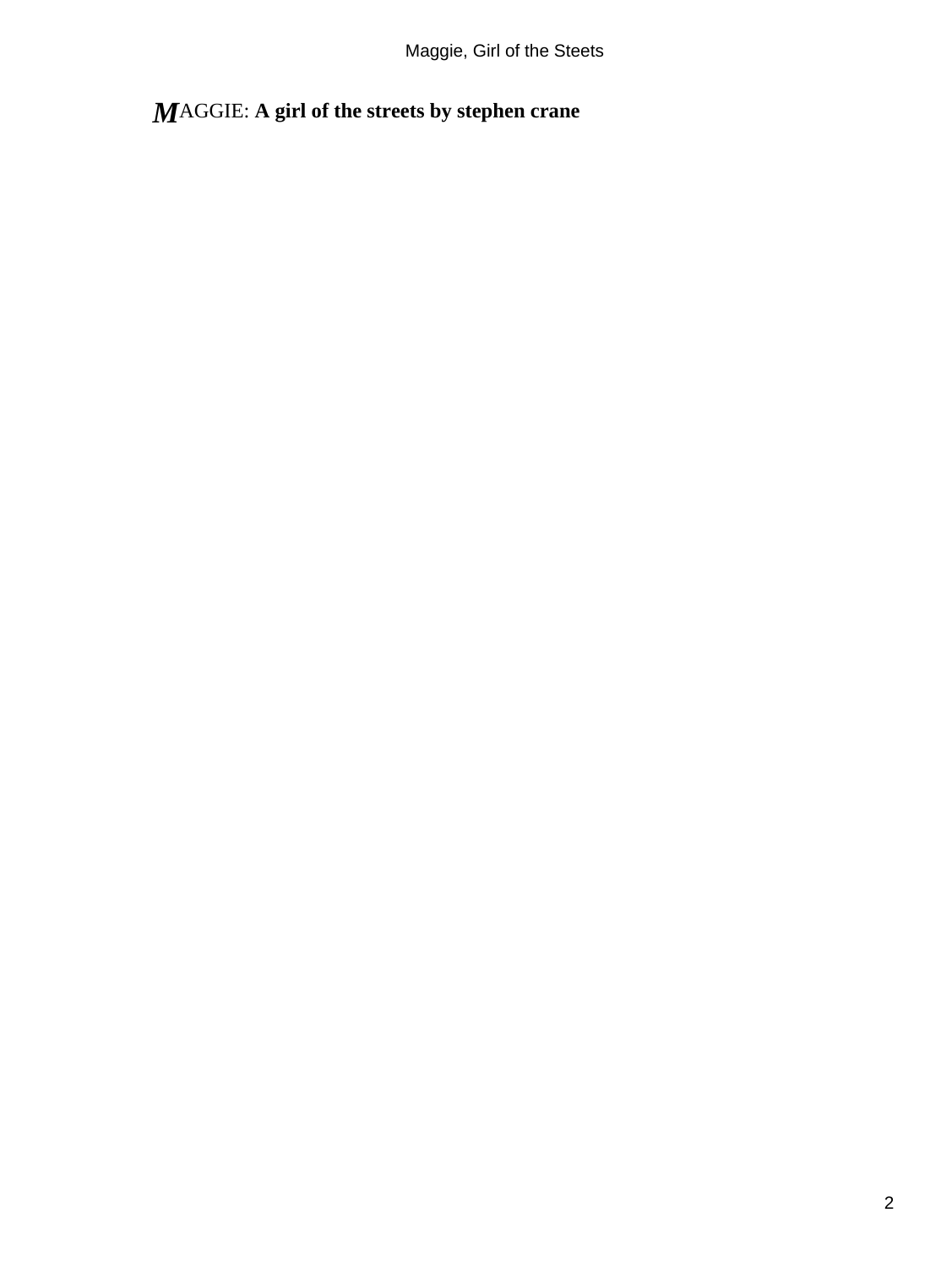### *M*AGGIE: **A girl of the streets by stephen crane**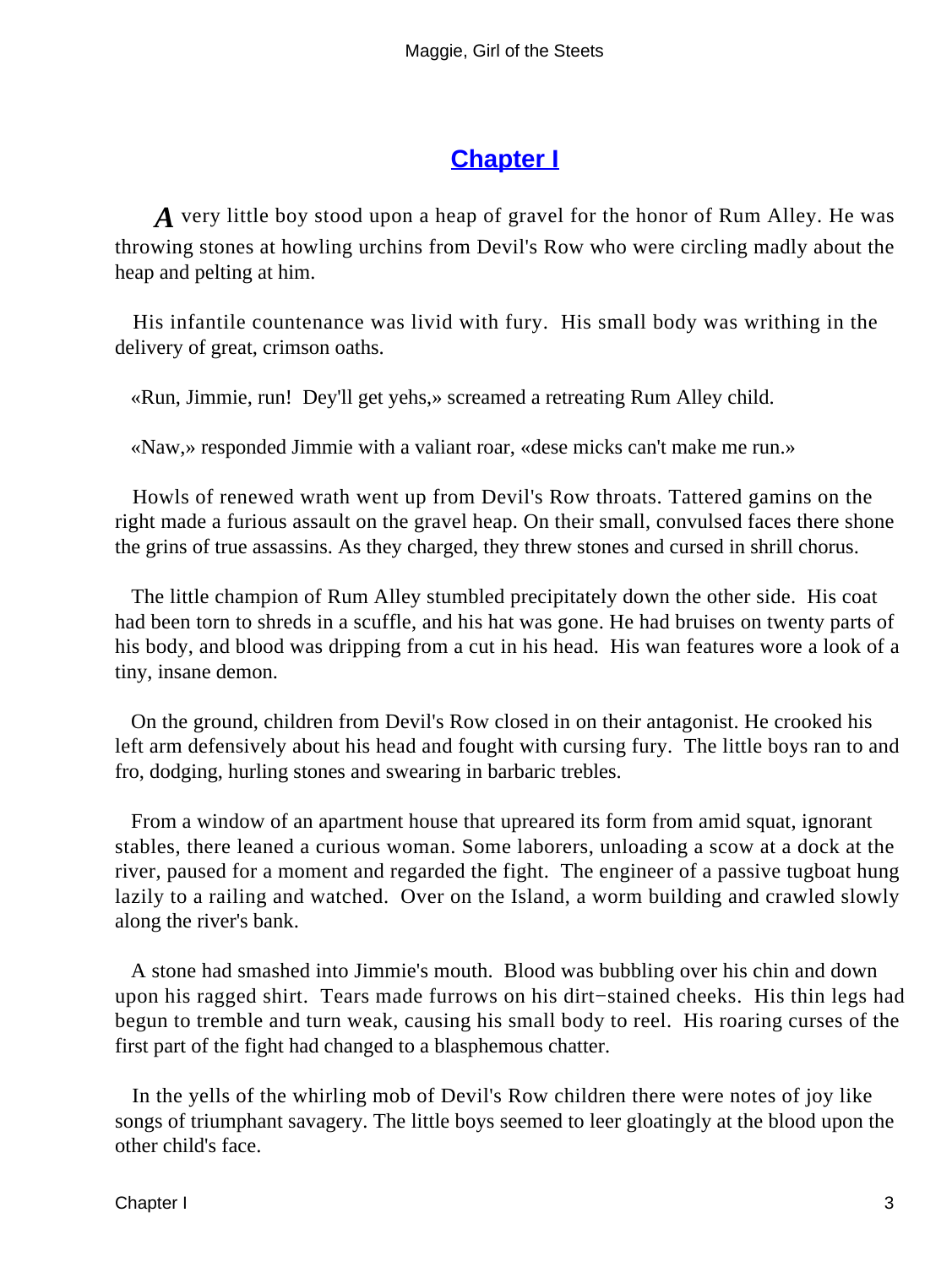#### **[Chapter I](#page-67-0)**

*A* very little boy stood upon a heap of gravel for the honor of Rum Alley. He was throwing stones at howling urchins from Devil's Row who were circling madly about the heap and pelting at him.

 His infantile countenance was livid with fury. His small body was writhing in the delivery of great, crimson oaths.

«Run, Jimmie, run! Dey'll get yehs,» screamed a retreating Rum Alley child.

«Naw,» responded Jimmie with a valiant roar, «dese micks can't make me run.»

 Howls of renewed wrath went up from Devil's Row throats. Tattered gamins on the right made a furious assault on the gravel heap. On their small, convulsed faces there shone the grins of true assassins. As they charged, they threw stones and cursed in shrill chorus.

 The little champion of Rum Alley stumbled precipitately down the other side. His coat had been torn to shreds in a scuffle, and his hat was gone. He had bruises on twenty parts of his body, and blood was dripping from a cut in his head. His wan features wore a look of a tiny, insane demon.

 On the ground, children from Devil's Row closed in on their antagonist. He crooked his left arm defensively about his head and fought with cursing fury. The little boys ran to and fro, dodging, hurling stones and swearing in barbaric trebles.

 From a window of an apartment house that upreared its form from amid squat, ignorant stables, there leaned a curious woman. Some laborers, unloading a scow at a dock at the river, paused for a moment and regarded the fight. The engineer of a passive tugboat hung lazily to a railing and watched. Over on the Island, a worm building and crawled slowly along the river's bank.

 A stone had smashed into Jimmie's mouth. Blood was bubbling over his chin and down upon his ragged shirt. Tears made furrows on his dirt−stained cheeks. His thin legs had begun to tremble and turn weak, causing his small body to reel. His roaring curses of the first part of the fight had changed to a blasphemous chatter.

 In the yells of the whirling mob of Devil's Row children there were notes of joy like songs of triumphant savagery. The little boys seemed to leer gloatingly at the blood upon the other child's face.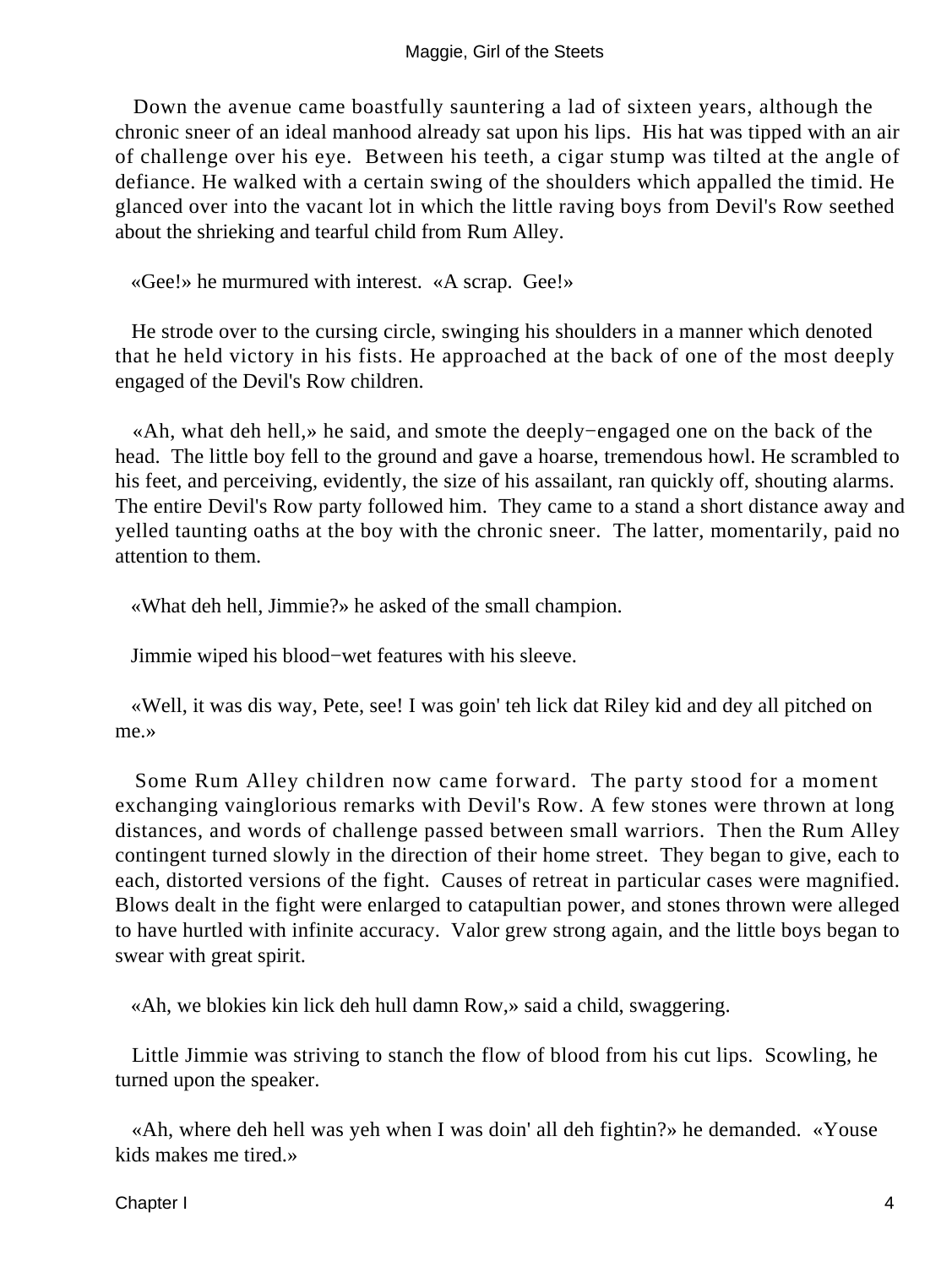Down the avenue came boastfully sauntering a lad of sixteen years, although the chronic sneer of an ideal manhood already sat upon his lips. His hat was tipped with an air of challenge over his eye. Between his teeth, a cigar stump was tilted at the angle of defiance. He walked with a certain swing of the shoulders which appalled the timid. He glanced over into the vacant lot in which the little raving boys from Devil's Row seethed about the shrieking and tearful child from Rum Alley.

«Gee!» he murmured with interest. «A scrap. Gee!»

 He strode over to the cursing circle, swinging his shoulders in a manner which denoted that he held victory in his fists. He approached at the back of one of the most deeply engaged of the Devil's Row children.

 «Ah, what deh hell,» he said, and smote the deeply−engaged one on the back of the head. The little boy fell to the ground and gave a hoarse, tremendous howl. He scrambled to his feet, and perceiving, evidently, the size of his assailant, ran quickly off, shouting alarms. The entire Devil's Row party followed him. They came to a stand a short distance away and yelled taunting oaths at the boy with the chronic sneer. The latter, momentarily, paid no attention to them.

«What deh hell, Jimmie?» he asked of the small champion.

Jimmie wiped his blood−wet features with his sleeve.

 «Well, it was dis way, Pete, see! I was goin' teh lick dat Riley kid and dey all pitched on me.»

 Some Rum Alley children now came forward. The party stood for a moment exchanging vainglorious remarks with Devil's Row. A few stones were thrown at long distances, and words of challenge passed between small warriors. Then the Rum Alley contingent turned slowly in the direction of their home street. They began to give, each to each, distorted versions of the fight. Causes of retreat in particular cases were magnified. Blows dealt in the fight were enlarged to catapultian power, and stones thrown were alleged to have hurtled with infinite accuracy. Valor grew strong again, and the little boys began to swear with great spirit.

«Ah, we blokies kin lick deh hull damn Row,» said a child, swaggering.

 Little Jimmie was striving to stanch the flow of blood from his cut lips. Scowling, he turned upon the speaker.

 «Ah, where deh hell was yeh when I was doin' all deh fightin?» he demanded. «Youse kids makes me tired.»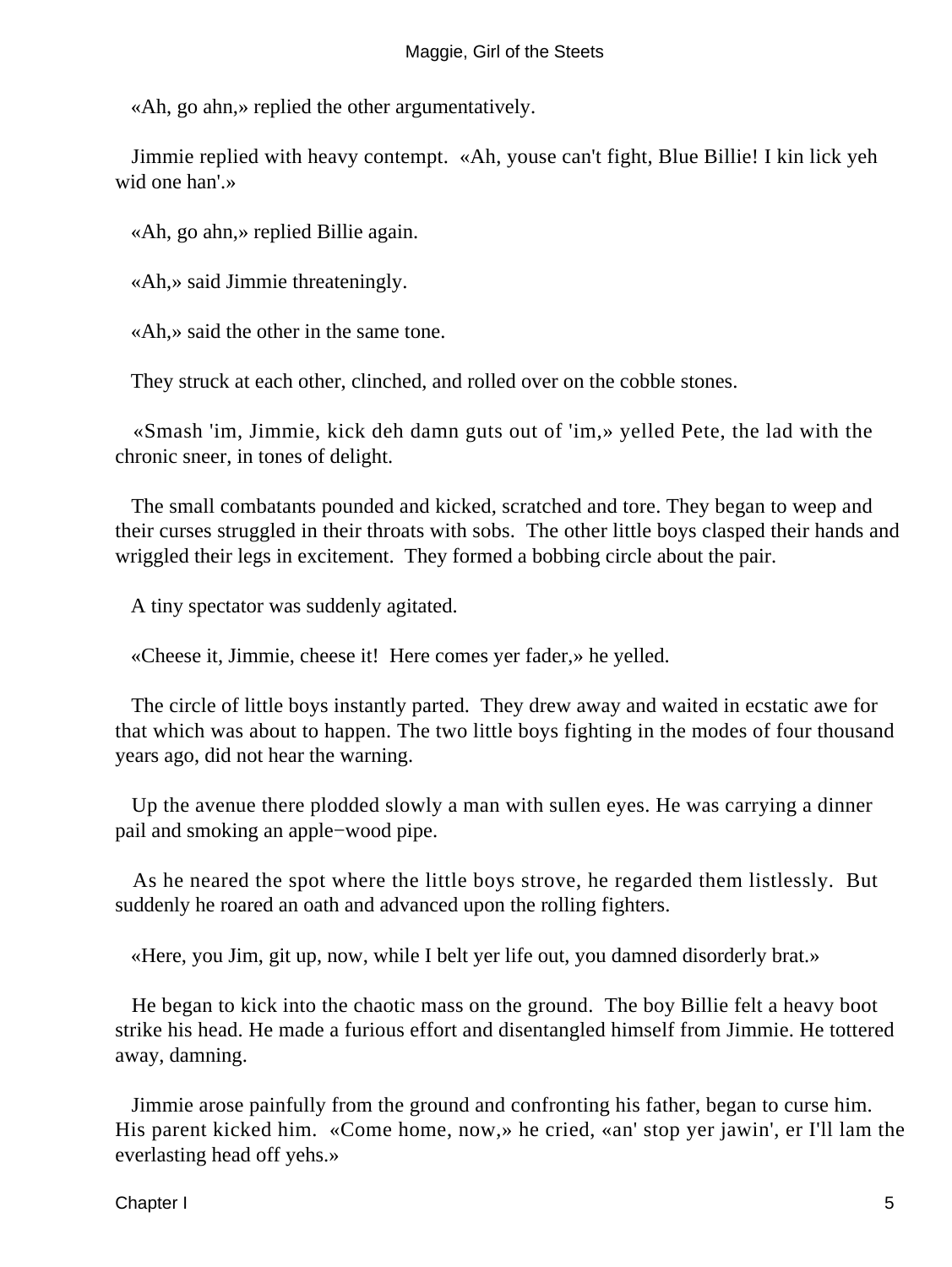«Ah, go ahn,» replied the other argumentatively.

 Jimmie replied with heavy contempt. «Ah, youse can't fight, Blue Billie! I kin lick yeh wid one han'.»

«Ah, go ahn,» replied Billie again.

«Ah,» said Jimmie threateningly.

«Ah,» said the other in the same tone.

They struck at each other, clinched, and rolled over on the cobble stones.

 «Smash 'im, Jimmie, kick deh damn guts out of 'im,» yelled Pete, the lad with the chronic sneer, in tones of delight.

 The small combatants pounded and kicked, scratched and tore. They began to weep and their curses struggled in their throats with sobs. The other little boys clasped their hands and wriggled their legs in excitement. They formed a bobbing circle about the pair.

A tiny spectator was suddenly agitated.

«Cheese it, Jimmie, cheese it! Here comes yer fader,» he yelled.

 The circle of little boys instantly parted. They drew away and waited in ecstatic awe for that which was about to happen. The two little boys fighting in the modes of four thousand years ago, did not hear the warning.

 Up the avenue there plodded slowly a man with sullen eyes. He was carrying a dinner pail and smoking an apple−wood pipe.

 As he neared the spot where the little boys strove, he regarded them listlessly. But suddenly he roared an oath and advanced upon the rolling fighters.

«Here, you Jim, git up, now, while I belt yer life out, you damned disorderly brat.»

 He began to kick into the chaotic mass on the ground. The boy Billie felt a heavy boot strike his head. He made a furious effort and disentangled himself from Jimmie. He tottered away, damning.

 Jimmie arose painfully from the ground and confronting his father, began to curse him. His parent kicked him. «Come home, now,» he cried, «an' stop yer jawin', er I'll lam the everlasting head off yehs.»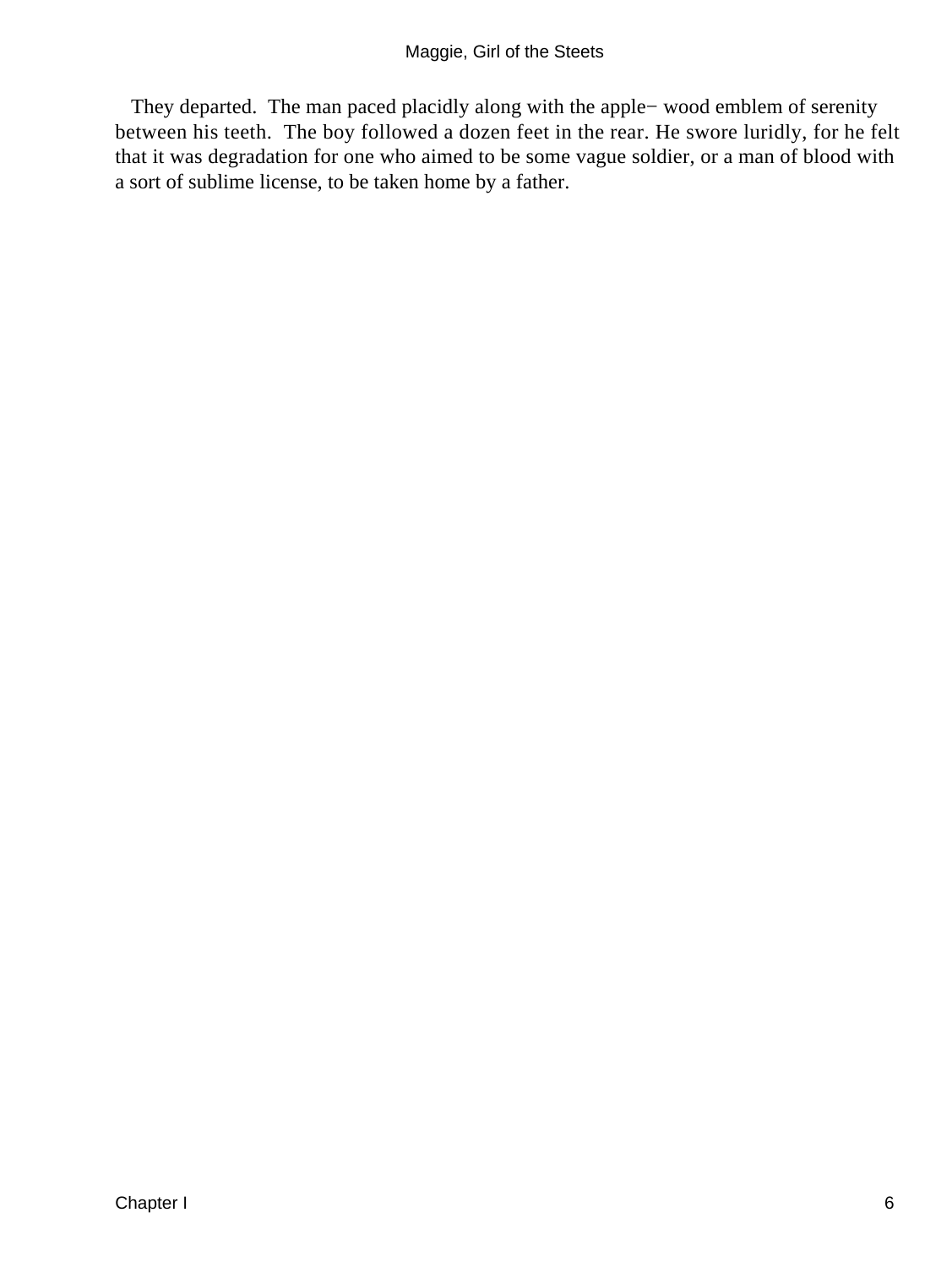They departed. The man paced placidly along with the apple− wood emblem of serenity between his teeth. The boy followed a dozen feet in the rear. He swore luridly, for he felt that it was degradation for one who aimed to be some vague soldier, or a man of blood with a sort of sublime license, to be taken home by a father.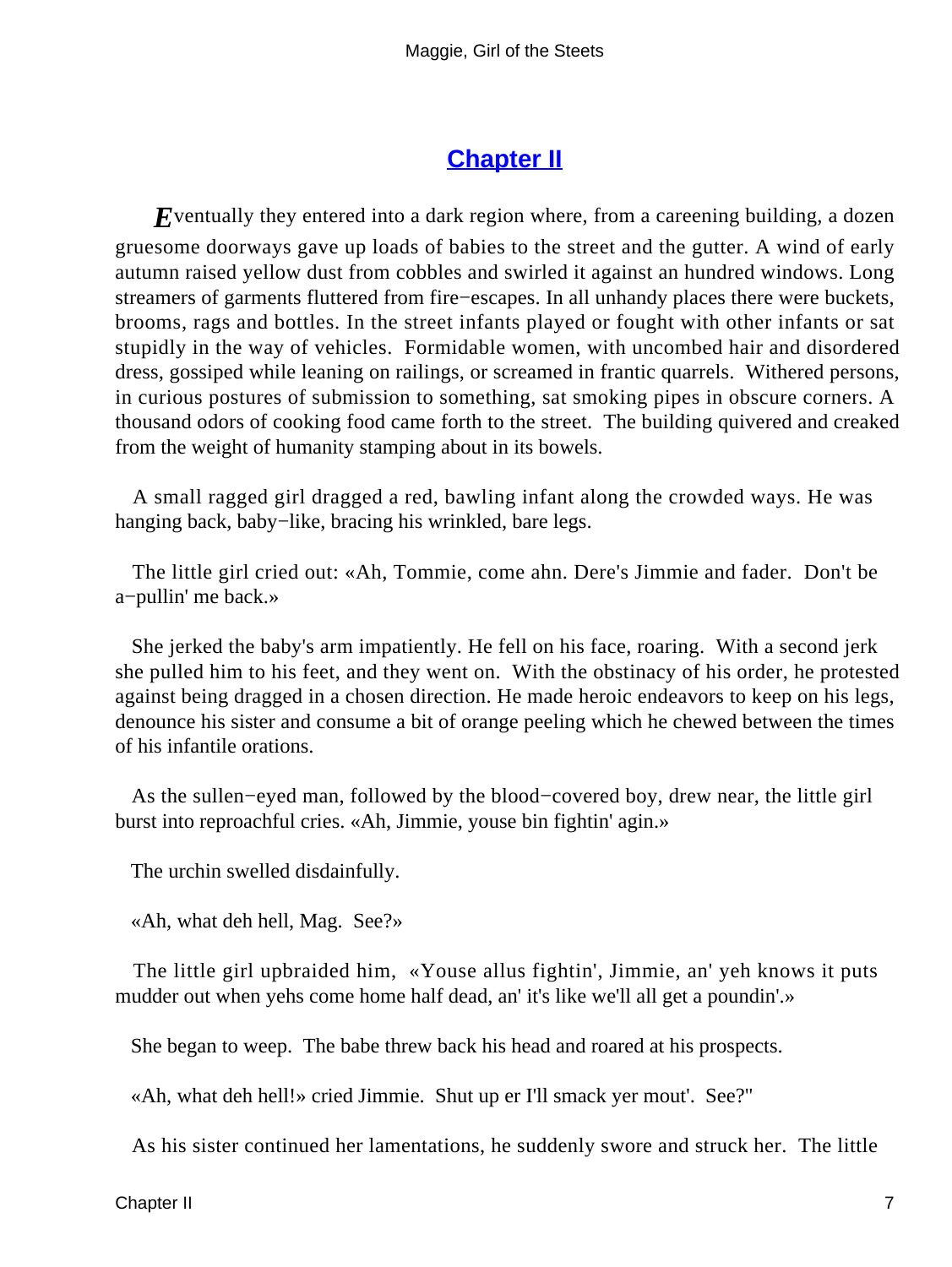#### **[Chapter II](#page-67-0)**

*E*ventually they entered into a dark region where, from a careening building, a dozen gruesome doorways gave up loads of babies to the street and the gutter. A wind of early autumn raised yellow dust from cobbles and swirled it against an hundred windows. Long streamers of garments fluttered from fire−escapes. In all unhandy places there were buckets, brooms, rags and bottles. In the street infants played or fought with other infants or sat stupidly in the way of vehicles. Formidable women, with uncombed hair and disordered dress, gossiped while leaning on railings, or screamed in frantic quarrels. Withered persons, in curious postures of submission to something, sat smoking pipes in obscure corners. A thousand odors of cooking food came forth to the street. The building quivered and creaked from the weight of humanity stamping about in its bowels.

 A small ragged girl dragged a red, bawling infant along the crowded ways. He was hanging back, baby−like, bracing his wrinkled, bare legs.

 The little girl cried out: «Ah, Tommie, come ahn. Dere's Jimmie and fader. Don't be a−pullin' me back.»

 She jerked the baby's arm impatiently. He fell on his face, roaring. With a second jerk she pulled him to his feet, and they went on. With the obstinacy of his order, he protested against being dragged in a chosen direction. He made heroic endeavors to keep on his legs, denounce his sister and consume a bit of orange peeling which he chewed between the times of his infantile orations.

 As the sullen−eyed man, followed by the blood−covered boy, drew near, the little girl burst into reproachful cries. «Ah, Jimmie, youse bin fightin' agin.»

The urchin swelled disdainfully.

«Ah, what deh hell, Mag. See?»

 The little girl upbraided him, «Youse allus fightin', Jimmie, an' yeh knows it puts mudder out when yehs come home half dead, an' it's like we'll all get a poundin'.»

She began to weep. The babe threw back his head and roared at his prospects.

«Ah, what deh hell!» cried Jimmie. Shut up er I'll smack yer mout'. See?"

As his sister continued her lamentations, he suddenly swore and struck her. The little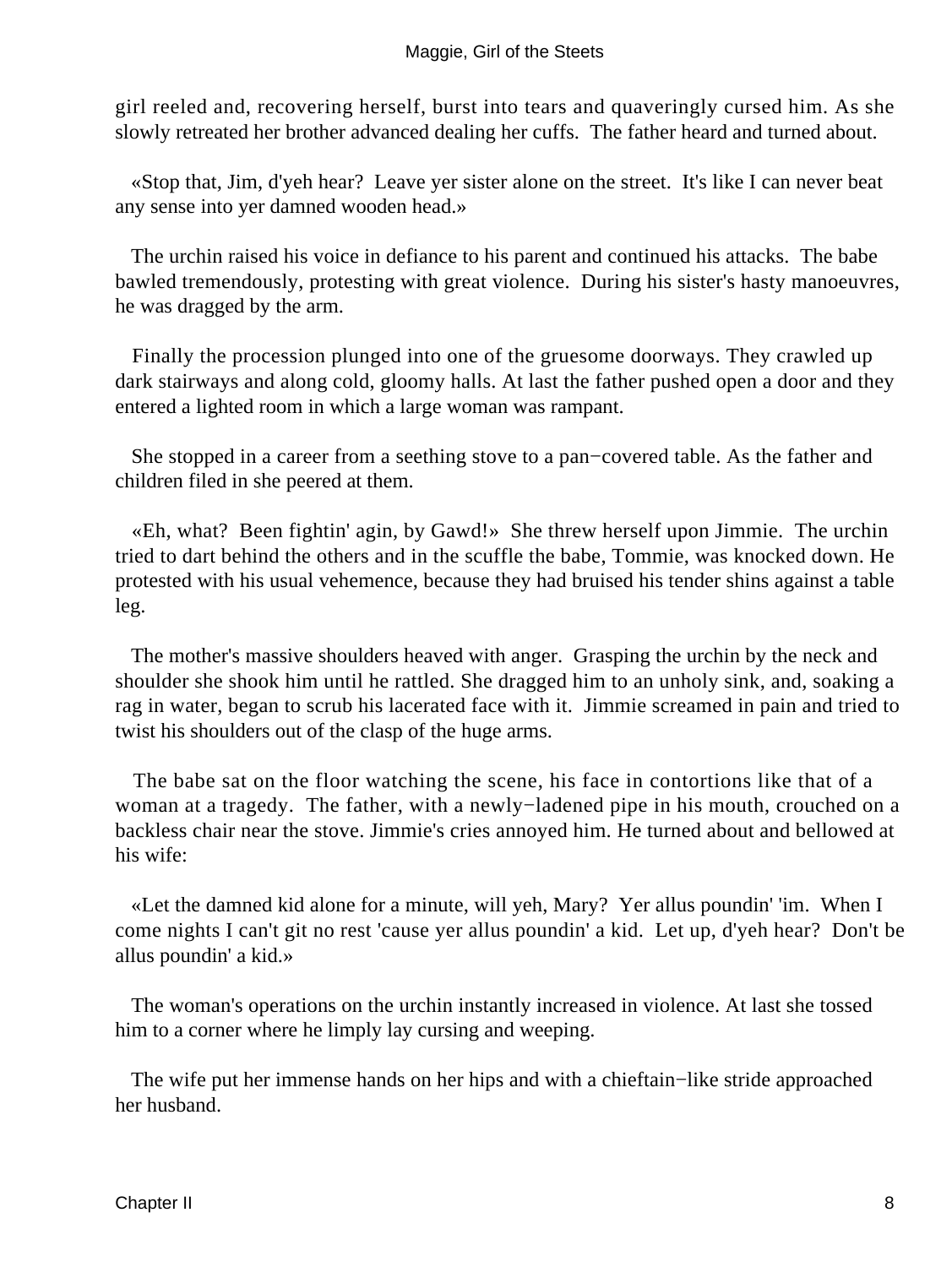girl reeled and, recovering herself, burst into tears and quaveringly cursed him. As she slowly retreated her brother advanced dealing her cuffs. The father heard and turned about.

 «Stop that, Jim, d'yeh hear? Leave yer sister alone on the street. It's like I can never beat any sense into yer damned wooden head.»

 The urchin raised his voice in defiance to his parent and continued his attacks. The babe bawled tremendously, protesting with great violence. During his sister's hasty manoeuvres, he was dragged by the arm.

 Finally the procession plunged into one of the gruesome doorways. They crawled up dark stairways and along cold, gloomy halls. At last the father pushed open a door and they entered a lighted room in which a large woman was rampant.

 She stopped in a career from a seething stove to a pan−covered table. As the father and children filed in she peered at them.

 «Eh, what? Been fightin' agin, by Gawd!» She threw herself upon Jimmie. The urchin tried to dart behind the others and in the scuffle the babe, Tommie, was knocked down. He protested with his usual vehemence, because they had bruised his tender shins against a table leg.

 The mother's massive shoulders heaved with anger. Grasping the urchin by the neck and shoulder she shook him until he rattled. She dragged him to an unholy sink, and, soaking a rag in water, began to scrub his lacerated face with it. Jimmie screamed in pain and tried to twist his shoulders out of the clasp of the huge arms.

 The babe sat on the floor watching the scene, his face in contortions like that of a woman at a tragedy. The father, with a newly−ladened pipe in his mouth, crouched on a backless chair near the stove. Jimmie's cries annoyed him. He turned about and bellowed at his wife:

 «Let the damned kid alone for a minute, will yeh, Mary? Yer allus poundin' 'im. When I come nights I can't git no rest 'cause yer allus poundin' a kid. Let up, d'yeh hear? Don't be allus poundin' a kid.»

 The woman's operations on the urchin instantly increased in violence. At last she tossed him to a corner where he limply lay cursing and weeping.

 The wife put her immense hands on her hips and with a chieftain−like stride approached her husband.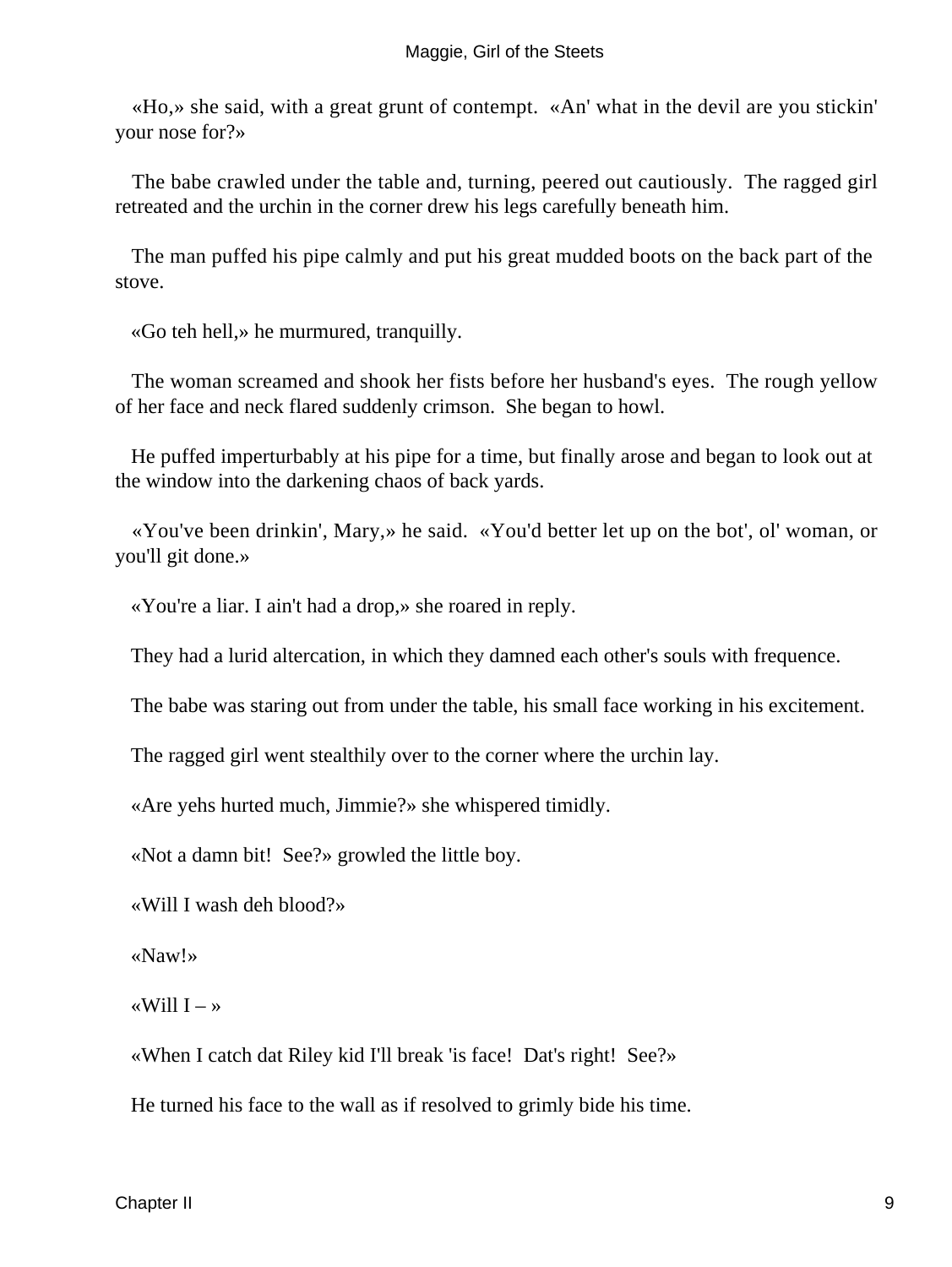«Ho,» she said, with a great grunt of contempt. «An' what in the devil are you stickin' your nose for?»

 The babe crawled under the table and, turning, peered out cautiously. The ragged girl retreated and the urchin in the corner drew his legs carefully beneath him.

 The man puffed his pipe calmly and put his great mudded boots on the back part of the stove.

«Go teh hell,» he murmured, tranquilly.

 The woman screamed and shook her fists before her husband's eyes. The rough yellow of her face and neck flared suddenly crimson. She began to howl.

 He puffed imperturbably at his pipe for a time, but finally arose and began to look out at the window into the darkening chaos of back yards.

 «You've been drinkin', Mary,» he said. «You'd better let up on the bot', ol' woman, or you'll git done.»

«You're a liar. I ain't had a drop,» she roared in reply.

They had a lurid altercation, in which they damned each other's souls with frequence.

The babe was staring out from under the table, his small face working in his excitement.

The ragged girl went stealthily over to the corner where the urchin lay.

«Are yehs hurted much, Jimmie?» she whispered timidly.

«Not a damn bit! See?» growled the little boy.

«Will I wash deh blood?»

«Naw!»

«Will  $I - \infty$ 

«When I catch dat Riley kid I'll break 'is face! Dat's right! See?»

He turned his face to the wall as if resolved to grimly bide his time.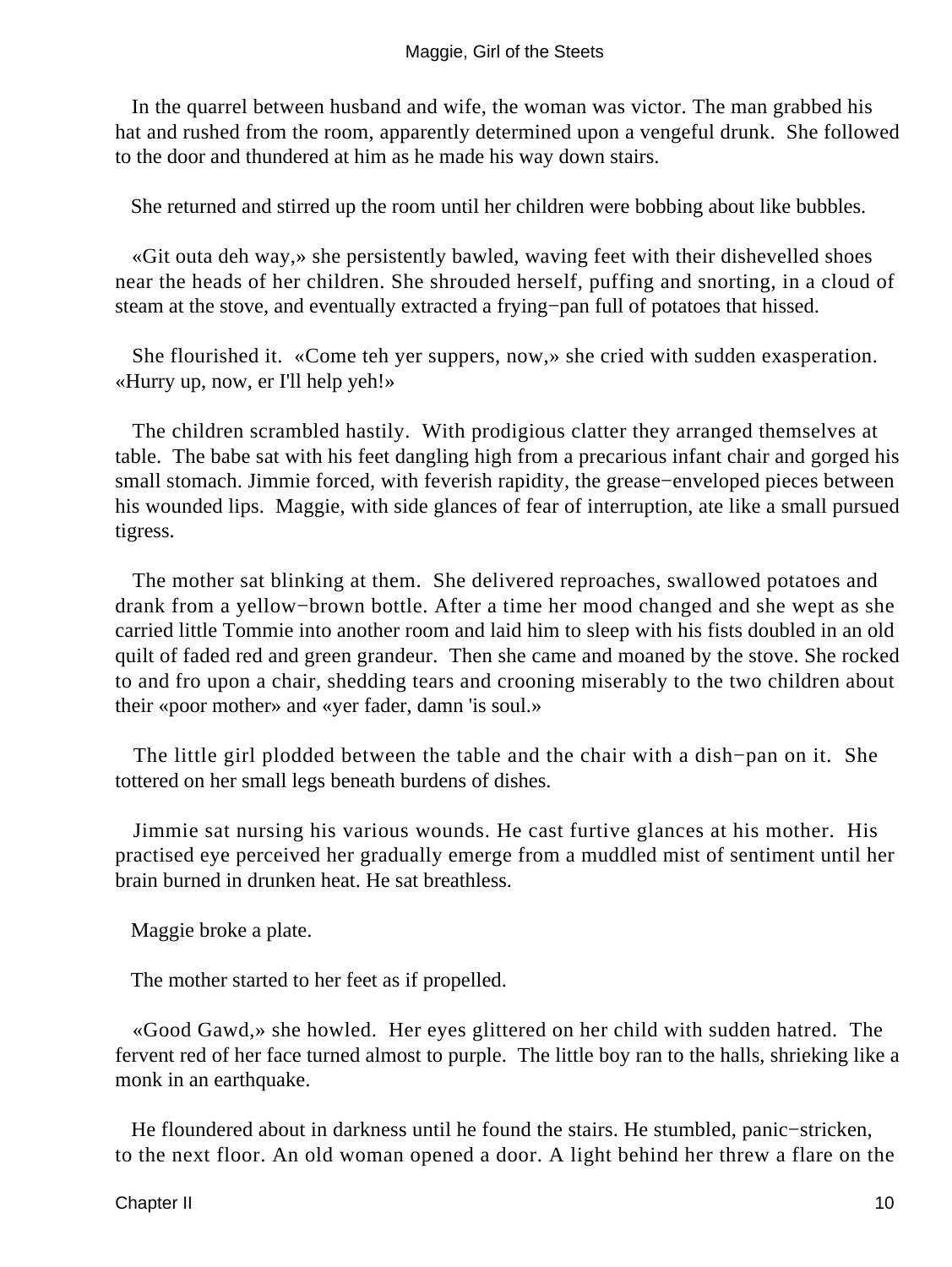In the quarrel between husband and wife, the woman was victor. The man grabbed his hat and rushed from the room, apparently determined upon a vengeful drunk. She followed to the door and thundered at him as he made his way down stairs.

She returned and stirred up the room until her children were bobbing about like bubbles.

 «Git outa deh way,» she persistently bawled, waving feet with their dishevelled shoes near the heads of her children. She shrouded herself, puffing and snorting, in a cloud of steam at the stove, and eventually extracted a frying−pan full of potatoes that hissed.

 She flourished it. «Come teh yer suppers, now,» she cried with sudden exasperation. «Hurry up, now, er I'll help yeh!»

 The children scrambled hastily. With prodigious clatter they arranged themselves at table. The babe sat with his feet dangling high from a precarious infant chair and gorged his small stomach. Jimmie forced, with feverish rapidity, the grease–enveloped pieces between his wounded lips. Maggie, with side glances of fear of interruption, ate like a small pursued tigress.

 The mother sat blinking at them. She delivered reproaches, swallowed potatoes and drank from a yellow−brown bottle. After a time her mood changed and she wept as she carried little Tommie into another room and laid him to sleep with his fists doubled in an old quilt of faded red and green grandeur. Then she came and moaned by the stove. She rocked to and fro upon a chair, shedding tears and crooning miserably to the two children about their «poor mother» and «yer fader, damn 'is soul.»

 The little girl plodded between the table and the chair with a dish−pan on it. She tottered on her small legs beneath burdens of dishes.

 Jimmie sat nursing his various wounds. He cast furtive glances at his mother. His practised eye perceived her gradually emerge from a muddled mist of sentiment until her brain burned in drunken heat. He sat breathless.

Maggie broke a plate.

The mother started to her feet as if propelled.

 «Good Gawd,» she howled. Her eyes glittered on her child with sudden hatred. The fervent red of her face turned almost to purple. The little boy ran to the halls, shrieking like a monk in an earthquake.

 He floundered about in darkness until he found the stairs. He stumbled, panic−stricken, to the next floor. An old woman opened a door. A light behind her threw a flare on the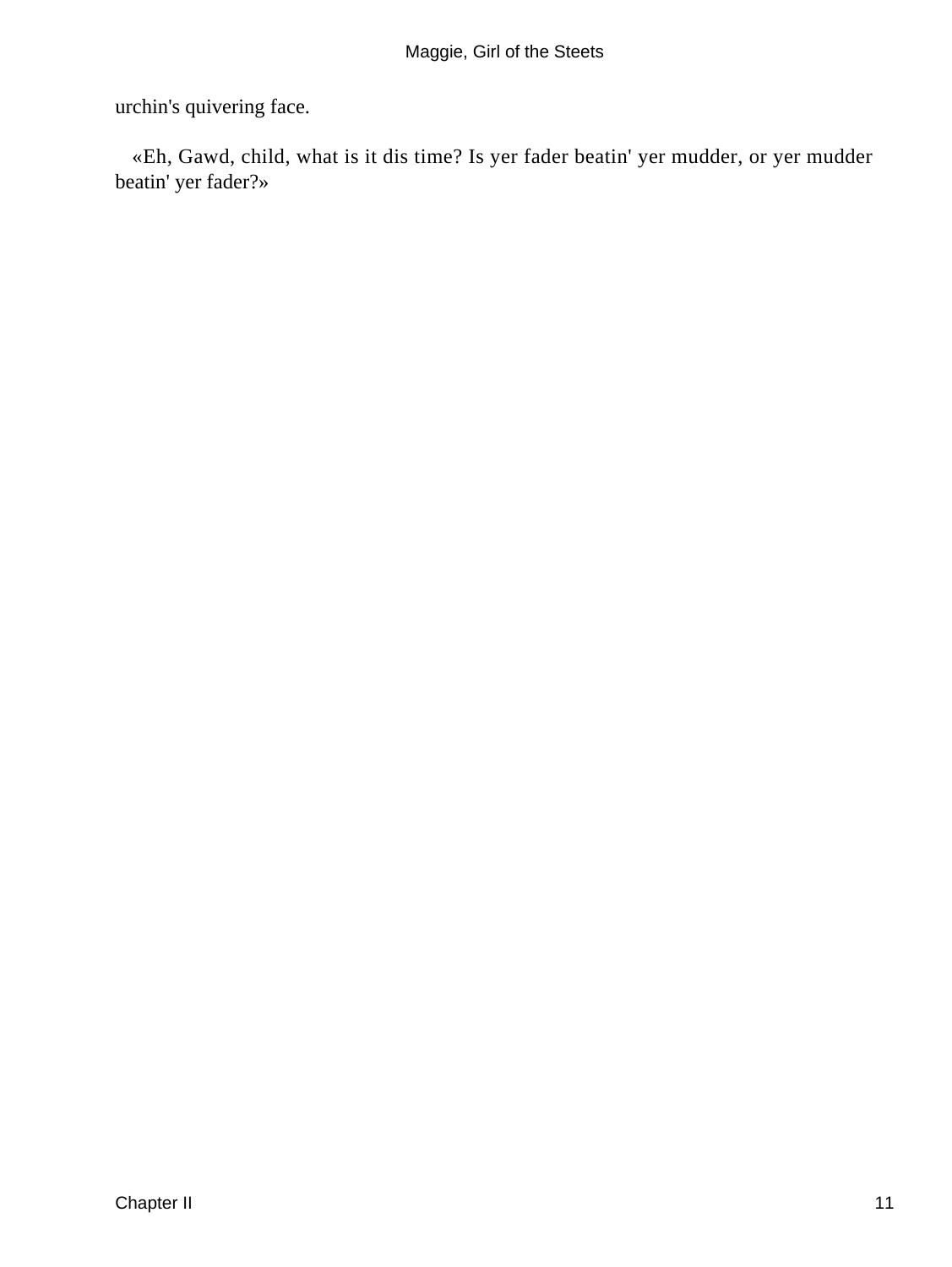urchin's quivering face.

 «Eh, Gawd, child, what is it dis time? Is yer fader beatin' yer mudder, or yer mudder beatin' yer fader?»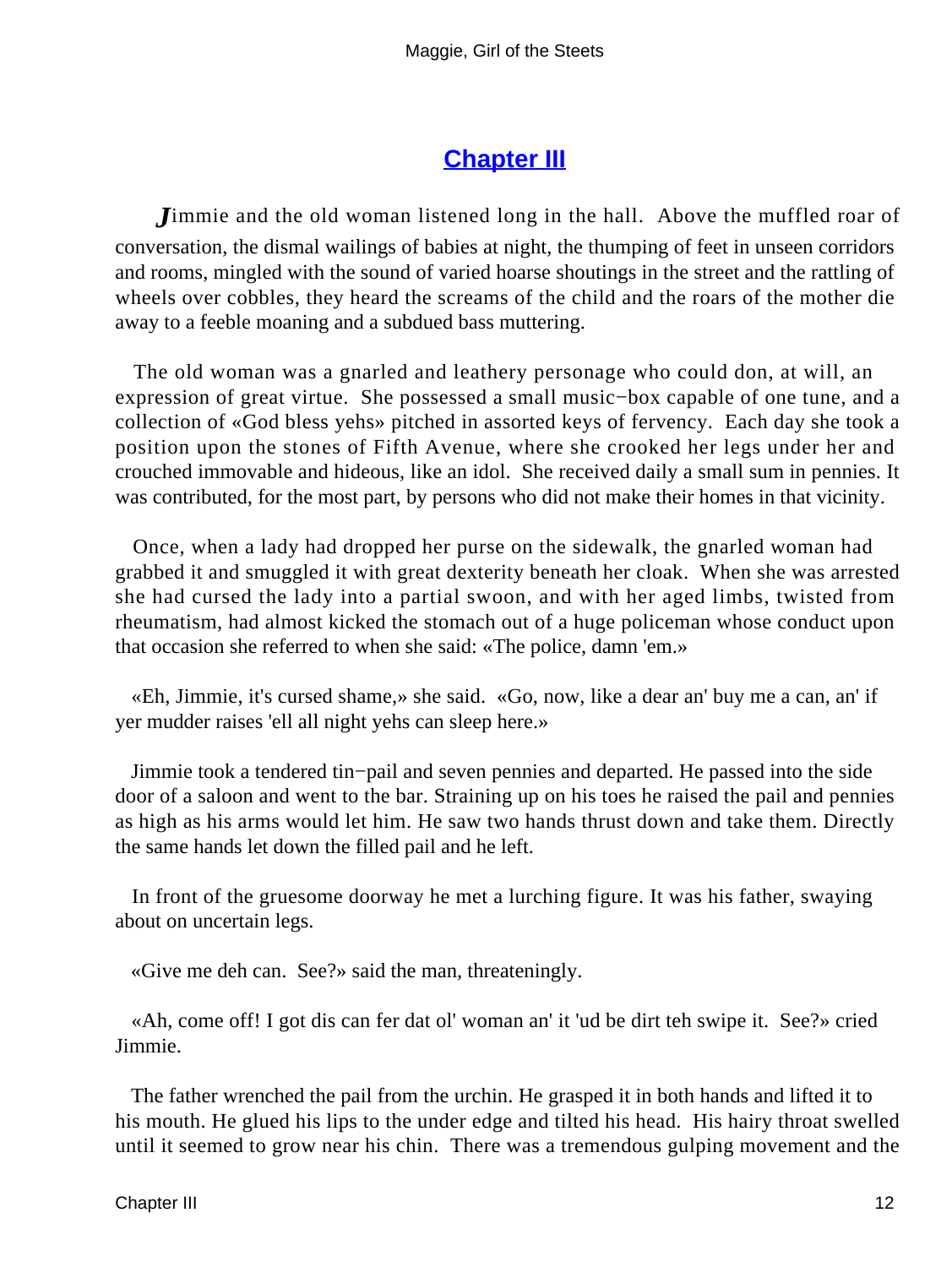#### **[Chapter III](#page-67-0)**

*J*immie and the old woman listened long in the hall. Above the muffled roar of conversation, the dismal wailings of babies at night, the thumping of feet in unseen corridors and rooms, mingled with the sound of varied hoarse shoutings in the street and the rattling of wheels over cobbles, they heard the screams of the child and the roars of the mother die away to a feeble moaning and a subdued bass muttering.

 The old woman was a gnarled and leathery personage who could don, at will, an expression of great virtue. She possessed a small music−box capable of one tune, and a collection of «God bless yehs» pitched in assorted keys of fervency. Each day she took a position upon the stones of Fifth Avenue, where she crooked her legs under her and crouched immovable and hideous, like an idol. She received daily a small sum in pennies. It was contributed, for the most part, by persons who did not make their homes in that vicinity.

 Once, when a lady had dropped her purse on the sidewalk, the gnarled woman had grabbed it and smuggled it with great dexterity beneath her cloak. When she was arrested she had cursed the lady into a partial swoon, and with her aged limbs, twisted from rheumatism, had almost kicked the stomach out of a huge policeman whose conduct upon that occasion she referred to when she said: «The police, damn 'em.»

 «Eh, Jimmie, it's cursed shame,» she said. «Go, now, like a dear an' buy me a can, an' if yer mudder raises 'ell all night yehs can sleep here.»

 Jimmie took a tendered tin−pail and seven pennies and departed. He passed into the side door of a saloon and went to the bar. Straining up on his toes he raised the pail and pennies as high as his arms would let him. He saw two hands thrust down and take them. Directly the same hands let down the filled pail and he left.

 In front of the gruesome doorway he met a lurching figure. It was his father, swaying about on uncertain legs.

«Give me deh can. See?» said the man, threateningly.

 «Ah, come off! I got dis can fer dat ol' woman an' it 'ud be dirt teh swipe it. See?» cried Jimmie.

 The father wrenched the pail from the urchin. He grasped it in both hands and lifted it to his mouth. He glued his lips to the under edge and tilted his head. His hairy throat swelled until it seemed to grow near his chin. There was a tremendous gulping movement and the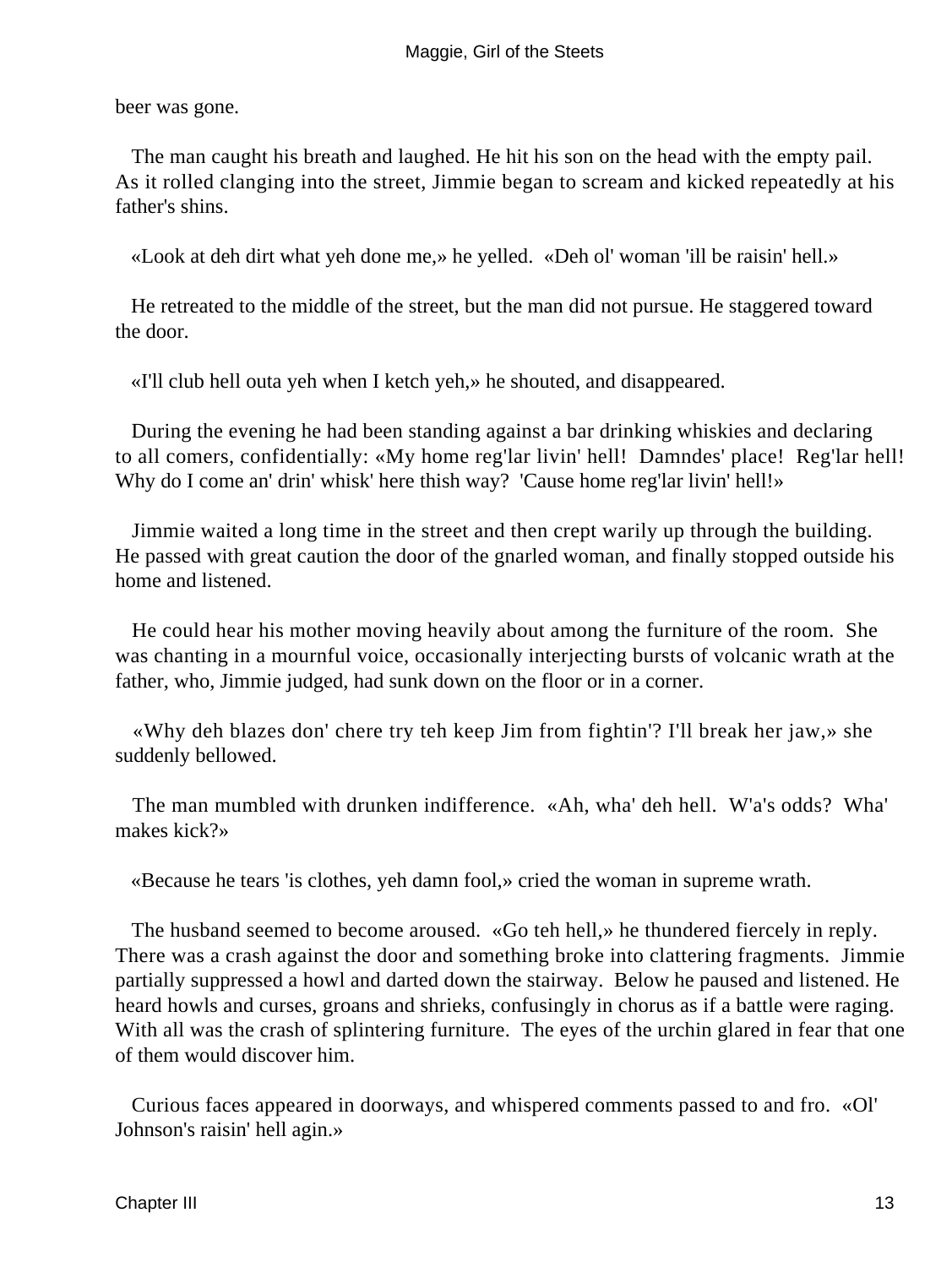beer was gone.

 The man caught his breath and laughed. He hit his son on the head with the empty pail. As it rolled clanging into the street, Jimmie began to scream and kicked repeatedly at his father's shins.

«Look at deh dirt what yeh done me,» he yelled. «Deh ol' woman 'ill be raisin' hell.»

 He retreated to the middle of the street, but the man did not pursue. He staggered toward the door.

«I'll club hell outa yeh when I ketch yeh,» he shouted, and disappeared.

 During the evening he had been standing against a bar drinking whiskies and declaring to all comers, confidentially: «My home reg'lar livin' hell! Damndes' place! Reg'lar hell! Why do I come an' drin' whisk' here thish way? 'Cause home reg'lar livin' hell!»

 Jimmie waited a long time in the street and then crept warily up through the building. He passed with great caution the door of the gnarled woman, and finally stopped outside his home and listened.

 He could hear his mother moving heavily about among the furniture of the room. She was chanting in a mournful voice, occasionally interjecting bursts of volcanic wrath at the father, who, Jimmie judged, had sunk down on the floor or in a corner.

 «Why deh blazes don' chere try teh keep Jim from fightin'? I'll break her jaw,» she suddenly bellowed.

 The man mumbled with drunken indifference. «Ah, wha' deh hell. W'a's odds? Wha' makes kick?»

«Because he tears 'is clothes, yeh damn fool,» cried the woman in supreme wrath.

 The husband seemed to become aroused. «Go teh hell,» he thundered fiercely in reply. There was a crash against the door and something broke into clattering fragments. Jimmie partially suppressed a howl and darted down the stairway. Below he paused and listened. He heard howls and curses, groans and shrieks, confusingly in chorus as if a battle were raging. With all was the crash of splintering furniture. The eyes of the urchin glared in fear that one of them would discover him.

 Curious faces appeared in doorways, and whispered comments passed to and fro. «Ol' Johnson's raisin' hell agin.»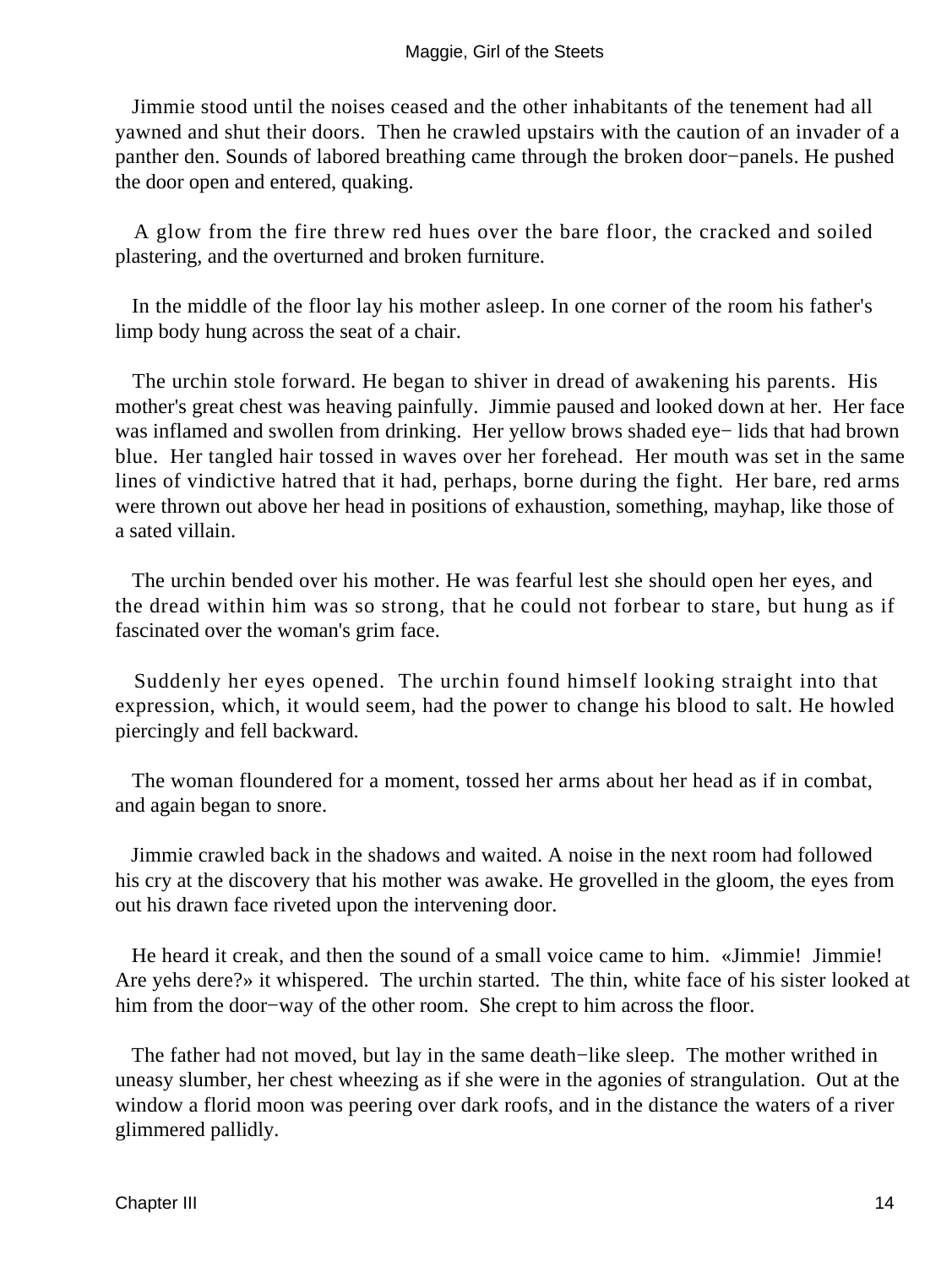Jimmie stood until the noises ceased and the other inhabitants of the tenement had all yawned and shut their doors. Then he crawled upstairs with the caution of an invader of a panther den. Sounds of labored breathing came through the broken door−panels. He pushed the door open and entered, quaking.

 A glow from the fire threw red hues over the bare floor, the cracked and soiled plastering, and the overturned and broken furniture.

 In the middle of the floor lay his mother asleep. In one corner of the room his father's limp body hung across the seat of a chair.

 The urchin stole forward. He began to shiver in dread of awakening his parents. His mother's great chest was heaving painfully. Jimmie paused and looked down at her. Her face was inflamed and swollen from drinking. Her yellow brows shaded eye− lids that had brown blue. Her tangled hair tossed in waves over her forehead. Her mouth was set in the same lines of vindictive hatred that it had, perhaps, borne during the fight. Her bare, red arms were thrown out above her head in positions of exhaustion, something, mayhap, like those of a sated villain.

 The urchin bended over his mother. He was fearful lest she should open her eyes, and the dread within him was so strong, that he could not forbear to stare, but hung as if fascinated over the woman's grim face.

 Suddenly her eyes opened. The urchin found himself looking straight into that expression, which, it would seem, had the power to change his blood to salt. He howled piercingly and fell backward.

 The woman floundered for a moment, tossed her arms about her head as if in combat, and again began to snore.

 Jimmie crawled back in the shadows and waited. A noise in the next room had followed his cry at the discovery that his mother was awake. He grovelled in the gloom, the eyes from out his drawn face riveted upon the intervening door.

 He heard it creak, and then the sound of a small voice came to him. «Jimmie! Jimmie! Are yehs dere?» it whispered. The urchin started. The thin, white face of his sister looked at him from the door−way of the other room. She crept to him across the floor.

 The father had not moved, but lay in the same death−like sleep. The mother writhed in uneasy slumber, her chest wheezing as if she were in the agonies of strangulation. Out at the window a florid moon was peering over dark roofs, and in the distance the waters of a river glimmered pallidly.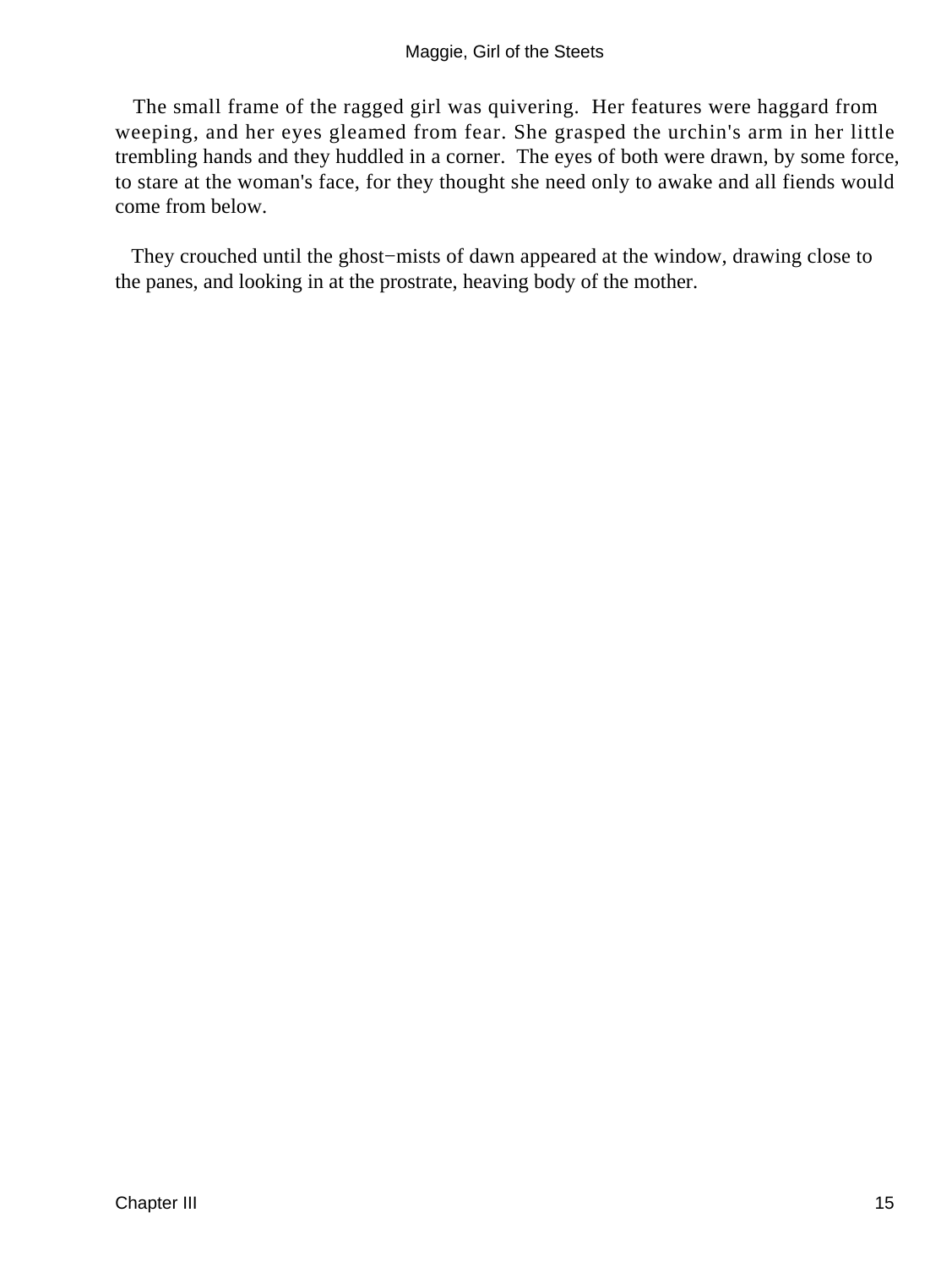The small frame of the ragged girl was quivering. Her features were haggard from weeping, and her eyes gleamed from fear. She grasped the urchin's arm in her little trembling hands and they huddled in a corner. The eyes of both were drawn, by some force, to stare at the woman's face, for they thought she need only to awake and all fiends would come from below.

 They crouched until the ghost−mists of dawn appeared at the window, drawing close to the panes, and looking in at the prostrate, heaving body of the mother.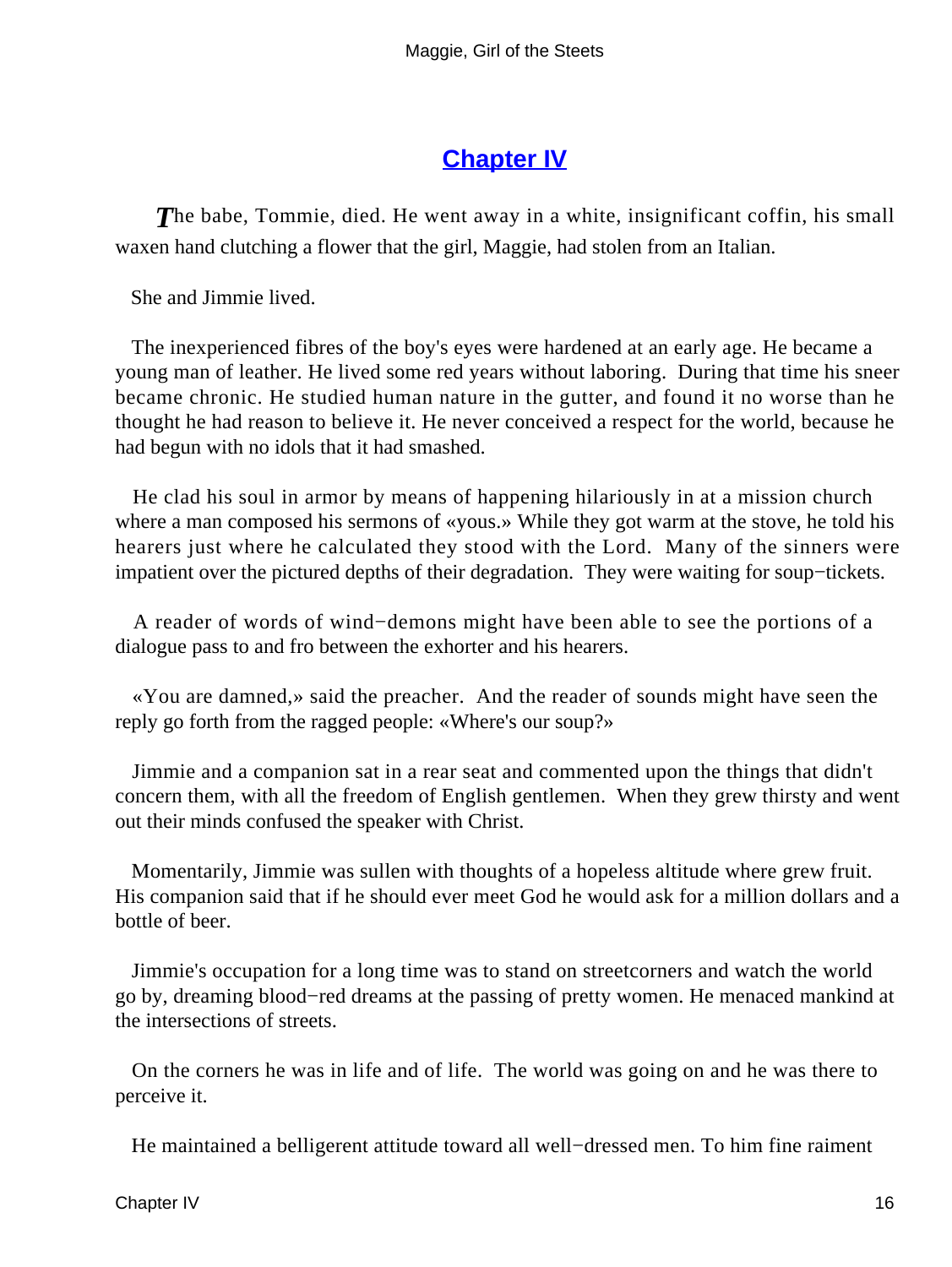#### **[Chapter IV](#page-67-0)**

**The babe, Tommie, died. He went away in a white, insignificant coffin, his small** waxen hand clutching a flower that the girl, Maggie, had stolen from an Italian.

She and Jimmie lived.

 The inexperienced fibres of the boy's eyes were hardened at an early age. He became a young man of leather. He lived some red years without laboring. During that time his sneer became chronic. He studied human nature in the gutter, and found it no worse than he thought he had reason to believe it. He never conceived a respect for the world, because he had begun with no idols that it had smashed.

 He clad his soul in armor by means of happening hilariously in at a mission church where a man composed his sermons of «yous.» While they got warm at the stove, he told his hearers just where he calculated they stood with the Lord. Many of the sinners were impatient over the pictured depths of their degradation. They were waiting for soup−tickets.

 A reader of words of wind−demons might have been able to see the portions of a dialogue pass to and fro between the exhorter and his hearers.

 «You are damned,» said the preacher. And the reader of sounds might have seen the reply go forth from the ragged people: «Where's our soup?»

 Jimmie and a companion sat in a rear seat and commented upon the things that didn't concern them, with all the freedom of English gentlemen. When they grew thirsty and went out their minds confused the speaker with Christ.

 Momentarily, Jimmie was sullen with thoughts of a hopeless altitude where grew fruit. His companion said that if he should ever meet God he would ask for a million dollars and a bottle of beer.

 Jimmie's occupation for a long time was to stand on streetcorners and watch the world go by, dreaming blood−red dreams at the passing of pretty women. He menaced mankind at the intersections of streets.

 On the corners he was in life and of life. The world was going on and he was there to perceive it.

He maintained a belligerent attitude toward all well−dressed men. To him fine raiment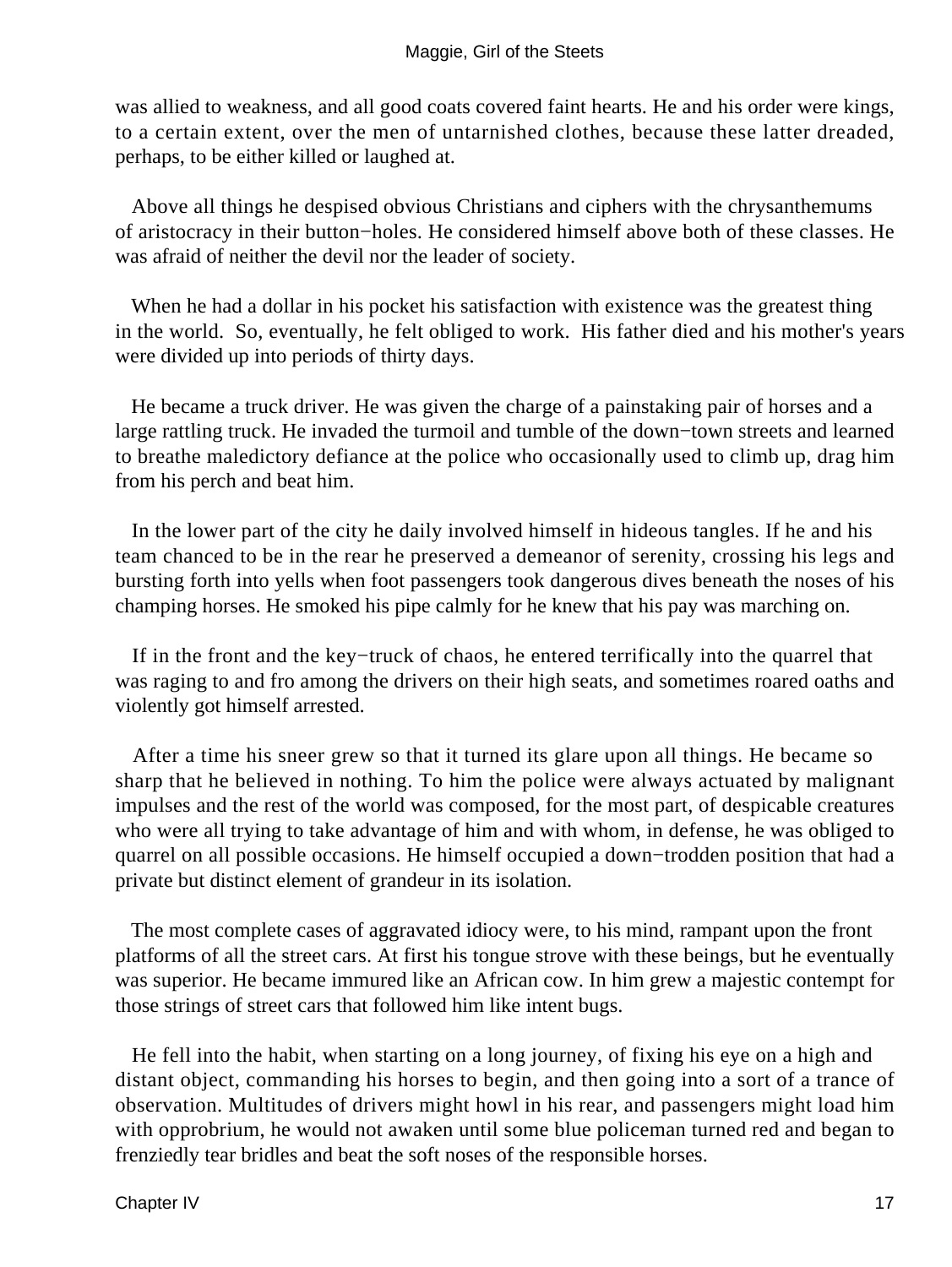was allied to weakness, and all good coats covered faint hearts. He and his order were kings, to a certain extent, over the men of untarnished clothes, because these latter dreaded, perhaps, to be either killed or laughed at.

 Above all things he despised obvious Christians and ciphers with the chrysanthemums of aristocracy in their button−holes. He considered himself above both of these classes. He was afraid of neither the devil nor the leader of society.

When he had a dollar in his pocket his satisfaction with existence was the greatest thing in the world. So, eventually, he felt obliged to work. His father died and his mother's years were divided up into periods of thirty days.

 He became a truck driver. He was given the charge of a painstaking pair of horses and a large rattling truck. He invaded the turmoil and tumble of the down−town streets and learned to breathe maledictory defiance at the police who occasionally used to climb up, drag him from his perch and beat him.

 In the lower part of the city he daily involved himself in hideous tangles. If he and his team chanced to be in the rear he preserved a demeanor of serenity, crossing his legs and bursting forth into yells when foot passengers took dangerous dives beneath the noses of his champing horses. He smoked his pipe calmly for he knew that his pay was marching on.

 If in the front and the key−truck of chaos, he entered terrifically into the quarrel that was raging to and fro among the drivers on their high seats, and sometimes roared oaths and violently got himself arrested.

 After a time his sneer grew so that it turned its glare upon all things. He became so sharp that he believed in nothing. To him the police were always actuated by malignant impulses and the rest of the world was composed, for the most part, of despicable creatures who were all trying to take advantage of him and with whom, in defense, he was obliged to quarrel on all possible occasions. He himself occupied a down−trodden position that had a private but distinct element of grandeur in its isolation.

 The most complete cases of aggravated idiocy were, to his mind, rampant upon the front platforms of all the street cars. At first his tongue strove with these beings, but he eventually was superior. He became immured like an African cow. In him grew a majestic contempt for those strings of street cars that followed him like intent bugs.

 He fell into the habit, when starting on a long journey, of fixing his eye on a high and distant object, commanding his horses to begin, and then going into a sort of a trance of observation. Multitudes of drivers might howl in his rear, and passengers might load him with opprobrium, he would not awaken until some blue policeman turned red and began to frenziedly tear bridles and beat the soft noses of the responsible horses.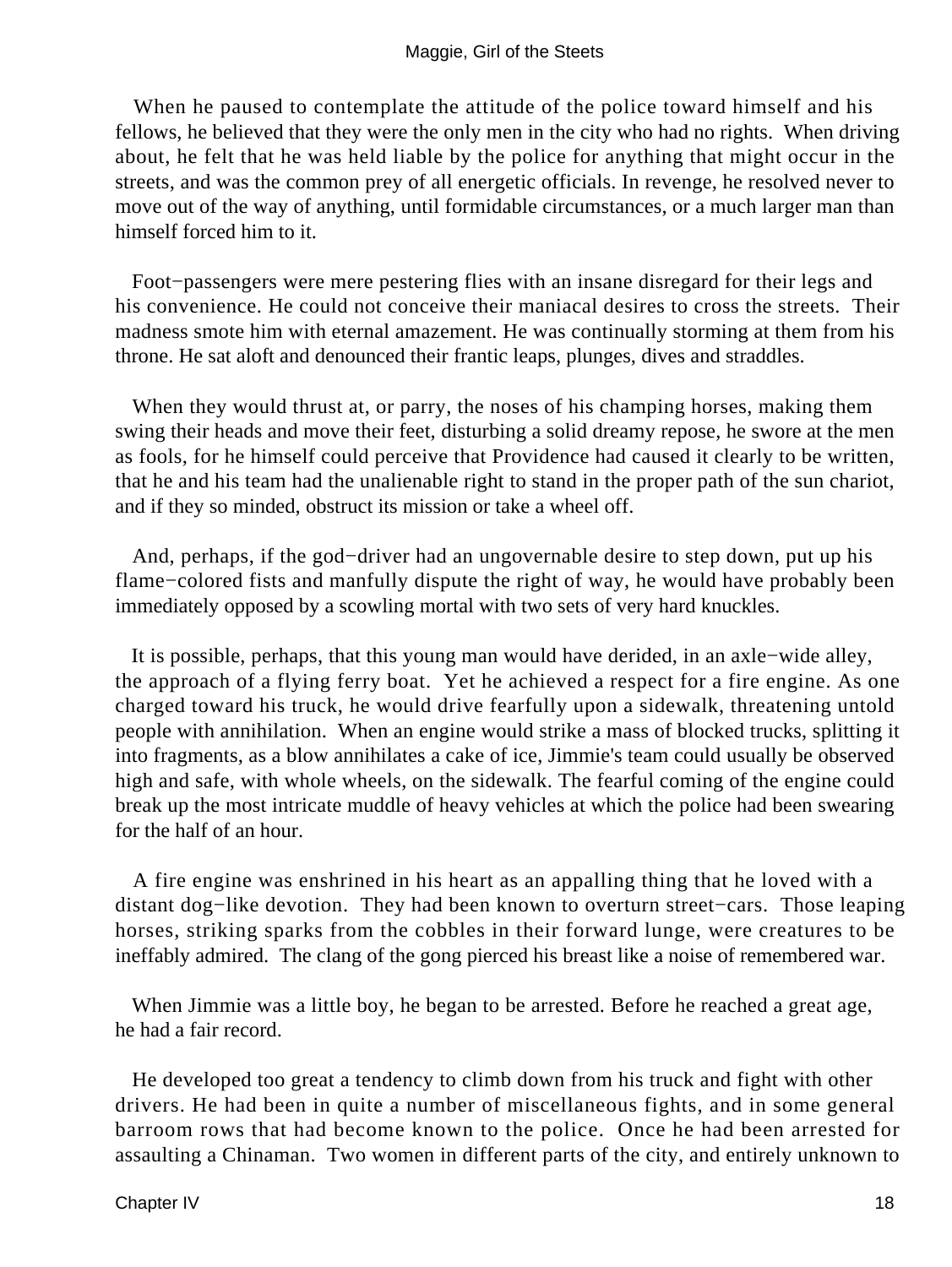When he paused to contemplate the attitude of the police toward himself and his fellows, he believed that they were the only men in the city who had no rights. When driving about, he felt that he was held liable by the police for anything that might occur in the streets, and was the common prey of all energetic officials. In revenge, he resolved never to move out of the way of anything, until formidable circumstances, or a much larger man than himself forced him to it.

 Foot−passengers were mere pestering flies with an insane disregard for their legs and his convenience. He could not conceive their maniacal desires to cross the streets. Their madness smote him with eternal amazement. He was continually storming at them from his throne. He sat aloft and denounced their frantic leaps, plunges, dives and straddles.

When they would thrust at, or parry, the noses of his champing horses, making them swing their heads and move their feet, disturbing a solid dreamy repose, he swore at the men as fools, for he himself could perceive that Providence had caused it clearly to be written, that he and his team had the unalienable right to stand in the proper path of the sun chariot, and if they so minded, obstruct its mission or take a wheel off.

 And, perhaps, if the god−driver had an ungovernable desire to step down, put up his flame−colored fists and manfully dispute the right of way, he would have probably been immediately opposed by a scowling mortal with two sets of very hard knuckles.

 It is possible, perhaps, that this young man would have derided, in an axle−wide alley, the approach of a flying ferry boat. Yet he achieved a respect for a fire engine. As one charged toward his truck, he would drive fearfully upon a sidewalk, threatening untold people with annihilation. When an engine would strike a mass of blocked trucks, splitting it into fragments, as a blow annihilates a cake of ice, Jimmie's team could usually be observed high and safe, with whole wheels, on the sidewalk. The fearful coming of the engine could break up the most intricate muddle of heavy vehicles at which the police had been swearing for the half of an hour.

 A fire engine was enshrined in his heart as an appalling thing that he loved with a distant dog−like devotion. They had been known to overturn street−cars. Those leaping horses, striking sparks from the cobbles in their forward lunge, were creatures to be ineffably admired. The clang of the gong pierced his breast like a noise of remembered war.

 When Jimmie was a little boy, he began to be arrested. Before he reached a great age, he had a fair record.

 He developed too great a tendency to climb down from his truck and fight with other drivers. He had been in quite a number of miscellaneous fights, and in some general barroom rows that had become known to the police. Once he had been arrested for assaulting a Chinaman. Two women in different parts of the city, and entirely unknown to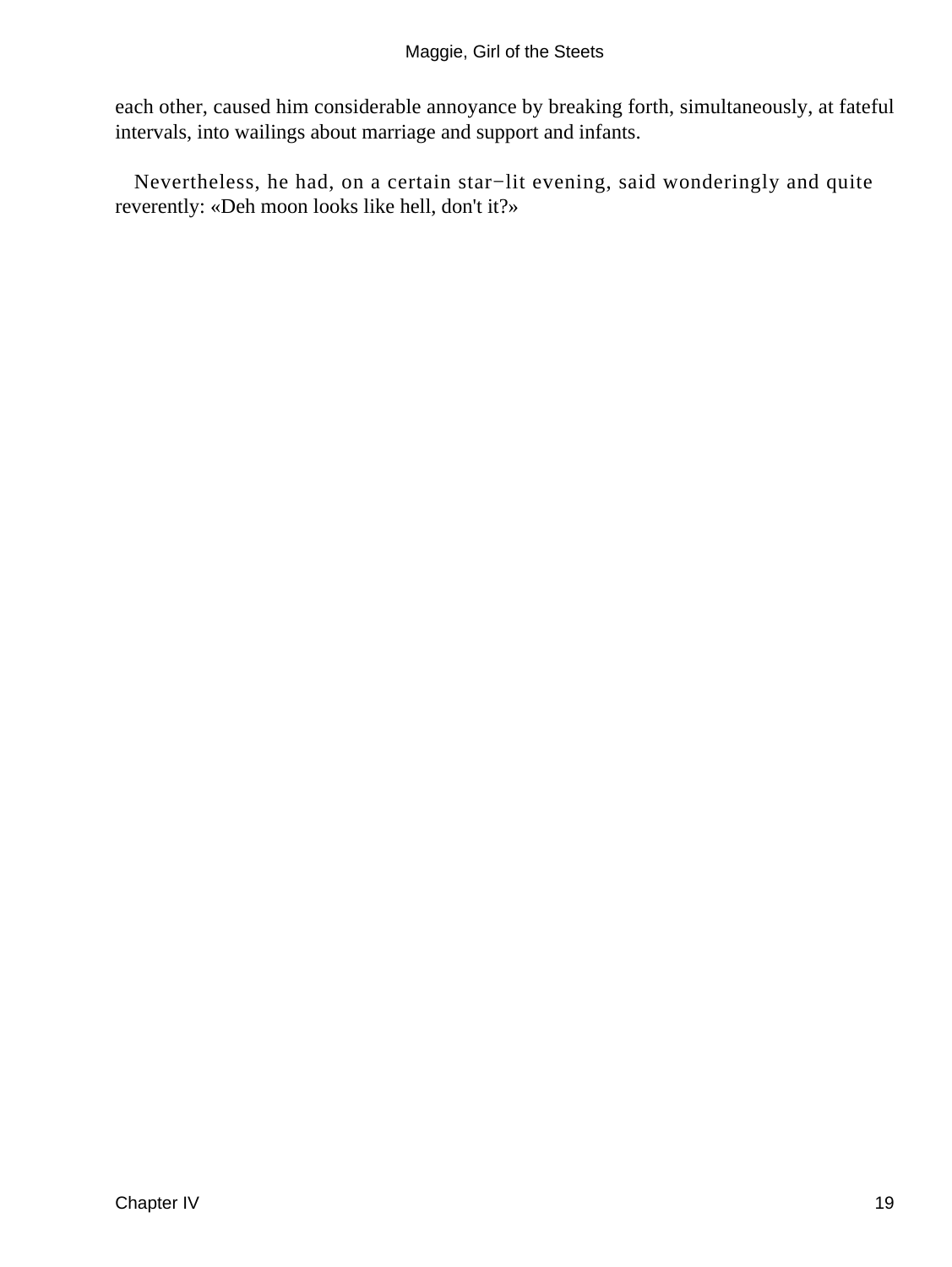each other, caused him considerable annoyance by breaking forth, simultaneously, at fateful intervals, into wailings about marriage and support and infants.

 Nevertheless, he had, on a certain star−lit evening, said wonderingly and quite reverently: «Deh moon looks like hell, don't it?»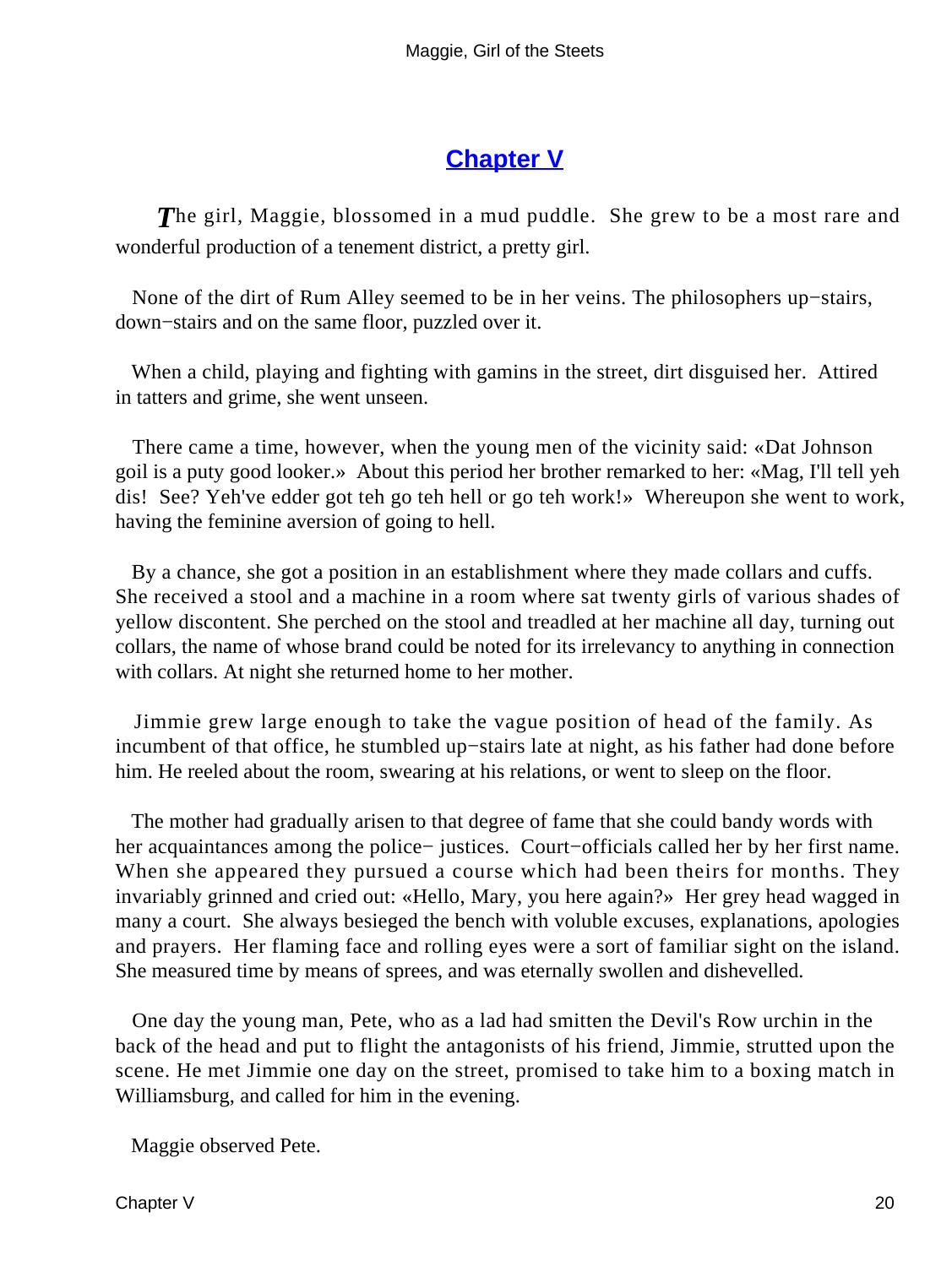#### **[Chapter V](#page-67-0)**

*T*he girl, Maggie, blossomed in a mud puddle. She grew to be a most rare and wonderful production of a tenement district, a pretty girl.

 None of the dirt of Rum Alley seemed to be in her veins. The philosophers up−stairs, down−stairs and on the same floor, puzzled over it.

 When a child, playing and fighting with gamins in the street, dirt disguised her. Attired in tatters and grime, she went unseen.

 There came a time, however, when the young men of the vicinity said: «Dat Johnson goil is a puty good looker.» About this period her brother remarked to her: «Mag, I'll tell yeh dis! See? Yeh've edder got teh go teh hell or go teh work!» Whereupon she went to work, having the feminine aversion of going to hell.

 By a chance, she got a position in an establishment where they made collars and cuffs. She received a stool and a machine in a room where sat twenty girls of various shades of yellow discontent. She perched on the stool and treadled at her machine all day, turning out collars, the name of whose brand could be noted for its irrelevancy to anything in connection with collars. At night she returned home to her mother.

 Jimmie grew large enough to take the vague position of head of the family. As incumbent of that office, he stumbled up−stairs late at night, as his father had done before him. He reeled about the room, swearing at his relations, or went to sleep on the floor.

 The mother had gradually arisen to that degree of fame that she could bandy words with her acquaintances among the police− justices. Court−officials called her by her first name. When she appeared they pursued a course which had been theirs for months. They invariably grinned and cried out: «Hello, Mary, you here again?» Her grey head wagged in many a court. She always besieged the bench with voluble excuses, explanations, apologies and prayers. Her flaming face and rolling eyes were a sort of familiar sight on the island. She measured time by means of sprees, and was eternally swollen and dishevelled.

 One day the young man, Pete, who as a lad had smitten the Devil's Row urchin in the back of the head and put to flight the antagonists of his friend, Jimmie, strutted upon the scene. He met Jimmie one day on the street, promised to take him to a boxing match in Williamsburg, and called for him in the evening.

Maggie observed Pete.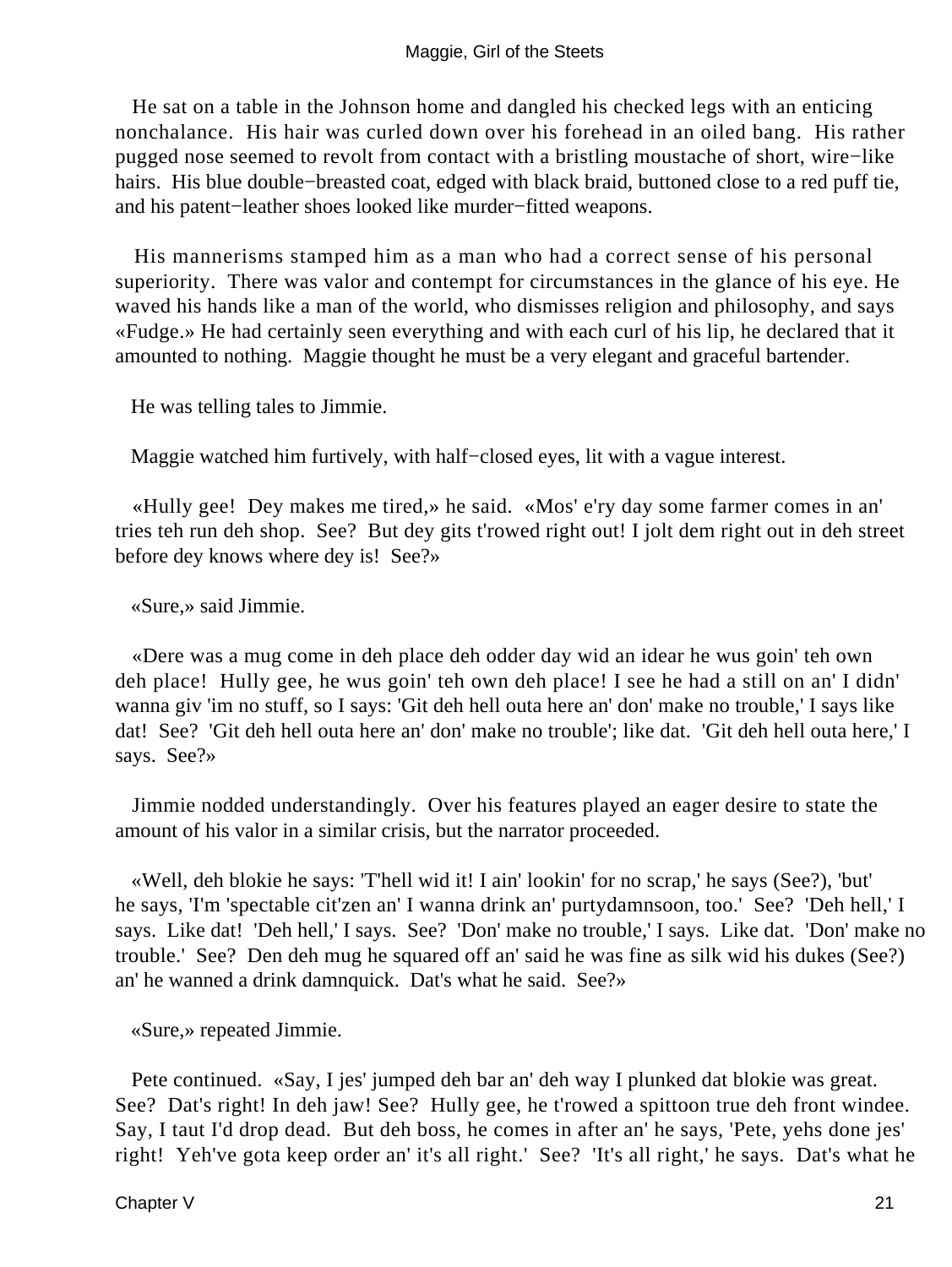He sat on a table in the Johnson home and dangled his checked legs with an enticing nonchalance. His hair was curled down over his forehead in an oiled bang. His rather pugged nose seemed to revolt from contact with a bristling moustache of short, wire−like hairs. His blue double−breasted coat, edged with black braid, buttoned close to a red puff tie, and his patent−leather shoes looked like murder−fitted weapons.

 His mannerisms stamped him as a man who had a correct sense of his personal superiority. There was valor and contempt for circumstances in the glance of his eye. He waved his hands like a man of the world, who dismisses religion and philosophy, and says «Fudge.» He had certainly seen everything and with each curl of his lip, he declared that it amounted to nothing. Maggie thought he must be a very elegant and graceful bartender.

He was telling tales to Jimmie.

Maggie watched him furtively, with half−closed eyes, lit with a vague interest.

 «Hully gee! Dey makes me tired,» he said. «Mos' e'ry day some farmer comes in an' tries teh run deh shop. See? But dey gits t'rowed right out! I jolt dem right out in deh street before dey knows where dey is! See?»

«Sure,» said Jimmie.

 «Dere was a mug come in deh place deh odder day wid an idear he wus goin' teh own deh place! Hully gee, he wus goin' teh own deh place! I see he had a still on an' I didn' wanna giv 'im no stuff, so I says: 'Git deh hell outa here an' don' make no trouble,' I says like dat! See? 'Git deh hell outa here an' don' make no trouble'; like dat. 'Git deh hell outa here,' I says. See?»

 Jimmie nodded understandingly. Over his features played an eager desire to state the amount of his valor in a similar crisis, but the narrator proceeded.

 «Well, deh blokie he says: 'T'hell wid it! I ain' lookin' for no scrap,' he says (See?), 'but' he says, 'I'm 'spectable cit'zen an' I wanna drink an' purtydamnsoon, too.' See? 'Deh hell,' I says. Like dat! 'Deh hell,' I says. See? 'Don' make no trouble,' I says. Like dat. 'Don' make no trouble.' See? Den deh mug he squared off an' said he was fine as silk wid his dukes (See?) an' he wanned a drink damnquick. Dat's what he said. See?»

«Sure,» repeated Jimmie.

 Pete continued. «Say, I jes' jumped deh bar an' deh way I plunked dat blokie was great. See? Dat's right! In deh jaw! See? Hully gee, he t'rowed a spittoon true deh front windee. Say, I taut I'd drop dead. But deh boss, he comes in after an' he says, 'Pete, yehs done jes' right! Yeh've gota keep order an' it's all right.' See? 'It's all right,' he says. Dat's what he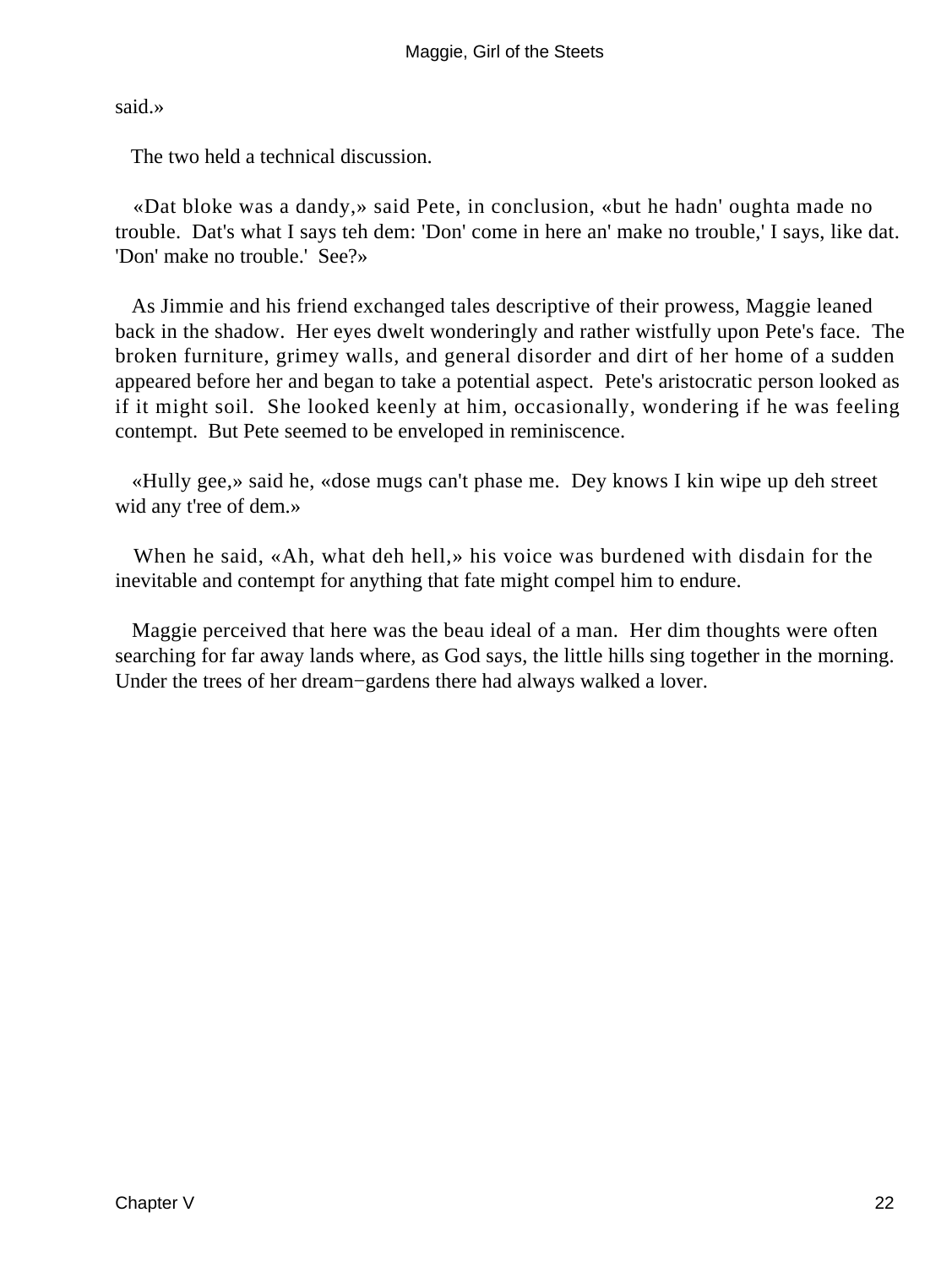said.»

The two held a technical discussion.

 «Dat bloke was a dandy,» said Pete, in conclusion, «but he hadn' oughta made no trouble. Dat's what I says teh dem: 'Don' come in here an' make no trouble,' I says, like dat. 'Don' make no trouble.' See?»

 As Jimmie and his friend exchanged tales descriptive of their prowess, Maggie leaned back in the shadow. Her eyes dwelt wonderingly and rather wistfully upon Pete's face. The broken furniture, grimey walls, and general disorder and dirt of her home of a sudden appeared before her and began to take a potential aspect. Pete's aristocratic person looked as if it might soil. She looked keenly at him, occasionally, wondering if he was feeling contempt. But Pete seemed to be enveloped in reminiscence.

 «Hully gee,» said he, «dose mugs can't phase me. Dey knows I kin wipe up deh street wid any t'ree of dem.»

 When he said, «Ah, what deh hell,» his voice was burdened with disdain for the inevitable and contempt for anything that fate might compel him to endure.

 Maggie perceived that here was the beau ideal of a man. Her dim thoughts were often searching for far away lands where, as God says, the little hills sing together in the morning. Under the trees of her dream−gardens there had always walked a lover.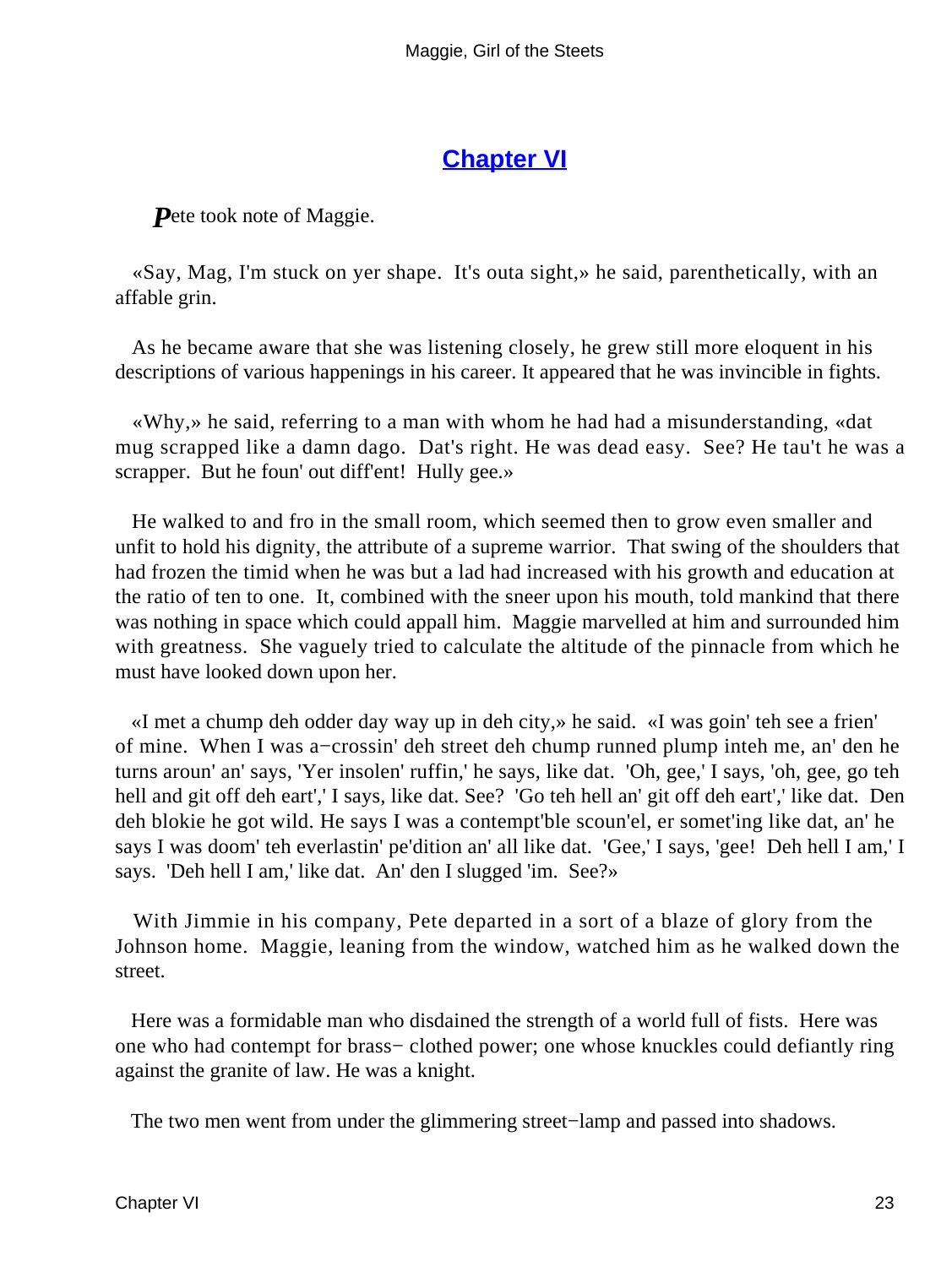#### **[Chapter VI](#page-67-0)**

**P**ete took note of Maggie.

 «Say, Mag, I'm stuck on yer shape. It's outa sight,» he said, parenthetically, with an affable grin.

 As he became aware that she was listening closely, he grew still more eloquent in his descriptions of various happenings in his career. It appeared that he was invincible in fights.

 «Why,» he said, referring to a man with whom he had had a misunderstanding, «dat mug scrapped like a damn dago. Dat's right. He was dead easy. See? He tau't he was a scrapper. But he foun' out diff'ent! Hully gee.»

 He walked to and fro in the small room, which seemed then to grow even smaller and unfit to hold his dignity, the attribute of a supreme warrior. That swing of the shoulders that had frozen the timid when he was but a lad had increased with his growth and education at the ratio of ten to one. It, combined with the sneer upon his mouth, told mankind that there was nothing in space which could appall him. Maggie marvelled at him and surrounded him with greatness. She vaguely tried to calculate the altitude of the pinnacle from which he must have looked down upon her.

 «I met a chump deh odder day way up in deh city,» he said. «I was goin' teh see a frien' of mine. When I was a−crossin' deh street deh chump runned plump inteh me, an' den he turns aroun' an' says, 'Yer insolen' ruffin,' he says, like dat. 'Oh, gee,' I says, 'oh, gee, go teh hell and git off deh eart',' I says, like dat. See? 'Go teh hell an' git off deh eart',' like dat. Den deh blokie he got wild. He says I was a contempt'ble scoun'el, er somet'ing like dat, an' he says I was doom' teh everlastin' pe'dition an' all like dat. 'Gee,' I says, 'gee! Deh hell I am,' I says. 'Deh hell I am,' like dat. An' den I slugged 'im. See?»

 With Jimmie in his company, Pete departed in a sort of a blaze of glory from the Johnson home. Maggie, leaning from the window, watched him as he walked down the street.

 Here was a formidable man who disdained the strength of a world full of fists. Here was one who had contempt for brass− clothed power; one whose knuckles could defiantly ring against the granite of law. He was a knight.

The two men went from under the glimmering street−lamp and passed into shadows.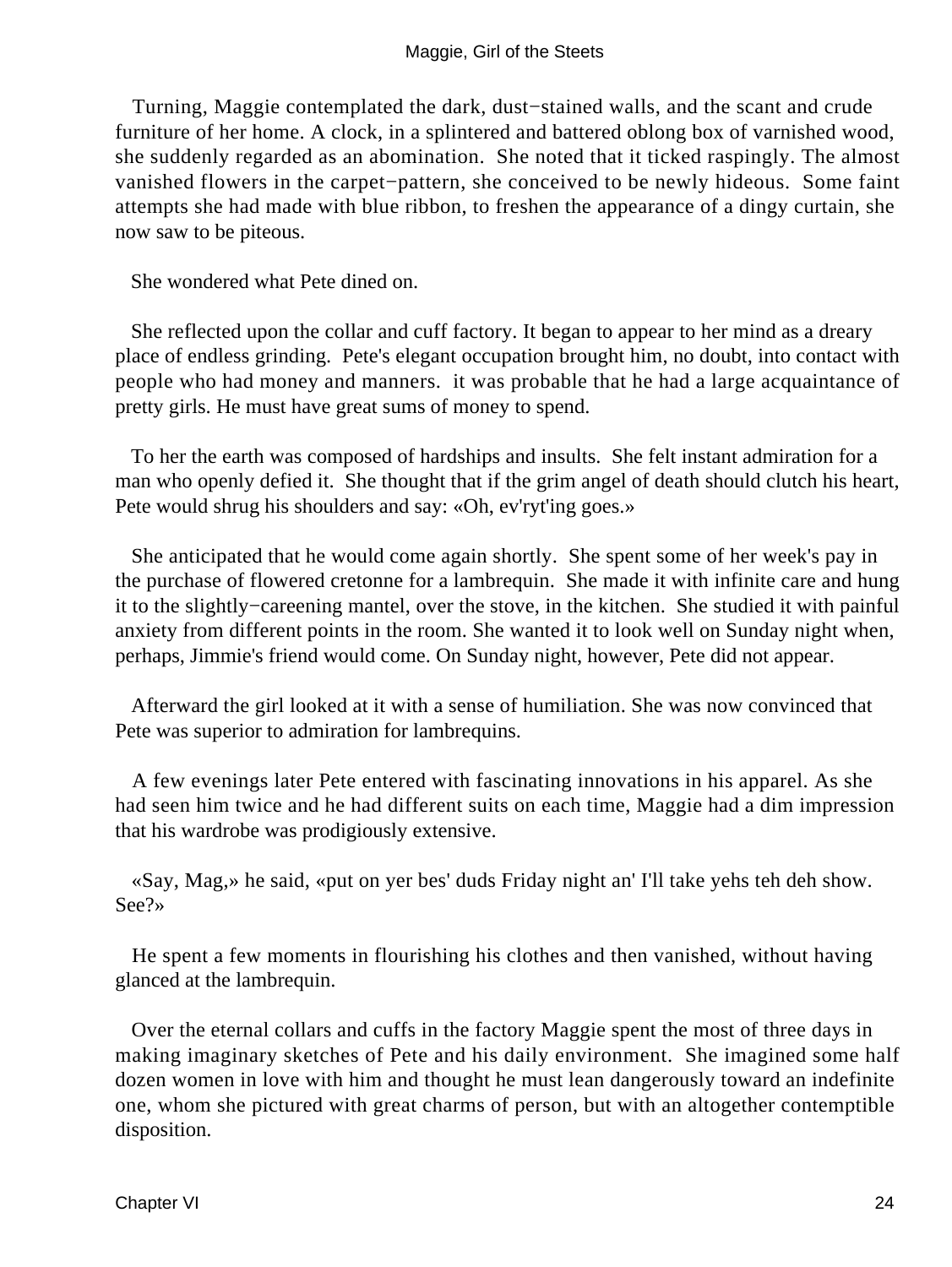Turning, Maggie contemplated the dark, dust−stained walls, and the scant and crude furniture of her home. A clock, in a splintered and battered oblong box of varnished wood, she suddenly regarded as an abomination. She noted that it ticked raspingly. The almost vanished flowers in the carpet−pattern, she conceived to be newly hideous. Some faint attempts she had made with blue ribbon, to freshen the appearance of a dingy curtain, she now saw to be piteous.

She wondered what Pete dined on.

 She reflected upon the collar and cuff factory. It began to appear to her mind as a dreary place of endless grinding. Pete's elegant occupation brought him, no doubt, into contact with people who had money and manners. it was probable that he had a large acquaintance of pretty girls. He must have great sums of money to spend.

 To her the earth was composed of hardships and insults. She felt instant admiration for a man who openly defied it. She thought that if the grim angel of death should clutch his heart, Pete would shrug his shoulders and say: «Oh, ev'ryt'ing goes.»

 She anticipated that he would come again shortly. She spent some of her week's pay in the purchase of flowered cretonne for a lambrequin. She made it with infinite care and hung it to the slightly−careening mantel, over the stove, in the kitchen. She studied it with painful anxiety from different points in the room. She wanted it to look well on Sunday night when, perhaps, Jimmie's friend would come. On Sunday night, however, Pete did not appear.

 Afterward the girl looked at it with a sense of humiliation. She was now convinced that Pete was superior to admiration for lambrequins.

 A few evenings later Pete entered with fascinating innovations in his apparel. As she had seen him twice and he had different suits on each time, Maggie had a dim impression that his wardrobe was prodigiously extensive.

 «Say, Mag,» he said, «put on yer bes' duds Friday night an' I'll take yehs teh deh show. See?»

 He spent a few moments in flourishing his clothes and then vanished, without having glanced at the lambrequin.

 Over the eternal collars and cuffs in the factory Maggie spent the most of three days in making imaginary sketches of Pete and his daily environment. She imagined some half dozen women in love with him and thought he must lean dangerously toward an indefinite one, whom she pictured with great charms of person, but with an altogether contemptible disposition.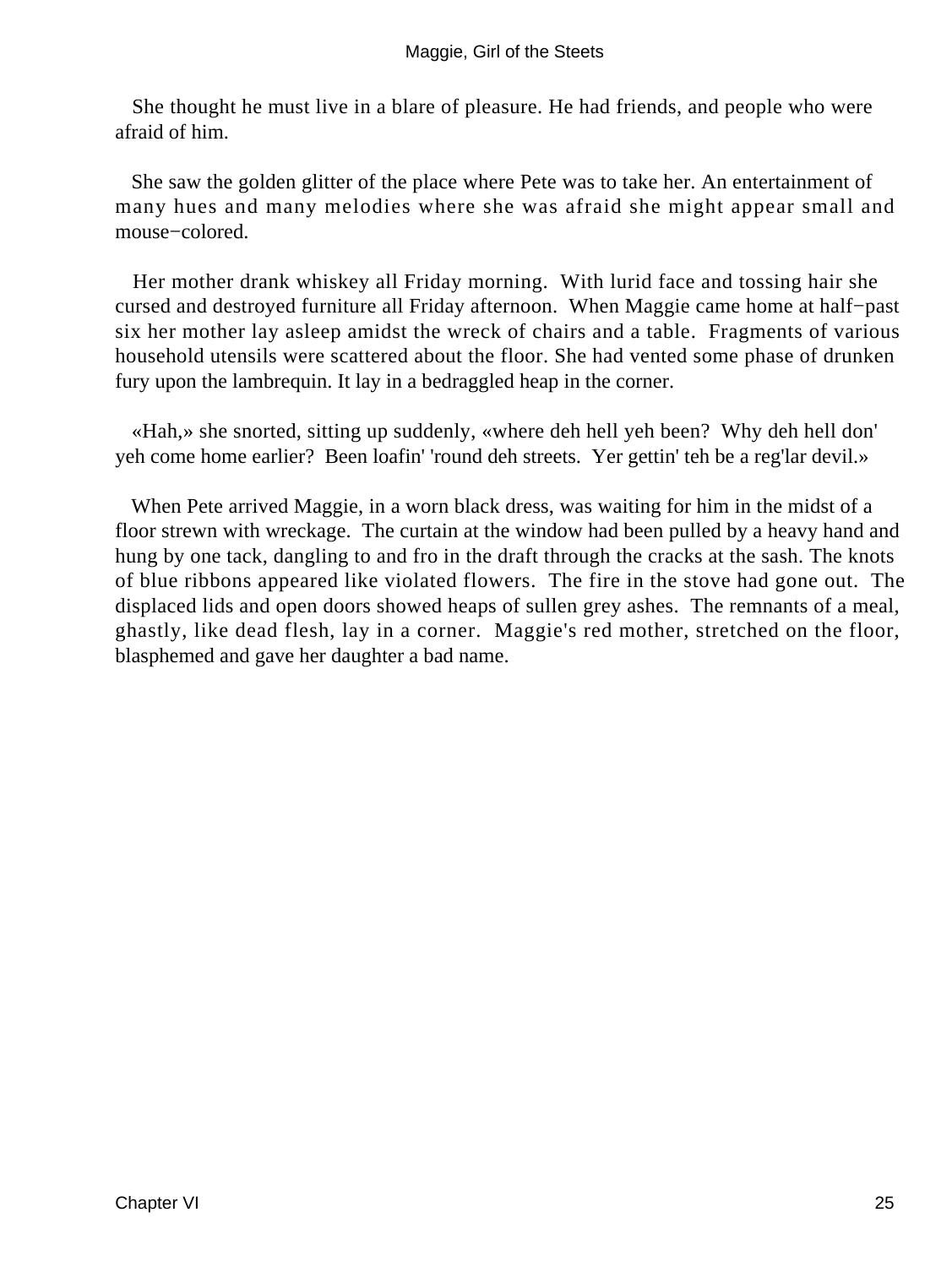She thought he must live in a blare of pleasure. He had friends, and people who were afraid of him.

 She saw the golden glitter of the place where Pete was to take her. An entertainment of many hues and many melodies where she was afraid she might appear small and mouse−colored.

 Her mother drank whiskey all Friday morning. With lurid face and tossing hair she cursed and destroyed furniture all Friday afternoon. When Maggie came home at half−past six her mother lay asleep amidst the wreck of chairs and a table. Fragments of various household utensils were scattered about the floor. She had vented some phase of drunken fury upon the lambrequin. It lay in a bedraggled heap in the corner.

 «Hah,» she snorted, sitting up suddenly, «where deh hell yeh been? Why deh hell don' yeh come home earlier? Been loafin' 'round deh streets. Yer gettin' teh be a reg'lar devil.»

 When Pete arrived Maggie, in a worn black dress, was waiting for him in the midst of a floor strewn with wreckage. The curtain at the window had been pulled by a heavy hand and hung by one tack, dangling to and fro in the draft through the cracks at the sash. The knots of blue ribbons appeared like violated flowers. The fire in the stove had gone out. The displaced lids and open doors showed heaps of sullen grey ashes. The remnants of a meal, ghastly, like dead flesh, lay in a corner. Maggie's red mother, stretched on the floor, blasphemed and gave her daughter a bad name.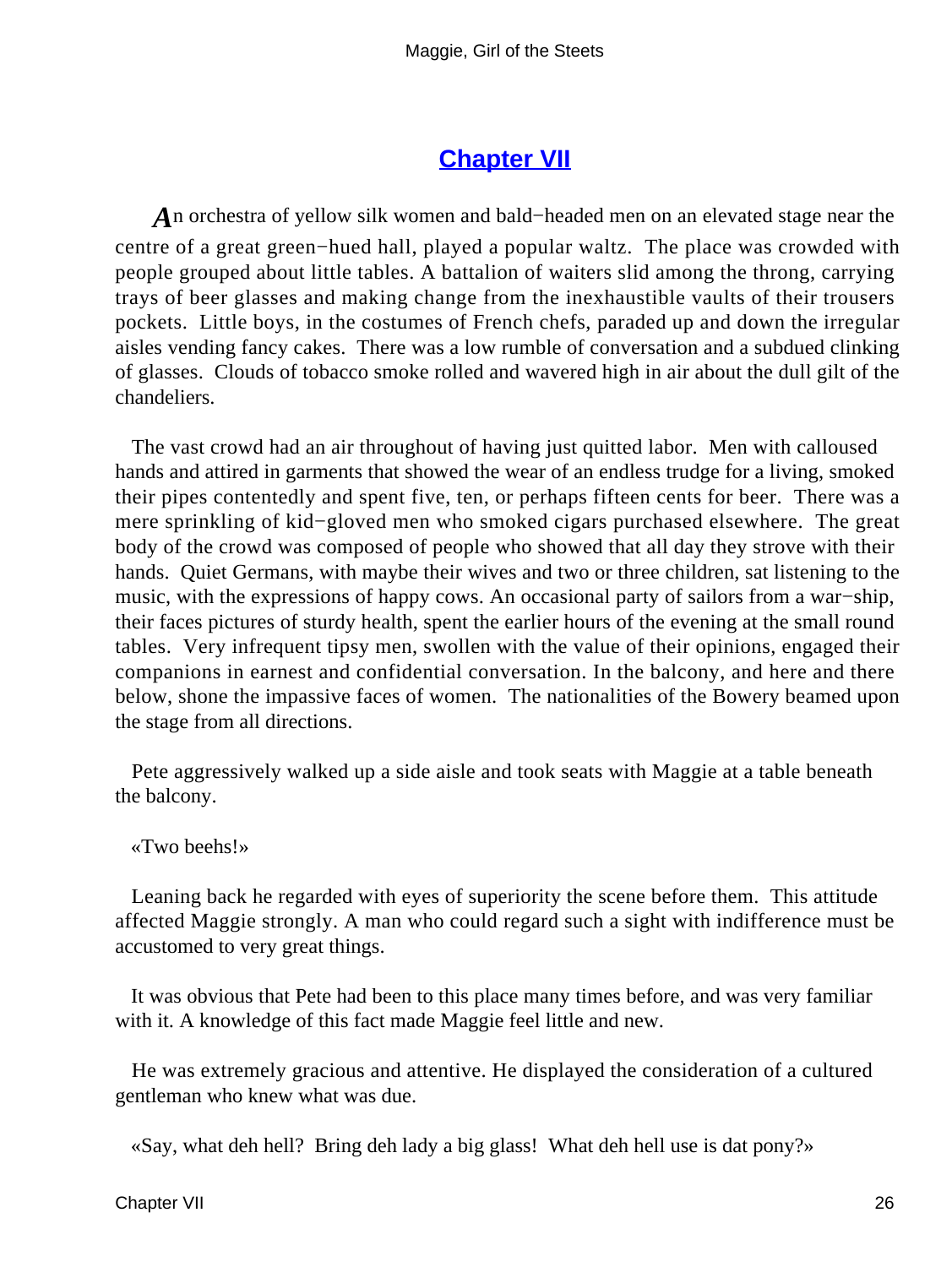#### **[Chapter VII](#page-67-0)**

*A*n orchestra of yellow silk women and bald−headed men on an elevated stage near the centre of a great green−hued hall, played a popular waltz. The place was crowded with people grouped about little tables. A battalion of waiters slid among the throng, carrying trays of beer glasses and making change from the inexhaustible vaults of their trousers pockets. Little boys, in the costumes of French chefs, paraded up and down the irregular aisles vending fancy cakes. There was a low rumble of conversation and a subdued clinking of glasses. Clouds of tobacco smoke rolled and wavered high in air about the dull gilt of the chandeliers.

 The vast crowd had an air throughout of having just quitted labor. Men with calloused hands and attired in garments that showed the wear of an endless trudge for a living, smoked their pipes contentedly and spent five, ten, or perhaps fifteen cents for beer. There was a mere sprinkling of kid−gloved men who smoked cigars purchased elsewhere. The great body of the crowd was composed of people who showed that all day they strove with their hands. Quiet Germans, with maybe their wives and two or three children, sat listening to the music, with the expressions of happy cows. An occasional party of sailors from a war−ship, their faces pictures of sturdy health, spent the earlier hours of the evening at the small round tables. Very infrequent tipsy men, swollen with the value of their opinions, engaged their companions in earnest and confidential conversation. In the balcony, and here and there below, shone the impassive faces of women. The nationalities of the Bowery beamed upon the stage from all directions.

 Pete aggressively walked up a side aisle and took seats with Maggie at a table beneath the balcony.

«Two beehs!»

 Leaning back he regarded with eyes of superiority the scene before them. This attitude affected Maggie strongly. A man who could regard such a sight with indifference must be accustomed to very great things.

 It was obvious that Pete had been to this place many times before, and was very familiar with it. A knowledge of this fact made Maggie feel little and new.

 He was extremely gracious and attentive. He displayed the consideration of a cultured gentleman who knew what was due.

«Say, what deh hell? Bring deh lady a big glass! What deh hell use is dat pony?»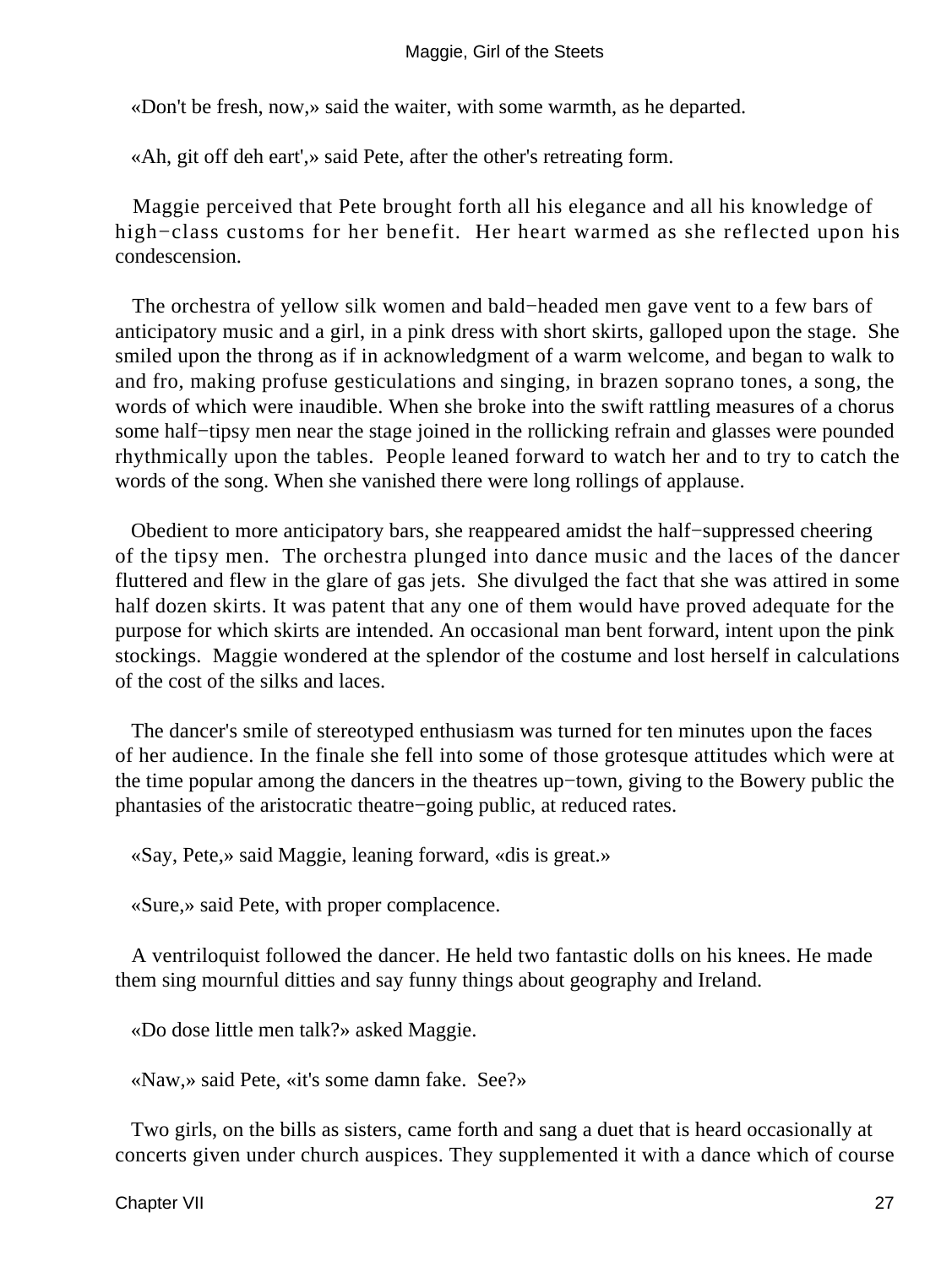«Don't be fresh, now,» said the waiter, with some warmth, as he departed.

«Ah, git off deh eart',» said Pete, after the other's retreating form.

 Maggie perceived that Pete brought forth all his elegance and all his knowledge of high−class customs for her benefit. Her heart warmed as she reflected upon his condescension.

 The orchestra of yellow silk women and bald−headed men gave vent to a few bars of anticipatory music and a girl, in a pink dress with short skirts, galloped upon the stage. She smiled upon the throng as if in acknowledgment of a warm welcome, and began to walk to and fro, making profuse gesticulations and singing, in brazen soprano tones, a song, the words of which were inaudible. When she broke into the swift rattling measures of a chorus some half−tipsy men near the stage joined in the rollicking refrain and glasses were pounded rhythmically upon the tables. People leaned forward to watch her and to try to catch the words of the song. When she vanished there were long rollings of applause.

 Obedient to more anticipatory bars, she reappeared amidst the half−suppressed cheering of the tipsy men. The orchestra plunged into dance music and the laces of the dancer fluttered and flew in the glare of gas jets. She divulged the fact that she was attired in some half dozen skirts. It was patent that any one of them would have proved adequate for the purpose for which skirts are intended. An occasional man bent forward, intent upon the pink stockings. Maggie wondered at the splendor of the costume and lost herself in calculations of the cost of the silks and laces.

 The dancer's smile of stereotyped enthusiasm was turned for ten minutes upon the faces of her audience. In the finale she fell into some of those grotesque attitudes which were at the time popular among the dancers in the theatres up−town, giving to the Bowery public the phantasies of the aristocratic theatre−going public, at reduced rates.

«Say, Pete,» said Maggie, leaning forward, «dis is great.»

«Sure,» said Pete, with proper complacence.

 A ventriloquist followed the dancer. He held two fantastic dolls on his knees. He made them sing mournful ditties and say funny things about geography and Ireland.

«Do dose little men talk?» asked Maggie.

«Naw,» said Pete, «it's some damn fake. See?»

 Two girls, on the bills as sisters, came forth and sang a duet that is heard occasionally at concerts given under church auspices. They supplemented it with a dance which of course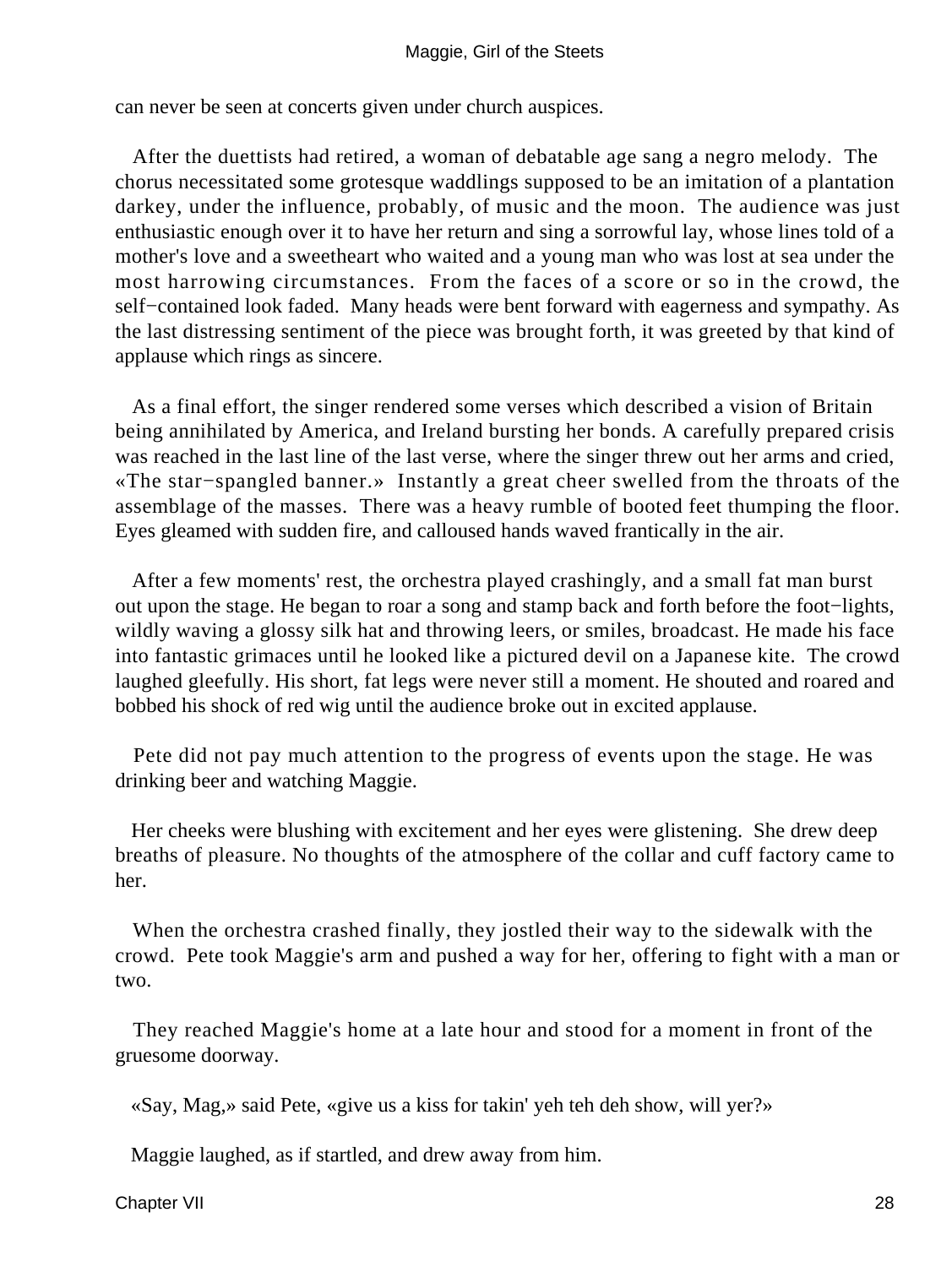#### Maggie, Girl of the Steets

can never be seen at concerts given under church auspices.

 After the duettists had retired, a woman of debatable age sang a negro melody. The chorus necessitated some grotesque waddlings supposed to be an imitation of a plantation darkey, under the influence, probably, of music and the moon. The audience was just enthusiastic enough over it to have her return and sing a sorrowful lay, whose lines told of a mother's love and a sweetheart who waited and a young man who was lost at sea under the most harrowing circumstances. From the faces of a score or so in the crowd, the self−contained look faded. Many heads were bent forward with eagerness and sympathy. As the last distressing sentiment of the piece was brought forth, it was greeted by that kind of applause which rings as sincere.

 As a final effort, the singer rendered some verses which described a vision of Britain being annihilated by America, and Ireland bursting her bonds. A carefully prepared crisis was reached in the last line of the last verse, where the singer threw out her arms and cried, «The star−spangled banner.» Instantly a great cheer swelled from the throats of the assemblage of the masses. There was a heavy rumble of booted feet thumping the floor. Eyes gleamed with sudden fire, and calloused hands waved frantically in the air.

 After a few moments' rest, the orchestra played crashingly, and a small fat man burst out upon the stage. He began to roar a song and stamp back and forth before the foot−lights, wildly waving a glossy silk hat and throwing leers, or smiles, broadcast. He made his face into fantastic grimaces until he looked like a pictured devil on a Japanese kite. The crowd laughed gleefully. His short, fat legs were never still a moment. He shouted and roared and bobbed his shock of red wig until the audience broke out in excited applause.

 Pete did not pay much attention to the progress of events upon the stage. He was drinking beer and watching Maggie.

 Her cheeks were blushing with excitement and her eyes were glistening. She drew deep breaths of pleasure. No thoughts of the atmosphere of the collar and cuff factory came to her.

 When the orchestra crashed finally, they jostled their way to the sidewalk with the crowd. Pete took Maggie's arm and pushed a way for her, offering to fight with a man or two.

 They reached Maggie's home at a late hour and stood for a moment in front of the gruesome doorway.

«Say, Mag,» said Pete, «give us a kiss for takin' yeh teh deh show, will yer?»

Maggie laughed, as if startled, and drew away from him.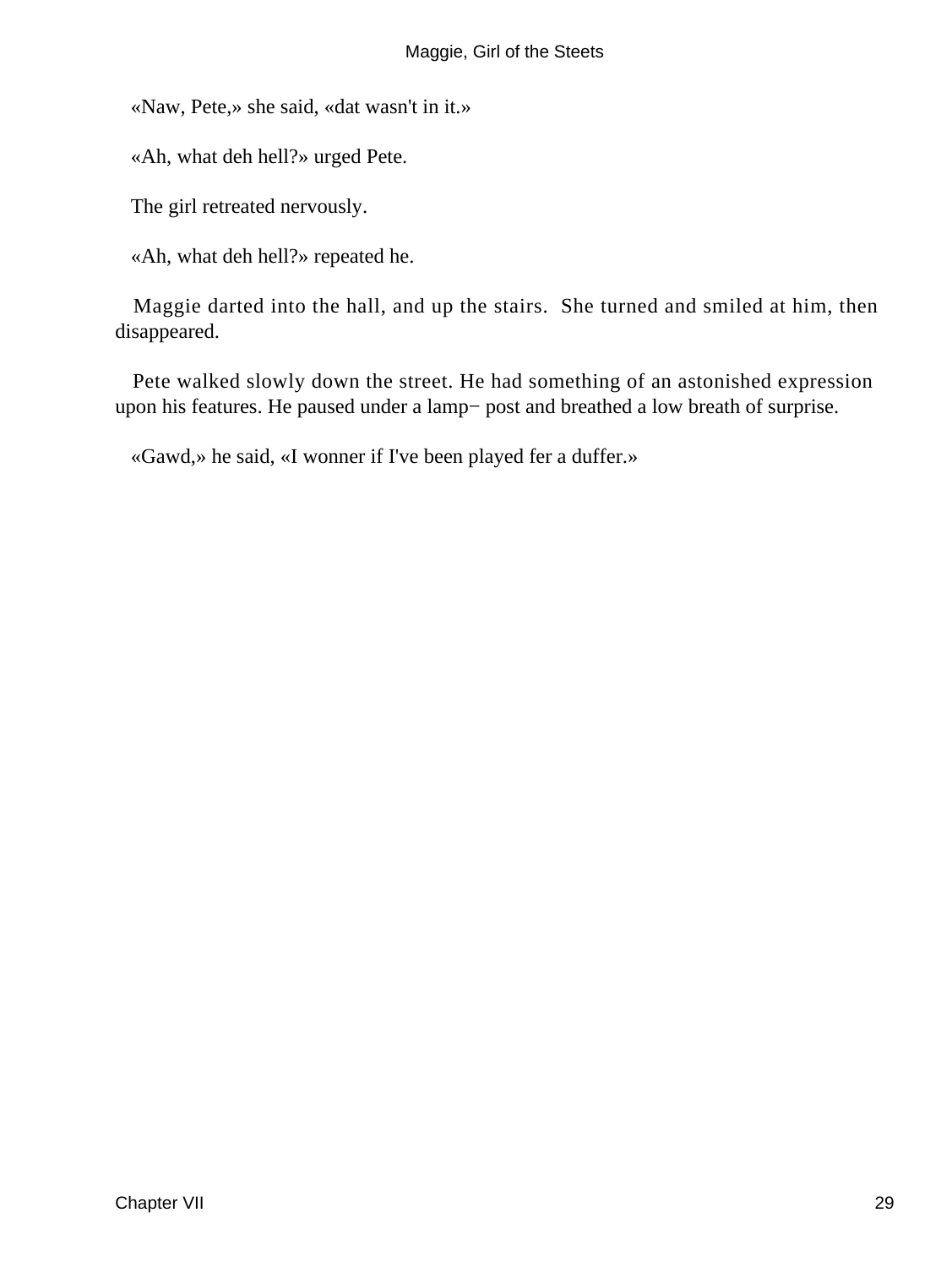«Naw, Pete,» she said, «dat wasn't in it.»

«Ah, what deh hell?» urged Pete.

The girl retreated nervously.

«Ah, what deh hell?» repeated he.

 Maggie darted into the hall, and up the stairs. She turned and smiled at him, then disappeared.

 Pete walked slowly down the street. He had something of an astonished expression upon his features. He paused under a lamp− post and breathed a low breath of surprise.

«Gawd,» he said, «I wonner if I've been played fer a duffer.»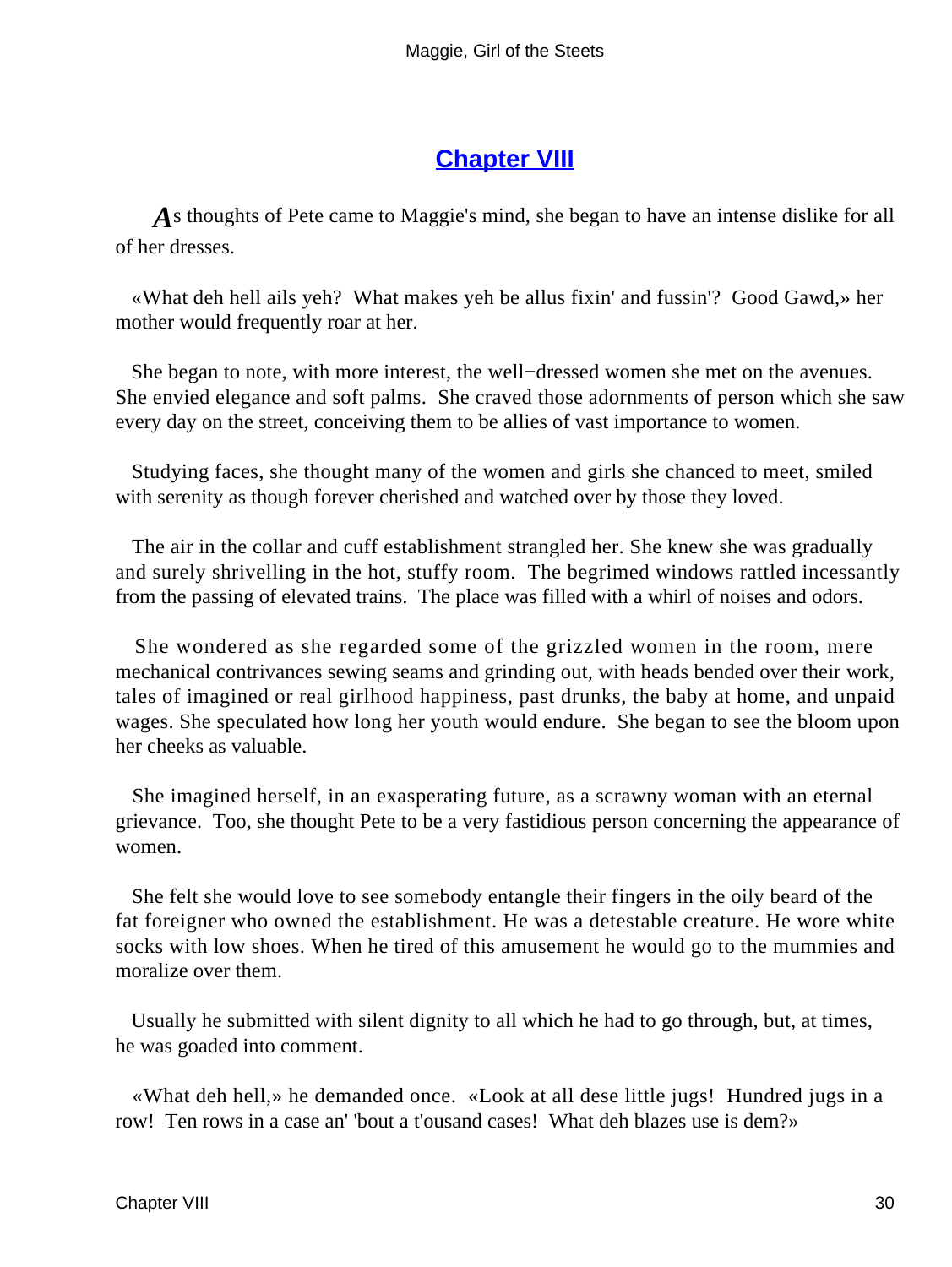#### **[Chapter VIII](#page-67-0)**

*A*s thoughts of Pete came to Maggie's mind, she began to have an intense dislike for all of her dresses.

 «What deh hell ails yeh? What makes yeh be allus fixin' and fussin'? Good Gawd,» her mother would frequently roar at her.

 She began to note, with more interest, the well−dressed women she met on the avenues. She envied elegance and soft palms. She craved those adornments of person which she saw every day on the street, conceiving them to be allies of vast importance to women.

 Studying faces, she thought many of the women and girls she chanced to meet, smiled with serenity as though forever cherished and watched over by those they loved.

 The air in the collar and cuff establishment strangled her. She knew she was gradually and surely shrivelling in the hot, stuffy room. The begrimed windows rattled incessantly from the passing of elevated trains. The place was filled with a whirl of noises and odors.

 She wondered as she regarded some of the grizzled women in the room, mere mechanical contrivances sewing seams and grinding out, with heads bended over their work, tales of imagined or real girlhood happiness, past drunks, the baby at home, and unpaid wages. She speculated how long her youth would endure. She began to see the bloom upon her cheeks as valuable.

 She imagined herself, in an exasperating future, as a scrawny woman with an eternal grievance. Too, she thought Pete to be a very fastidious person concerning the appearance of women.

 She felt she would love to see somebody entangle their fingers in the oily beard of the fat foreigner who owned the establishment. He was a detestable creature. He wore white socks with low shoes. When he tired of this amusement he would go to the mummies and moralize over them.

 Usually he submitted with silent dignity to all which he had to go through, but, at times, he was goaded into comment.

 «What deh hell,» he demanded once. «Look at all dese little jugs! Hundred jugs in a row! Ten rows in a case an' 'bout a t'ousand cases! What deh blazes use is dem?»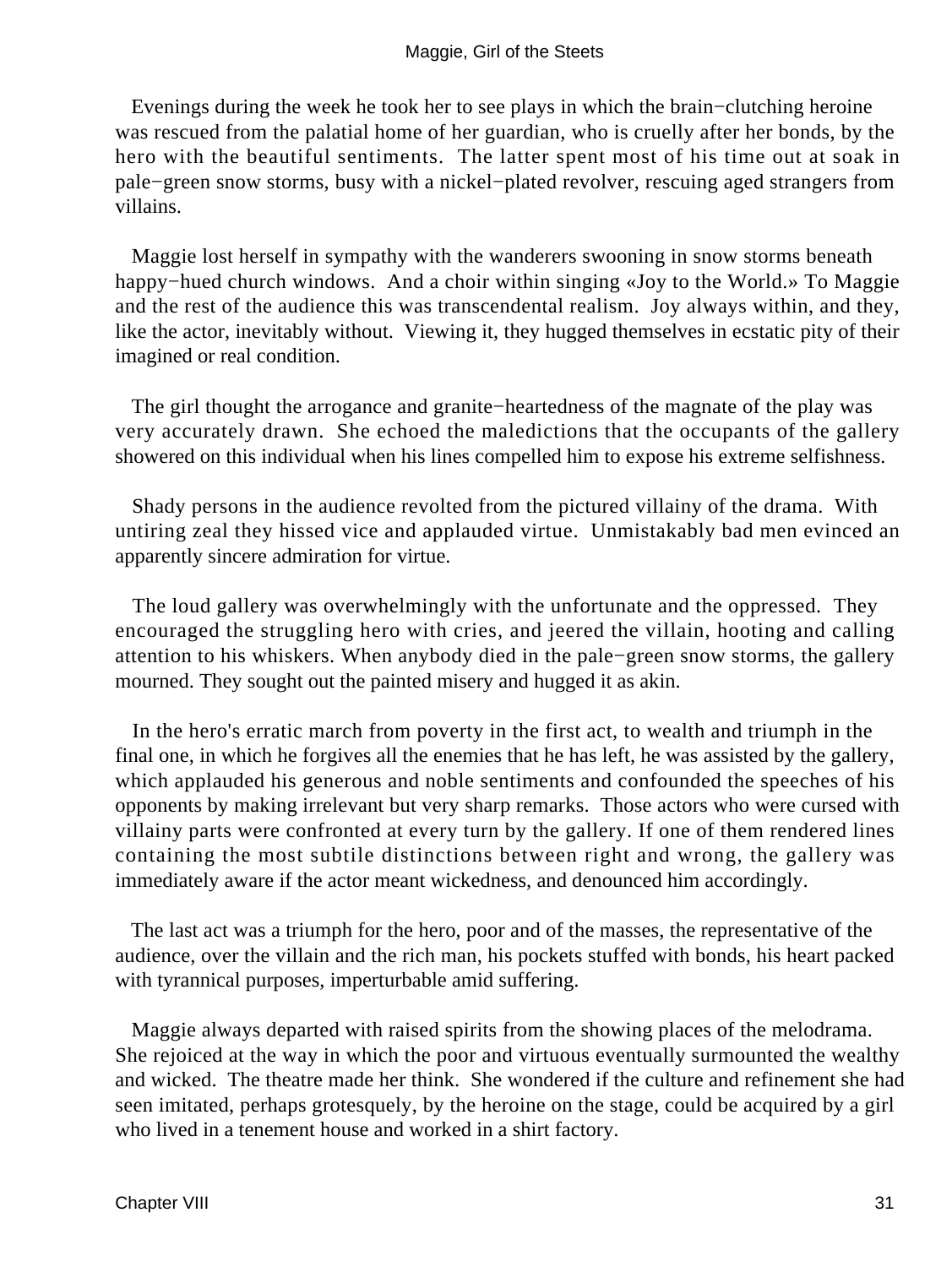Evenings during the week he took her to see plays in which the brain−clutching heroine was rescued from the palatial home of her guardian, who is cruelly after her bonds, by the hero with the beautiful sentiments. The latter spent most of his time out at soak in pale−green snow storms, busy with a nickel−plated revolver, rescuing aged strangers from villains.

 Maggie lost herself in sympathy with the wanderers swooning in snow storms beneath happy−hued church windows. And a choir within singing «Joy to the World.» To Maggie and the rest of the audience this was transcendental realism. Joy always within, and they, like the actor, inevitably without. Viewing it, they hugged themselves in ecstatic pity of their imagined or real condition.

 The girl thought the arrogance and granite−heartedness of the magnate of the play was very accurately drawn. She echoed the maledictions that the occupants of the gallery showered on this individual when his lines compelled him to expose his extreme selfishness.

 Shady persons in the audience revolted from the pictured villainy of the drama. With untiring zeal they hissed vice and applauded virtue. Unmistakably bad men evinced an apparently sincere admiration for virtue.

 The loud gallery was overwhelmingly with the unfortunate and the oppressed. They encouraged the struggling hero with cries, and jeered the villain, hooting and calling attention to his whiskers. When anybody died in the pale−green snow storms, the gallery mourned. They sought out the painted misery and hugged it as akin.

 In the hero's erratic march from poverty in the first act, to wealth and triumph in the final one, in which he forgives all the enemies that he has left, he was assisted by the gallery, which applauded his generous and noble sentiments and confounded the speeches of his opponents by making irrelevant but very sharp remarks. Those actors who were cursed with villainy parts were confronted at every turn by the gallery. If one of them rendered lines containing the most subtile distinctions between right and wrong, the gallery was immediately aware if the actor meant wickedness, and denounced him accordingly.

 The last act was a triumph for the hero, poor and of the masses, the representative of the audience, over the villain and the rich man, his pockets stuffed with bonds, his heart packed with tyrannical purposes, imperturbable amid suffering.

 Maggie always departed with raised spirits from the showing places of the melodrama. She rejoiced at the way in which the poor and virtuous eventually surmounted the wealthy and wicked. The theatre made her think. She wondered if the culture and refinement she had seen imitated, perhaps grotesquely, by the heroine on the stage, could be acquired by a girl who lived in a tenement house and worked in a shirt factory.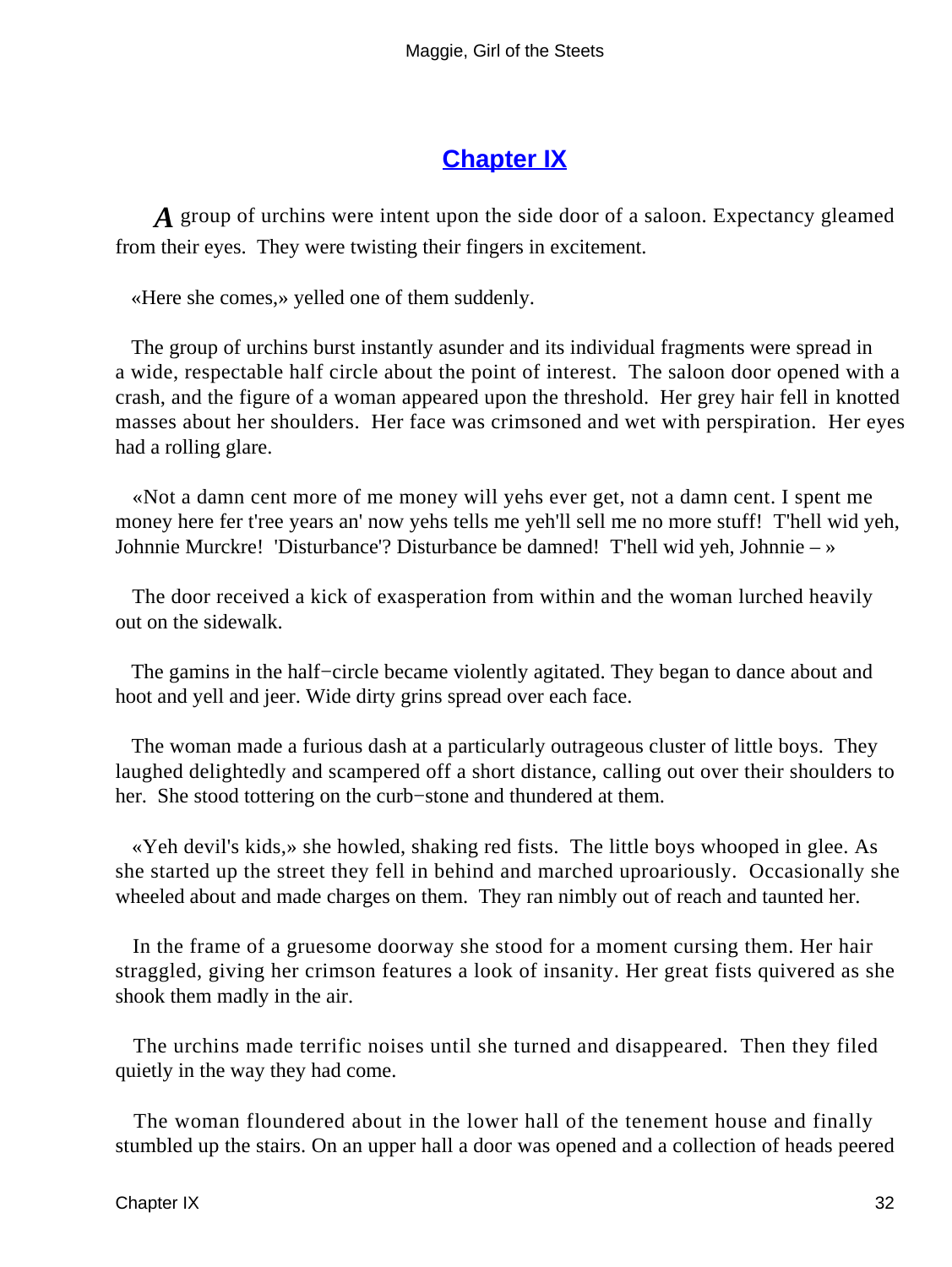#### **[Chapter IX](#page-67-0)**

*A* group of urchins were intent upon the side door of a saloon. Expectancy gleamed from their eyes. They were twisting their fingers in excitement.

«Here she comes,» yelled one of them suddenly.

 The group of urchins burst instantly asunder and its individual fragments were spread in a wide, respectable half circle about the point of interest. The saloon door opened with a crash, and the figure of a woman appeared upon the threshold. Her grey hair fell in knotted masses about her shoulders. Her face was crimsoned and wet with perspiration. Her eyes had a rolling glare.

 «Not a damn cent more of me money will yehs ever get, not a damn cent. I spent me money here fer t'ree years an' now yehs tells me yeh'll sell me no more stuff! T'hell wid yeh, Johnnie Murckre! 'Disturbance'? Disturbance be damned! T'hell wid yeh, Johnnie – »

 The door received a kick of exasperation from within and the woman lurched heavily out on the sidewalk.

 The gamins in the half−circle became violently agitated. They began to dance about and hoot and yell and jeer. Wide dirty grins spread over each face.

 The woman made a furious dash at a particularly outrageous cluster of little boys. They laughed delightedly and scampered off a short distance, calling out over their shoulders to her. She stood tottering on the curb−stone and thundered at them.

 «Yeh devil's kids,» she howled, shaking red fists. The little boys whooped in glee. As she started up the street they fell in behind and marched uproariously. Occasionally she wheeled about and made charges on them. They ran nimbly out of reach and taunted her.

 In the frame of a gruesome doorway she stood for a moment cursing them. Her hair straggled, giving her crimson features a look of insanity. Her great fists quivered as she shook them madly in the air.

 The urchins made terrific noises until she turned and disappeared. Then they filed quietly in the way they had come.

 The woman floundered about in the lower hall of the tenement house and finally stumbled up the stairs. On an upper hall a door was opened and a collection of heads peered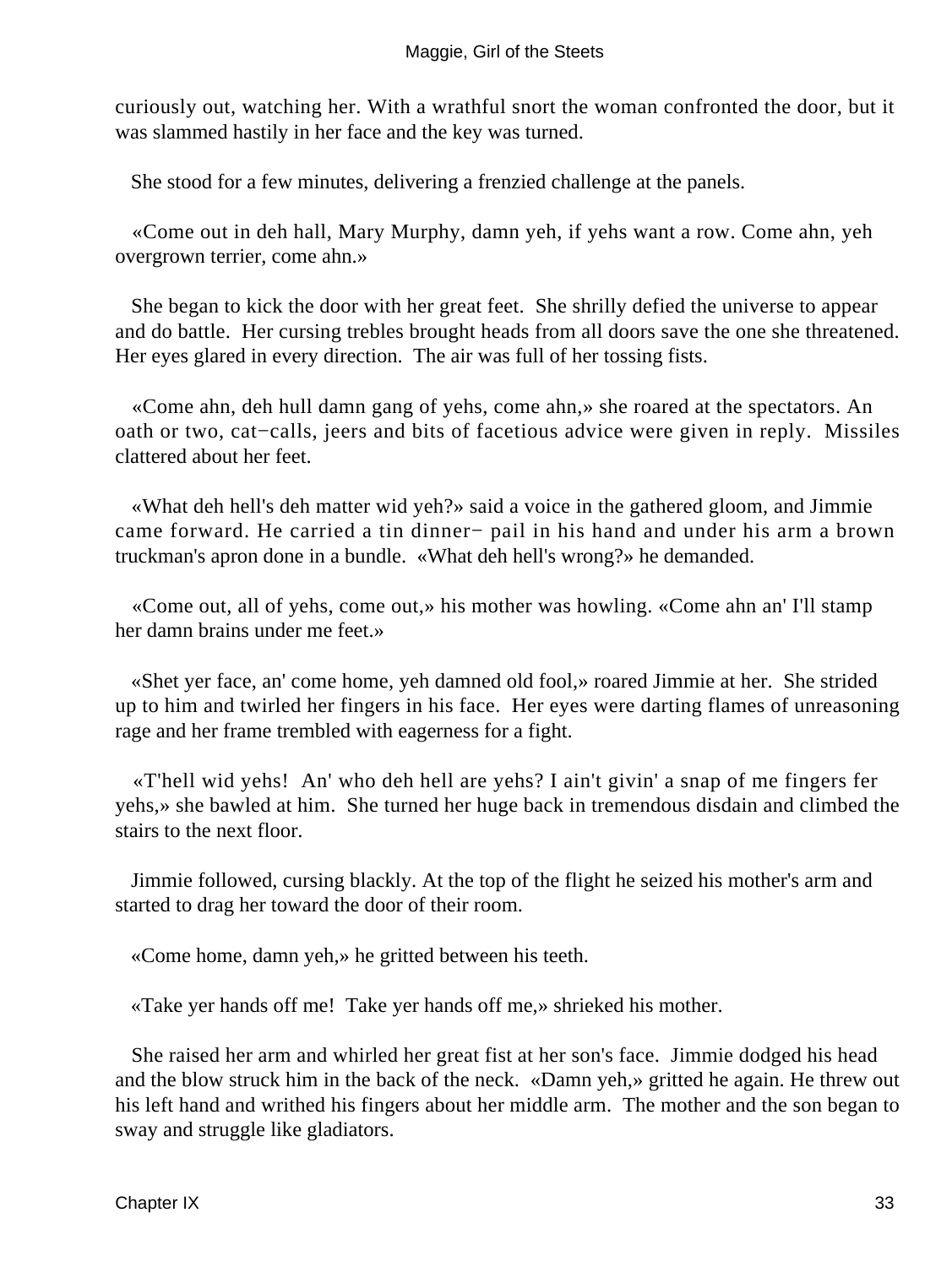curiously out, watching her. With a wrathful snort the woman confronted the door, but it was slammed hastily in her face and the key was turned.

She stood for a few minutes, delivering a frenzied challenge at the panels.

 «Come out in deh hall, Mary Murphy, damn yeh, if yehs want a row. Come ahn, yeh overgrown terrier, come ahn.»

 She began to kick the door with her great feet. She shrilly defied the universe to appear and do battle. Her cursing trebles brought heads from all doors save the one she threatened. Her eyes glared in every direction. The air was full of her tossing fists.

 «Come ahn, deh hull damn gang of yehs, come ahn,» she roared at the spectators. An oath or two, cat−calls, jeers and bits of facetious advice were given in reply. Missiles clattered about her feet.

 «What deh hell's deh matter wid yeh?» said a voice in the gathered gloom, and Jimmie came forward. He carried a tin dinner− pail in his hand and under his arm a brown truckman's apron done in a bundle. «What deh hell's wrong?» he demanded.

 «Come out, all of yehs, come out,» his mother was howling. «Come ahn an' I'll stamp her damn brains under me feet.»

 «Shet yer face, an' come home, yeh damned old fool,» roared Jimmie at her. She strided up to him and twirled her fingers in his face. Her eyes were darting flames of unreasoning rage and her frame trembled with eagerness for a fight.

 «T'hell wid yehs! An' who deh hell are yehs? I ain't givin' a snap of me fingers fer yehs,» she bawled at him. She turned her huge back in tremendous disdain and climbed the stairs to the next floor.

 Jimmie followed, cursing blackly. At the top of the flight he seized his mother's arm and started to drag her toward the door of their room.

«Come home, damn yeh,» he gritted between his teeth.

«Take yer hands off me! Take yer hands off me,» shrieked his mother.

 She raised her arm and whirled her great fist at her son's face. Jimmie dodged his head and the blow struck him in the back of the neck. «Damn yeh,» gritted he again. He threw out his left hand and writhed his fingers about her middle arm. The mother and the son began to sway and struggle like gladiators.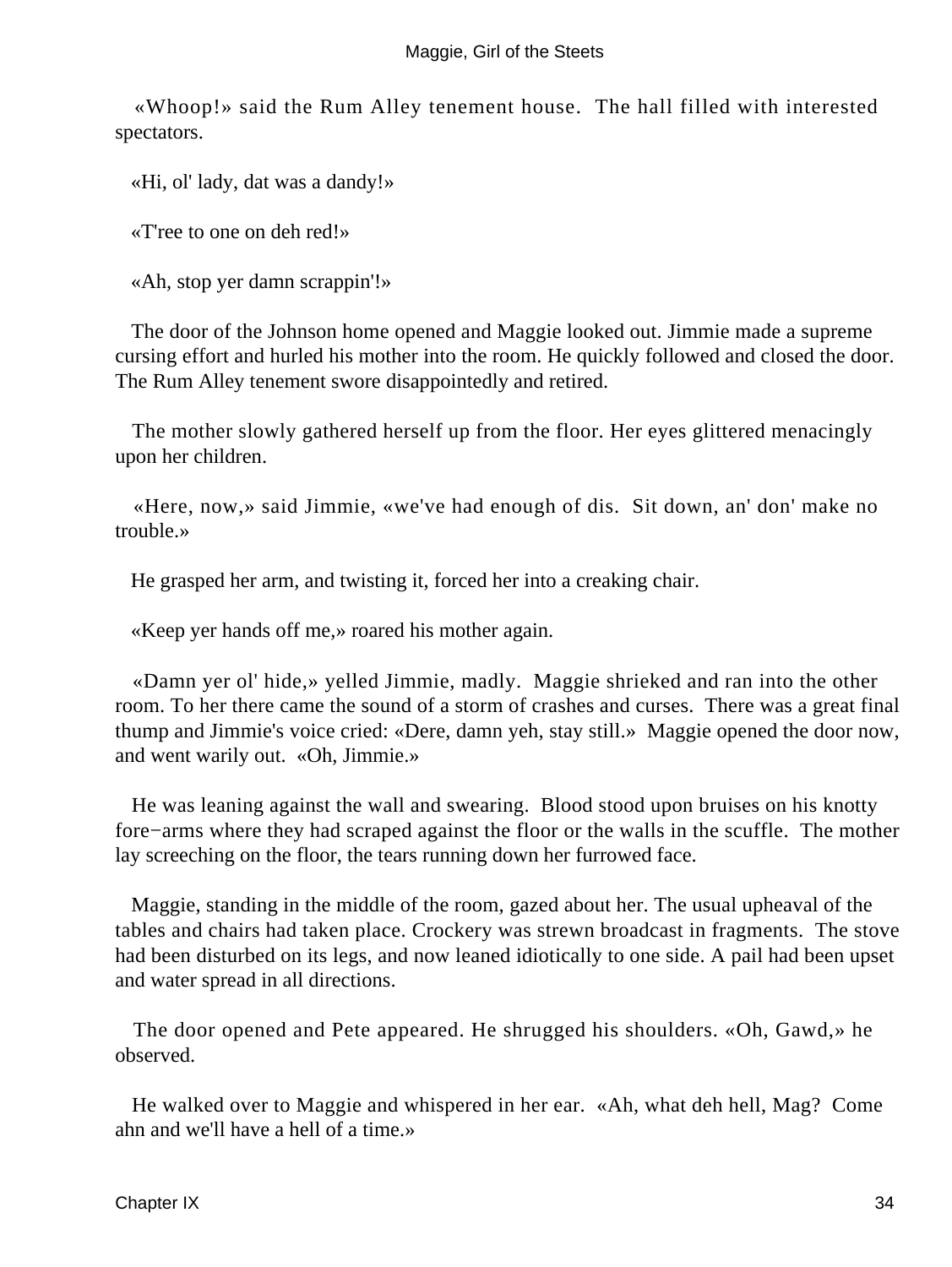«Whoop!» said the Rum Alley tenement house. The hall filled with interested spectators.

«Hi, ol' lady, dat was a dandy!»

«T'ree to one on deh red!»

«Ah, stop yer damn scrappin'!»

 The door of the Johnson home opened and Maggie looked out. Jimmie made a supreme cursing effort and hurled his mother into the room. He quickly followed and closed the door. The Rum Alley tenement swore disappointedly and retired.

 The mother slowly gathered herself up from the floor. Her eyes glittered menacingly upon her children.

 «Here, now,» said Jimmie, «we've had enough of dis. Sit down, an' don' make no trouble.»

He grasped her arm, and twisting it, forced her into a creaking chair.

«Keep yer hands off me,» roared his mother again.

 «Damn yer ol' hide,» yelled Jimmie, madly. Maggie shrieked and ran into the other room. To her there came the sound of a storm of crashes and curses. There was a great final thump and Jimmie's voice cried: «Dere, damn yeh, stay still.» Maggie opened the door now, and went warily out. «Oh, Jimmie.»

 He was leaning against the wall and swearing. Blood stood upon bruises on his knotty fore−arms where they had scraped against the floor or the walls in the scuffle. The mother lay screeching on the floor, the tears running down her furrowed face.

 Maggie, standing in the middle of the room, gazed about her. The usual upheaval of the tables and chairs had taken place. Crockery was strewn broadcast in fragments. The stove had been disturbed on its legs, and now leaned idiotically to one side. A pail had been upset and water spread in all directions.

 The door opened and Pete appeared. He shrugged his shoulders. «Oh, Gawd,» he observed.

 He walked over to Maggie and whispered in her ear. «Ah, what deh hell, Mag? Come ahn and we'll have a hell of a time.»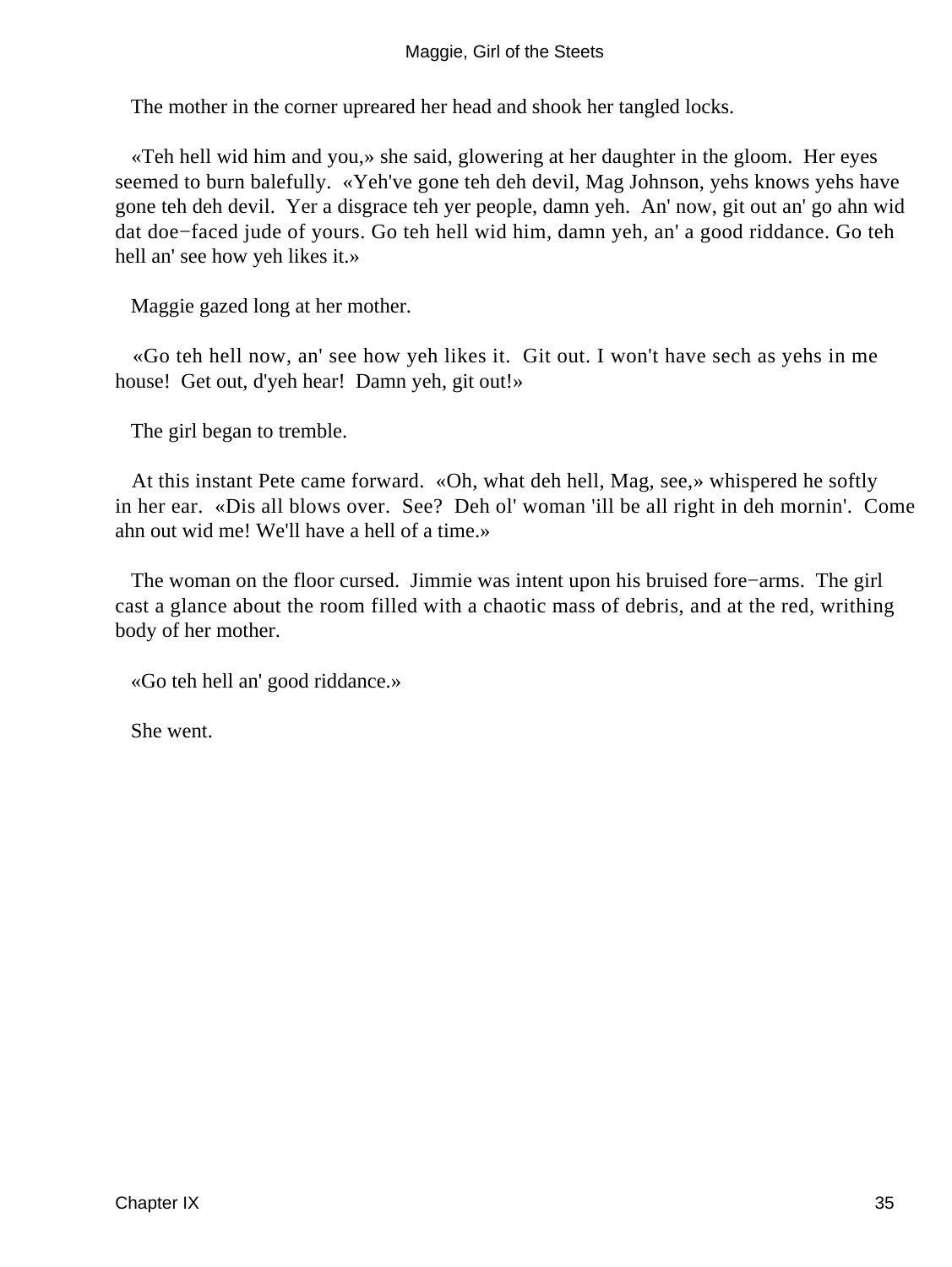The mother in the corner upreared her head and shook her tangled locks.

 «Teh hell wid him and you,» she said, glowering at her daughter in the gloom. Her eyes seemed to burn balefully. «Yeh've gone teh deh devil, Mag Johnson, yehs knows yehs have gone teh deh devil. Yer a disgrace teh yer people, damn yeh. An' now, git out an' go ahn wid dat doe−faced jude of yours. Go teh hell wid him, damn yeh, an' a good riddance. Go teh hell an' see how yeh likes it.»

Maggie gazed long at her mother.

 «Go teh hell now, an' see how yeh likes it. Git out. I won't have sech as yehs in me house! Get out, d'yeh hear! Damn yeh, git out!»

The girl began to tremble.

 At this instant Pete came forward. «Oh, what deh hell, Mag, see,» whispered he softly in her ear. «Dis all blows over. See? Deh ol' woman 'ill be all right in deh mornin'. Come ahn out wid me! We'll have a hell of a time.»

 The woman on the floor cursed. Jimmie was intent upon his bruised fore−arms. The girl cast a glance about the room filled with a chaotic mass of debris, and at the red, writhing body of her mother.

«Go teh hell an' good riddance.»

She went.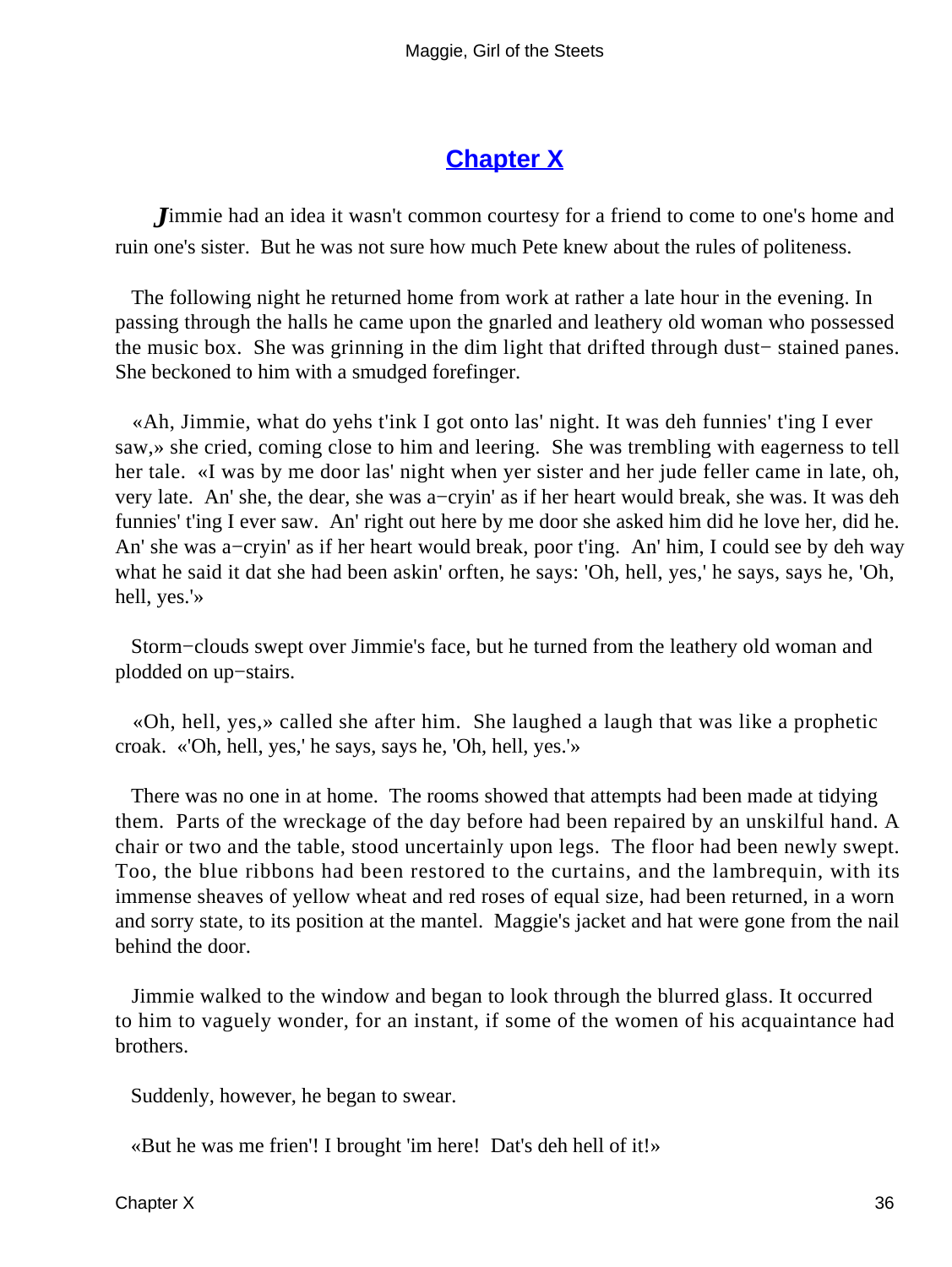# **[Chapter X](#page-67-0)**

<span id="page-36-0"></span>*J*immie had an idea it wasn't common courtesy for a friend to come to one's home and ruin one's sister. But he was not sure how much Pete knew about the rules of politeness.

 The following night he returned home from work at rather a late hour in the evening. In passing through the halls he came upon the gnarled and leathery old woman who possessed the music box. She was grinning in the dim light that drifted through dust− stained panes. She beckoned to him with a smudged forefinger.

 «Ah, Jimmie, what do yehs t'ink I got onto las' night. It was deh funnies' t'ing I ever saw,» she cried, coming close to him and leering. She was trembling with eagerness to tell her tale. «I was by me door las' night when yer sister and her jude feller came in late, oh, very late. An' she, the dear, she was a−cryin' as if her heart would break, she was. It was deh funnies' t'ing I ever saw. An' right out here by me door she asked him did he love her, did he. An' she was a−cryin' as if her heart would break, poor t'ing. An' him, I could see by deh way what he said it dat she had been askin' orften, he says: 'Oh, hell, yes,' he says, says he, 'Oh, hell, yes.'»

 Storm−clouds swept over Jimmie's face, but he turned from the leathery old woman and plodded on up−stairs.

 «Oh, hell, yes,» called she after him. She laughed a laugh that was like a prophetic croak. «'Oh, hell, yes,' he says, says he, 'Oh, hell, yes.'»

 There was no one in at home. The rooms showed that attempts had been made at tidying them. Parts of the wreckage of the day before had been repaired by an unskilful hand. A chair or two and the table, stood uncertainly upon legs. The floor had been newly swept. Too, the blue ribbons had been restored to the curtains, and the lambrequin, with its immense sheaves of yellow wheat and red roses of equal size, had been returned, in a worn and sorry state, to its position at the mantel. Maggie's jacket and hat were gone from the nail behind the door.

 Jimmie walked to the window and began to look through the blurred glass. It occurred to him to vaguely wonder, for an instant, if some of the women of his acquaintance had brothers.

Suddenly, however, he began to swear.

«But he was me frien'! I brought 'im here! Dat's deh hell of it!»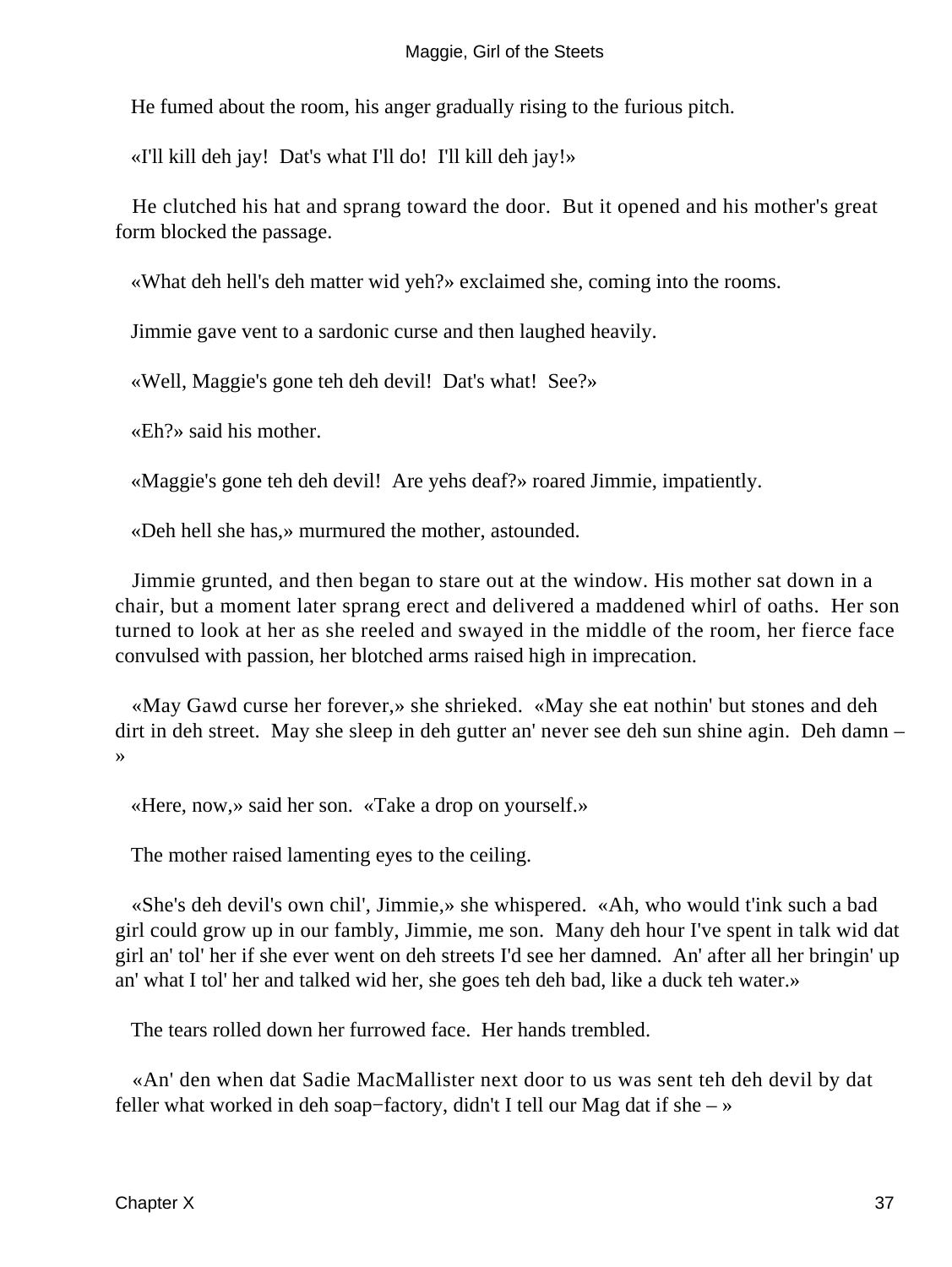He fumed about the room, his anger gradually rising to the furious pitch.

«I'll kill deh jay! Dat's what I'll do! I'll kill deh jay!»

 He clutched his hat and sprang toward the door. But it opened and his mother's great form blocked the passage.

«What deh hell's deh matter wid yeh?» exclaimed she, coming into the rooms.

Jimmie gave vent to a sardonic curse and then laughed heavily.

«Well, Maggie's gone teh deh devil! Dat's what! See?»

«Eh?» said his mother.

«Maggie's gone teh deh devil! Are yehs deaf?» roared Jimmie, impatiently.

«Deh hell she has,» murmured the mother, astounded.

 Jimmie grunted, and then began to stare out at the window. His mother sat down in a chair, but a moment later sprang erect and delivered a maddened whirl of oaths. Her son turned to look at her as she reeled and swayed in the middle of the room, her fierce face convulsed with passion, her blotched arms raised high in imprecation.

 «May Gawd curse her forever,» she shrieked. «May she eat nothin' but stones and deh dirt in deh street. May she sleep in deh gutter an' never see deh sun shine agin. Deh damn – »

«Here, now,» said her son. «Take a drop on yourself.»

The mother raised lamenting eyes to the ceiling.

 «She's deh devil's own chil', Jimmie,» she whispered. «Ah, who would t'ink such a bad girl could grow up in our fambly, Jimmie, me son. Many deh hour I've spent in talk wid dat girl an' tol' her if she ever went on deh streets I'd see her damned. An' after all her bringin' up an' what I tol' her and talked wid her, she goes teh deh bad, like a duck teh water.»

The tears rolled down her furrowed face. Her hands trembled.

 «An' den when dat Sadie MacMallister next door to us was sent teh deh devil by dat feller what worked in deh soap−factory, didn't I tell our Mag dat if she – »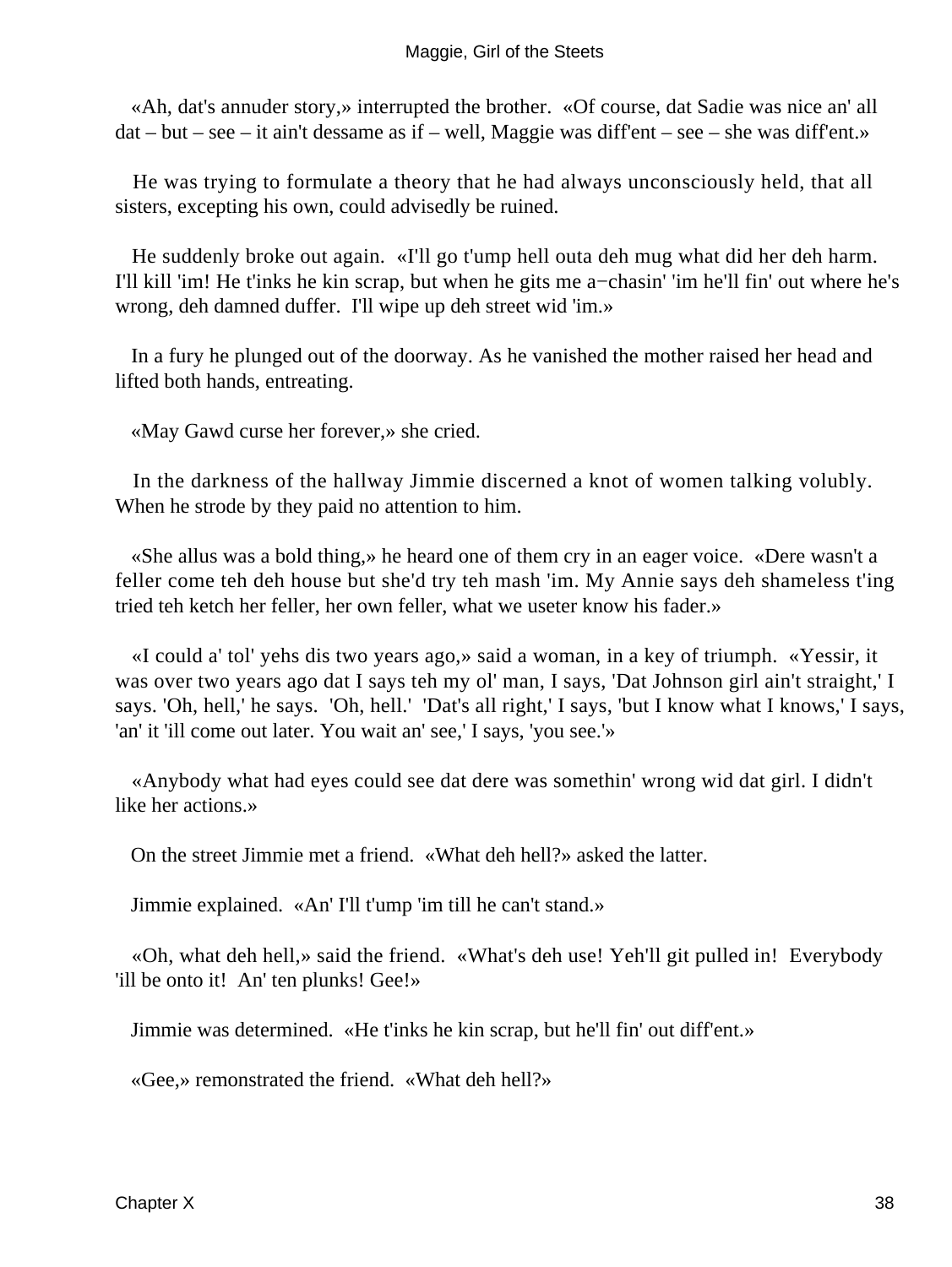«Ah, dat's annuder story,» interrupted the brother. «Of course, dat Sadie was nice an' all dat – but – see – it ain't dessame as if – well, Maggie was diff'ent – see – she was diff'ent.»

 He was trying to formulate a theory that he had always unconsciously held, that all sisters, excepting his own, could advisedly be ruined.

 He suddenly broke out again. «I'll go t'ump hell outa deh mug what did her deh harm. I'll kill 'im! He t'inks he kin scrap, but when he gits me a−chasin' 'im he'll fin' out where he's wrong, deh damned duffer. I'll wipe up deh street wid 'im.»

 In a fury he plunged out of the doorway. As he vanished the mother raised her head and lifted both hands, entreating.

«May Gawd curse her forever,» she cried.

 In the darkness of the hallway Jimmie discerned a knot of women talking volubly. When he strode by they paid no attention to him.

 «She allus was a bold thing,» he heard one of them cry in an eager voice. «Dere wasn't a feller come teh deh house but she'd try teh mash 'im. My Annie says deh shameless t'ing tried teh ketch her feller, her own feller, what we useter know his fader.»

 «I could a' tol' yehs dis two years ago,» said a woman, in a key of triumph. «Yessir, it was over two years ago dat I says teh my ol' man, I says, 'Dat Johnson girl ain't straight,' I says. 'Oh, hell,' he says. 'Oh, hell.' 'Dat's all right,' I says, 'but I know what I knows,' I says, 'an' it 'ill come out later. You wait an' see,' I says, 'you see.'»

 «Anybody what had eyes could see dat dere was somethin' wrong wid dat girl. I didn't like her actions.»

On the street Jimmie met a friend. «What deh hell?» asked the latter.

Jimmie explained. «An' I'll t'ump 'im till he can't stand.»

 «Oh, what deh hell,» said the friend. «What's deh use! Yeh'll git pulled in! Everybody 'ill be onto it! An' ten plunks! Gee!»

Jimmie was determined. «He t'inks he kin scrap, but he'll fin' out diff'ent.»

«Gee,» remonstrated the friend. «What deh hell?»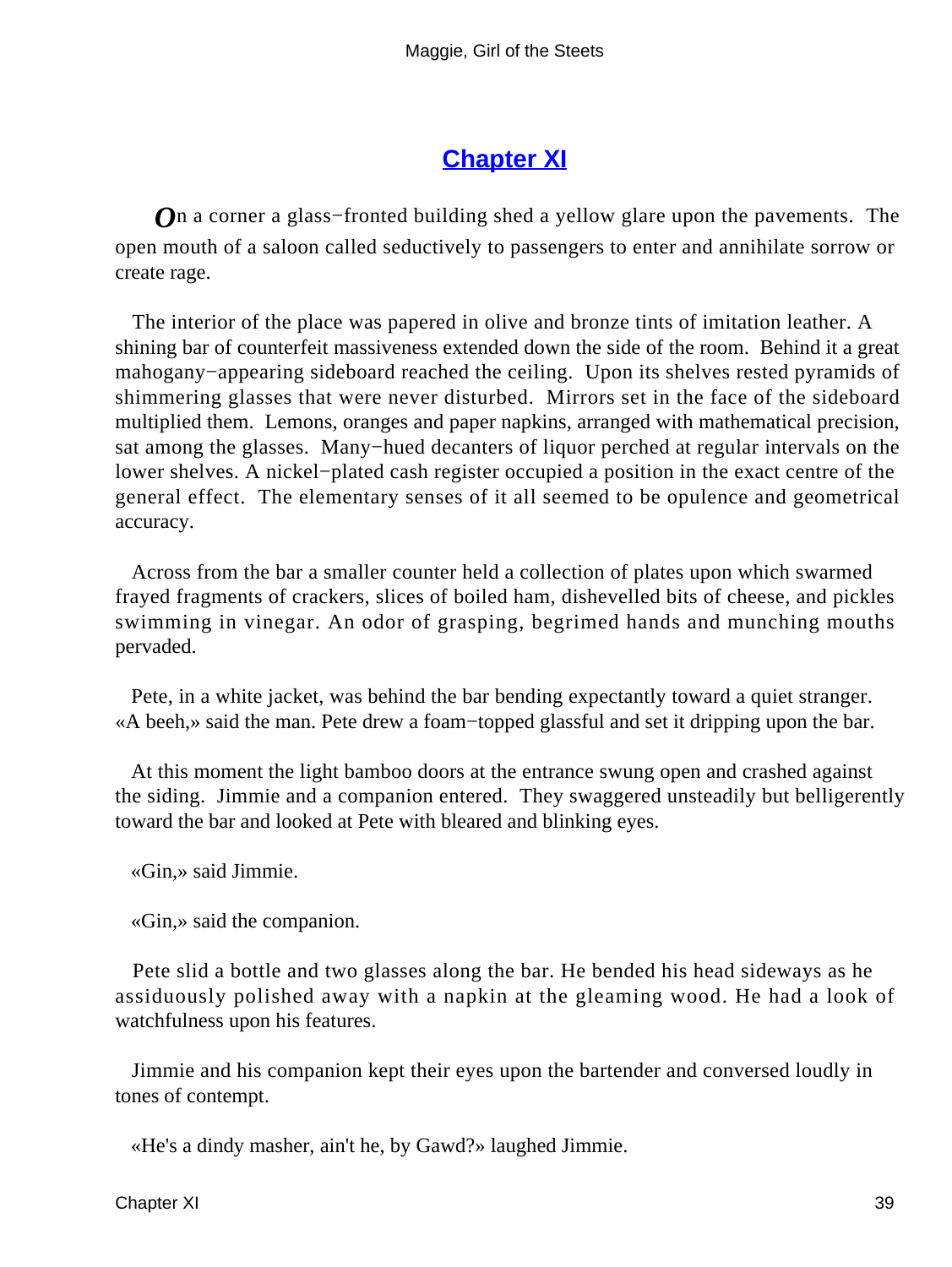# **[Chapter XI](#page-67-0)**

<span id="page-39-0"></span>*O*n a corner a glass–fronted building shed a yellow glare upon the pavements. The open mouth of a saloon called seductively to passengers to enter and annihilate sorrow or create rage.

 The interior of the place was papered in olive and bronze tints of imitation leather. A shining bar of counterfeit massiveness extended down the side of the room. Behind it a great mahogany−appearing sideboard reached the ceiling. Upon its shelves rested pyramids of shimmering glasses that were never disturbed. Mirrors set in the face of the sideboard multiplied them. Lemons, oranges and paper napkins, arranged with mathematical precision, sat among the glasses. Many−hued decanters of liquor perched at regular intervals on the lower shelves. A nickel−plated cash register occupied a position in the exact centre of the general effect. The elementary senses of it all seemed to be opulence and geometrical accuracy.

 Across from the bar a smaller counter held a collection of plates upon which swarmed frayed fragments of crackers, slices of boiled ham, dishevelled bits of cheese, and pickles swimming in vinegar. An odor of grasping, begrimed hands and munching mouths pervaded.

 Pete, in a white jacket, was behind the bar bending expectantly toward a quiet stranger. «A beeh,» said the man. Pete drew a foam−topped glassful and set it dripping upon the bar.

 At this moment the light bamboo doors at the entrance swung open and crashed against the siding. Jimmie and a companion entered. They swaggered unsteadily but belligerently toward the bar and looked at Pete with bleared and blinking eyes.

«Gin,» said Jimmie.

«Gin,» said the companion.

 Pete slid a bottle and two glasses along the bar. He bended his head sideways as he assiduously polished away with a napkin at the gleaming wood. He had a look of watchfulness upon his features.

 Jimmie and his companion kept their eyes upon the bartender and conversed loudly in tones of contempt.

«He's a dindy masher, ain't he, by Gawd?» laughed Jimmie.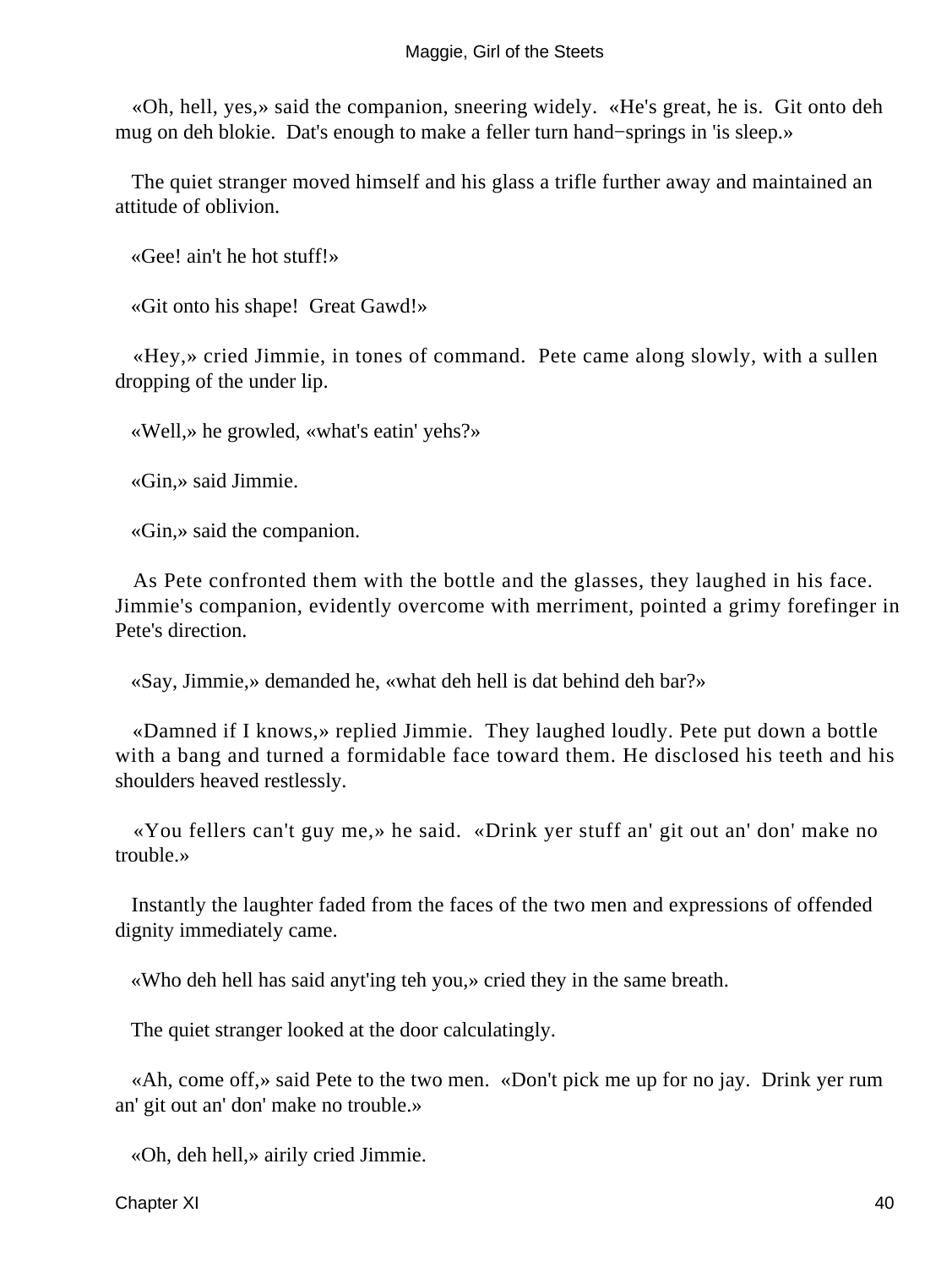«Oh, hell, yes,» said the companion, sneering widely. «He's great, he is. Git onto deh mug on deh blokie. Dat's enough to make a feller turn hand−springs in 'is sleep.»

 The quiet stranger moved himself and his glass a trifle further away and maintained an attitude of oblivion.

«Gee! ain't he hot stuff!»

«Git onto his shape! Great Gawd!»

 «Hey,» cried Jimmie, in tones of command. Pete came along slowly, with a sullen dropping of the under lip.

«Well,» he growled, «what's eatin' yehs?»

«Gin,» said Jimmie.

«Gin,» said the companion.

 As Pete confronted them with the bottle and the glasses, they laughed in his face. Jimmie's companion, evidently overcome with merriment, pointed a grimy forefinger in Pete's direction.

«Say, Jimmie,» demanded he, «what deh hell is dat behind deh bar?»

 «Damned if I knows,» replied Jimmie. They laughed loudly. Pete put down a bottle with a bang and turned a formidable face toward them. He disclosed his teeth and his shoulders heaved restlessly.

 «You fellers can't guy me,» he said. «Drink yer stuff an' git out an' don' make no trouble.»

 Instantly the laughter faded from the faces of the two men and expressions of offended dignity immediately came.

«Who deh hell has said anyt'ing teh you,» cried they in the same breath.

The quiet stranger looked at the door calculatingly.

 «Ah, come off,» said Pete to the two men. «Don't pick me up for no jay. Drink yer rum an' git out an' don' make no trouble.»

«Oh, deh hell,» airily cried Jimmie.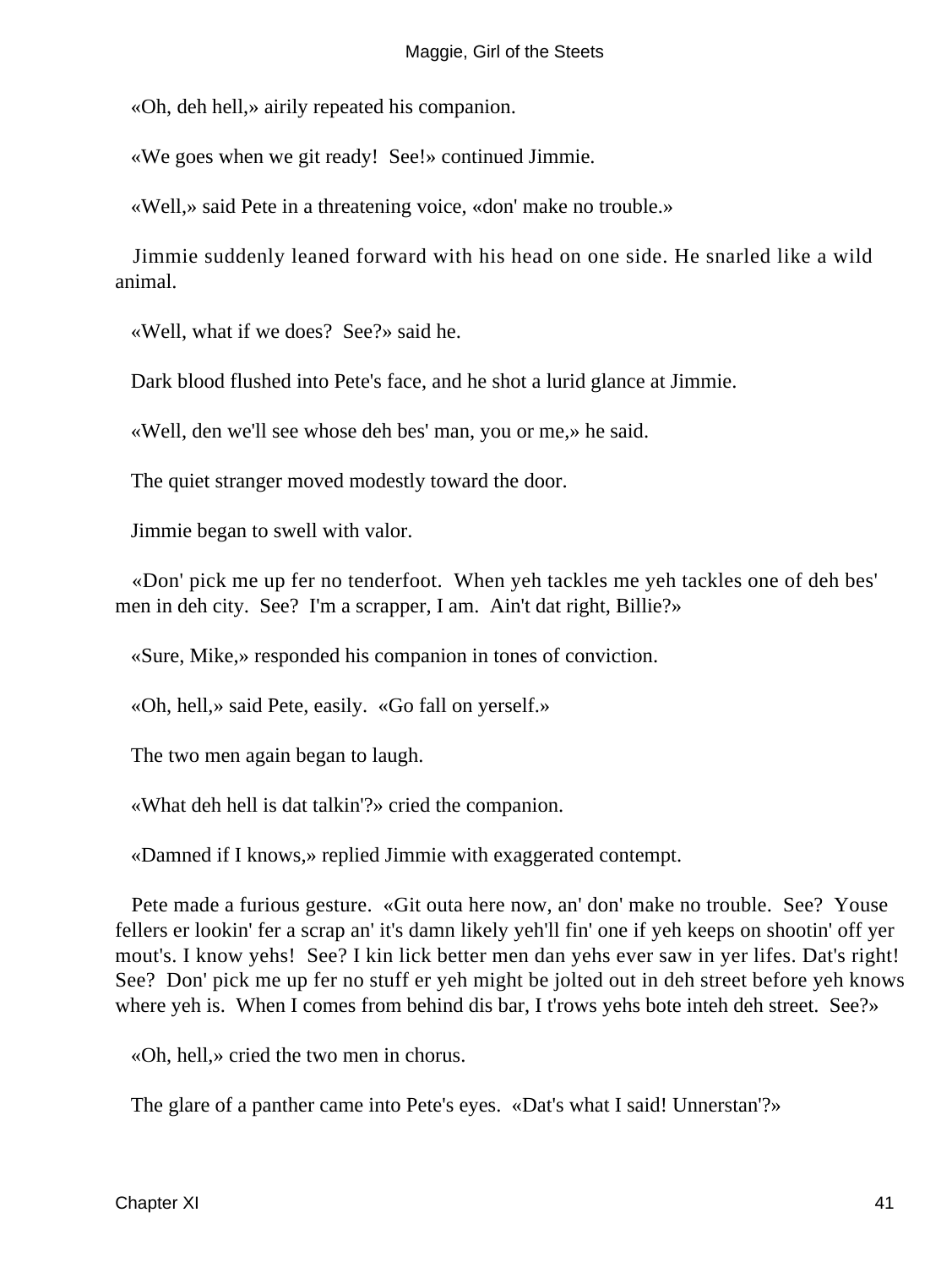«Oh, deh hell,» airily repeated his companion.

«We goes when we git ready! See!» continued Jimmie.

«Well,» said Pete in a threatening voice, «don' make no trouble.»

 Jimmie suddenly leaned forward with his head on one side. He snarled like a wild animal.

«Well, what if we does? See?» said he.

Dark blood flushed into Pete's face, and he shot a lurid glance at Jimmie.

«Well, den we'll see whose deh bes' man, you or me,» he said.

The quiet stranger moved modestly toward the door.

Jimmie began to swell with valor.

 «Don' pick me up fer no tenderfoot. When yeh tackles me yeh tackles one of deh bes' men in deh city. See? I'm a scrapper, I am. Ain't dat right, Billie?»

«Sure, Mike,» responded his companion in tones of conviction.

«Oh, hell,» said Pete, easily. «Go fall on yerself.»

The two men again began to laugh.

«What deh hell is dat talkin'?» cried the companion.

«Damned if I knows,» replied Jimmie with exaggerated contempt.

 Pete made a furious gesture. «Git outa here now, an' don' make no trouble. See? Youse fellers er lookin' fer a scrap an' it's damn likely yeh'll fin' one if yeh keeps on shootin' off yer mout's. I know yehs! See? I kin lick better men dan yehs ever saw in yer lifes. Dat's right! See? Don' pick me up fer no stuff er yeh might be jolted out in deh street before yeh knows where yeh is. When I comes from behind dis bar, I t'rows yehs bote inteh deh street. See?»

«Oh, hell,» cried the two men in chorus.

The glare of a panther came into Pete's eyes. «Dat's what I said! Unnerstan'?»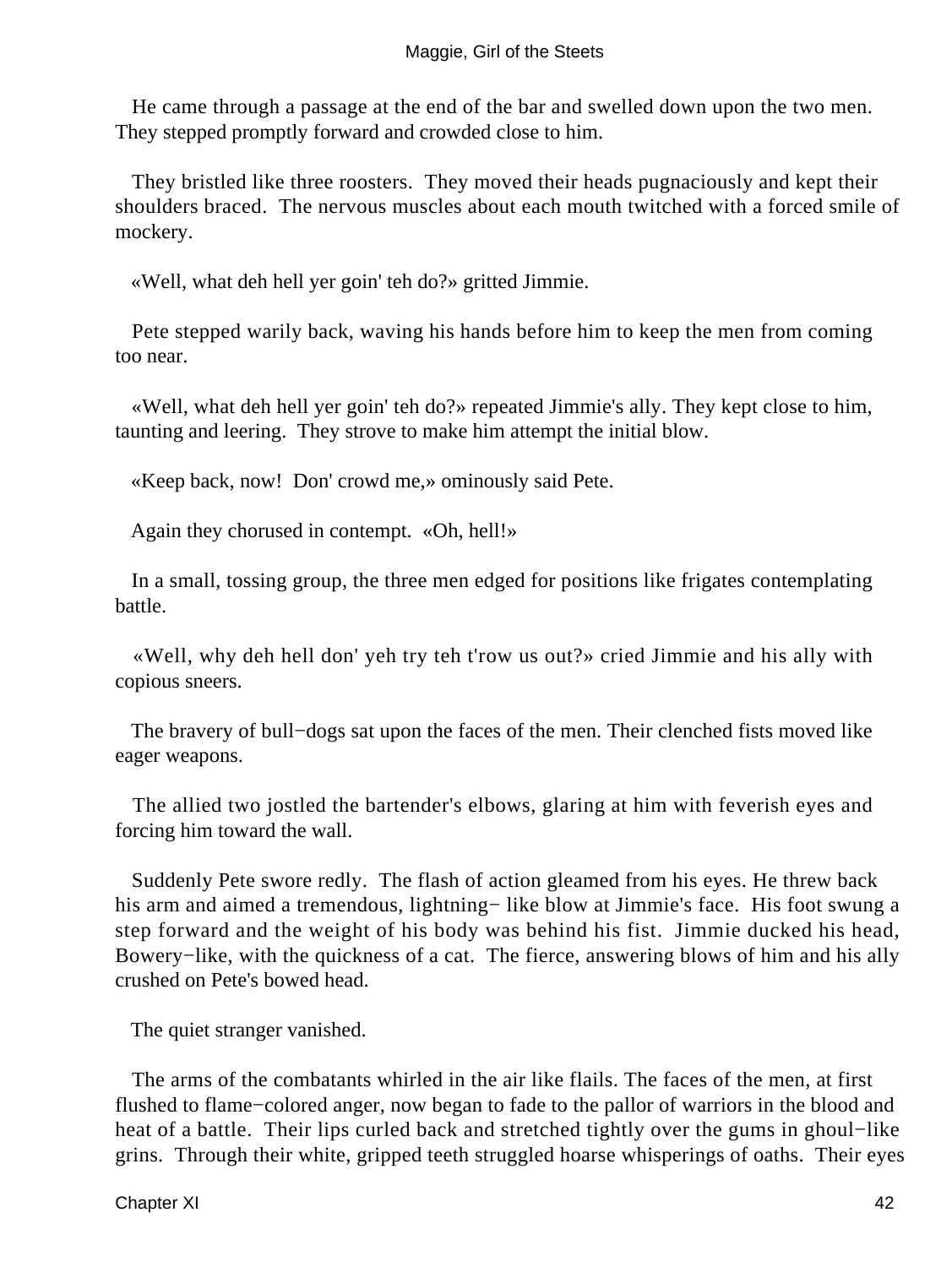#### Maggie, Girl of the Steets

 He came through a passage at the end of the bar and swelled down upon the two men. They stepped promptly forward and crowded close to him.

 They bristled like three roosters. They moved their heads pugnaciously and kept their shoulders braced. The nervous muscles about each mouth twitched with a forced smile of mockery.

«Well, what deh hell yer goin' teh do?» gritted Jimmie.

 Pete stepped warily back, waving his hands before him to keep the men from coming too near.

 «Well, what deh hell yer goin' teh do?» repeated Jimmie's ally. They kept close to him, taunting and leering. They strove to make him attempt the initial blow.

«Keep back, now! Don' crowd me,» ominously said Pete.

Again they chorused in contempt. «Oh, hell!»

 In a small, tossing group, the three men edged for positions like frigates contemplating battle.

 «Well, why deh hell don' yeh try teh t'row us out?» cried Jimmie and his ally with copious sneers.

 The bravery of bull−dogs sat upon the faces of the men. Their clenched fists moved like eager weapons.

 The allied two jostled the bartender's elbows, glaring at him with feverish eyes and forcing him toward the wall.

 Suddenly Pete swore redly. The flash of action gleamed from his eyes. He threw back his arm and aimed a tremendous, lightning− like blow at Jimmie's face. His foot swung a step forward and the weight of his body was behind his fist. Jimmie ducked his head, Bowery−like, with the quickness of a cat. The fierce, answering blows of him and his ally crushed on Pete's bowed head.

The quiet stranger vanished.

 The arms of the combatants whirled in the air like flails. The faces of the men, at first flushed to flame−colored anger, now began to fade to the pallor of warriors in the blood and heat of a battle. Their lips curled back and stretched tightly over the gums in ghoul−like grins. Through their white, gripped teeth struggled hoarse whisperings of oaths. Their eyes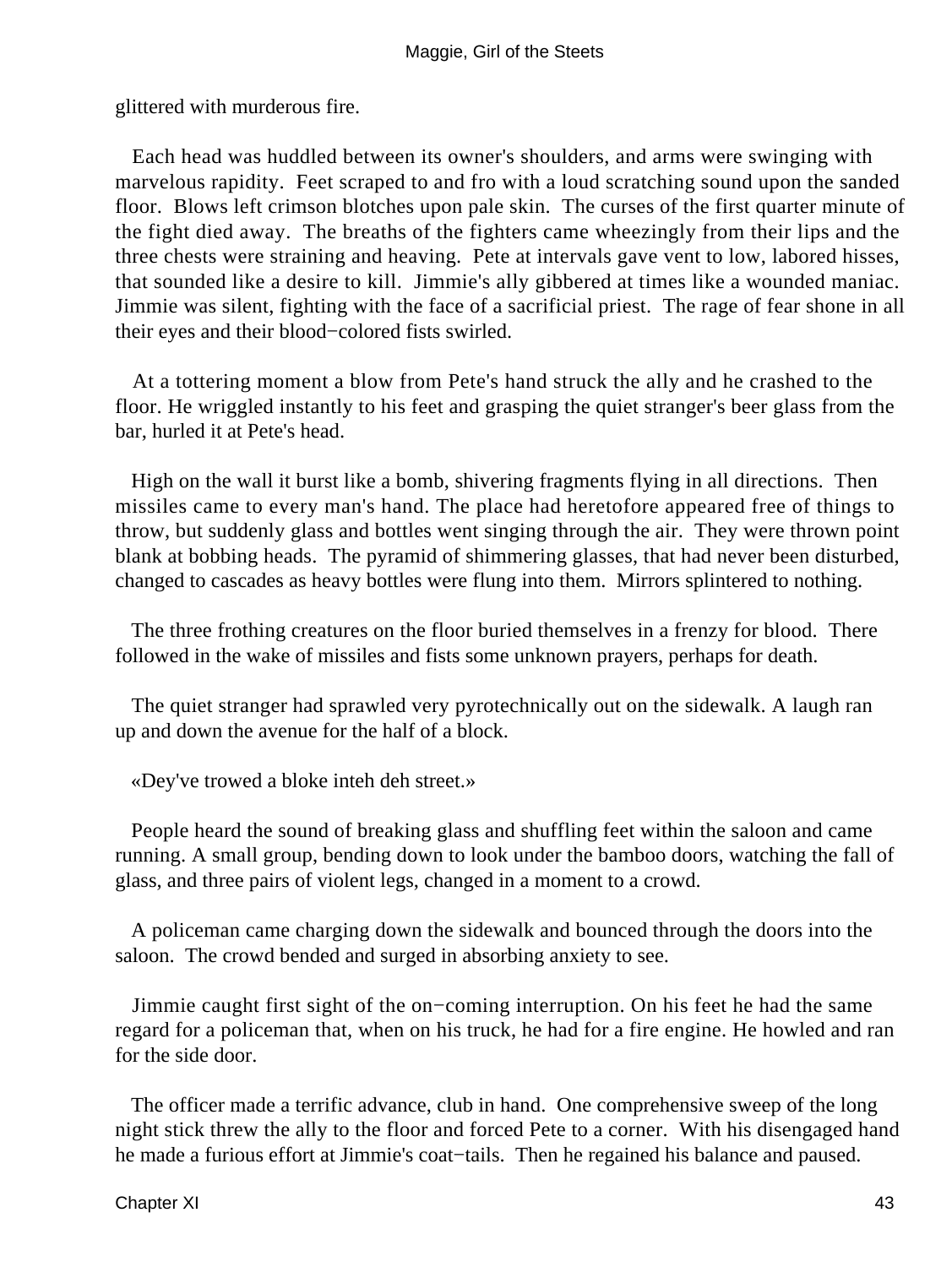glittered with murderous fire.

 Each head was huddled between its owner's shoulders, and arms were swinging with marvelous rapidity. Feet scraped to and fro with a loud scratching sound upon the sanded floor. Blows left crimson blotches upon pale skin. The curses of the first quarter minute of the fight died away. The breaths of the fighters came wheezingly from their lips and the three chests were straining and heaving. Pete at intervals gave vent to low, labored hisses, that sounded like a desire to kill. Jimmie's ally gibbered at times like a wounded maniac. Jimmie was silent, fighting with the face of a sacrificial priest. The rage of fear shone in all their eyes and their blood−colored fists swirled.

 At a tottering moment a blow from Pete's hand struck the ally and he crashed to the floor. He wriggled instantly to his feet and grasping the quiet stranger's beer glass from the bar, hurled it at Pete's head.

 High on the wall it burst like a bomb, shivering fragments flying in all directions. Then missiles came to every man's hand. The place had heretofore appeared free of things to throw, but suddenly glass and bottles went singing through the air. They were thrown point blank at bobbing heads. The pyramid of shimmering glasses, that had never been disturbed, changed to cascades as heavy bottles were flung into them. Mirrors splintered to nothing.

 The three frothing creatures on the floor buried themselves in a frenzy for blood. There followed in the wake of missiles and fists some unknown prayers, perhaps for death.

 The quiet stranger had sprawled very pyrotechnically out on the sidewalk. A laugh ran up and down the avenue for the half of a block.

«Dey've trowed a bloke inteh deh street.»

 People heard the sound of breaking glass and shuffling feet within the saloon and came running. A small group, bending down to look under the bamboo doors, watching the fall of glass, and three pairs of violent legs, changed in a moment to a crowd.

 A policeman came charging down the sidewalk and bounced through the doors into the saloon. The crowd bended and surged in absorbing anxiety to see.

 Jimmie caught first sight of the on−coming interruption. On his feet he had the same regard for a policeman that, when on his truck, he had for a fire engine. He howled and ran for the side door.

 The officer made a terrific advance, club in hand. One comprehensive sweep of the long night stick threw the ally to the floor and forced Pete to a corner. With his disengaged hand he made a furious effort at Jimmie's coat−tails. Then he regained his balance and paused.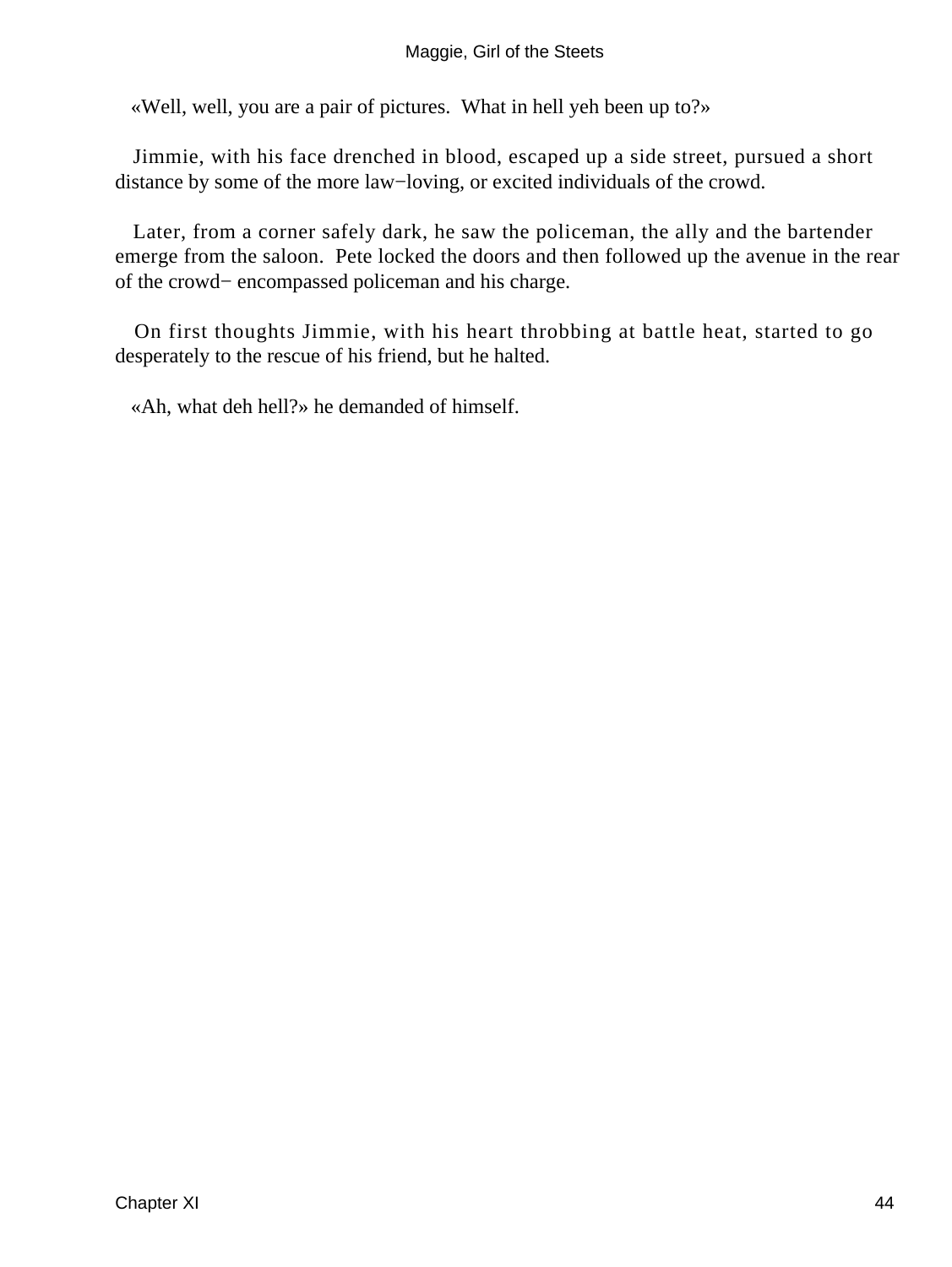#### Maggie, Girl of the Steets

«Well, well, you are a pair of pictures. What in hell yeh been up to?»

 Jimmie, with his face drenched in blood, escaped up a side street, pursued a short distance by some of the more law−loving, or excited individuals of the crowd.

 Later, from a corner safely dark, he saw the policeman, the ally and the bartender emerge from the saloon. Pete locked the doors and then followed up the avenue in the rear of the crowd− encompassed policeman and his charge.

 On first thoughts Jimmie, with his heart throbbing at battle heat, started to go desperately to the rescue of his friend, but he halted.

«Ah, what deh hell?» he demanded of himself.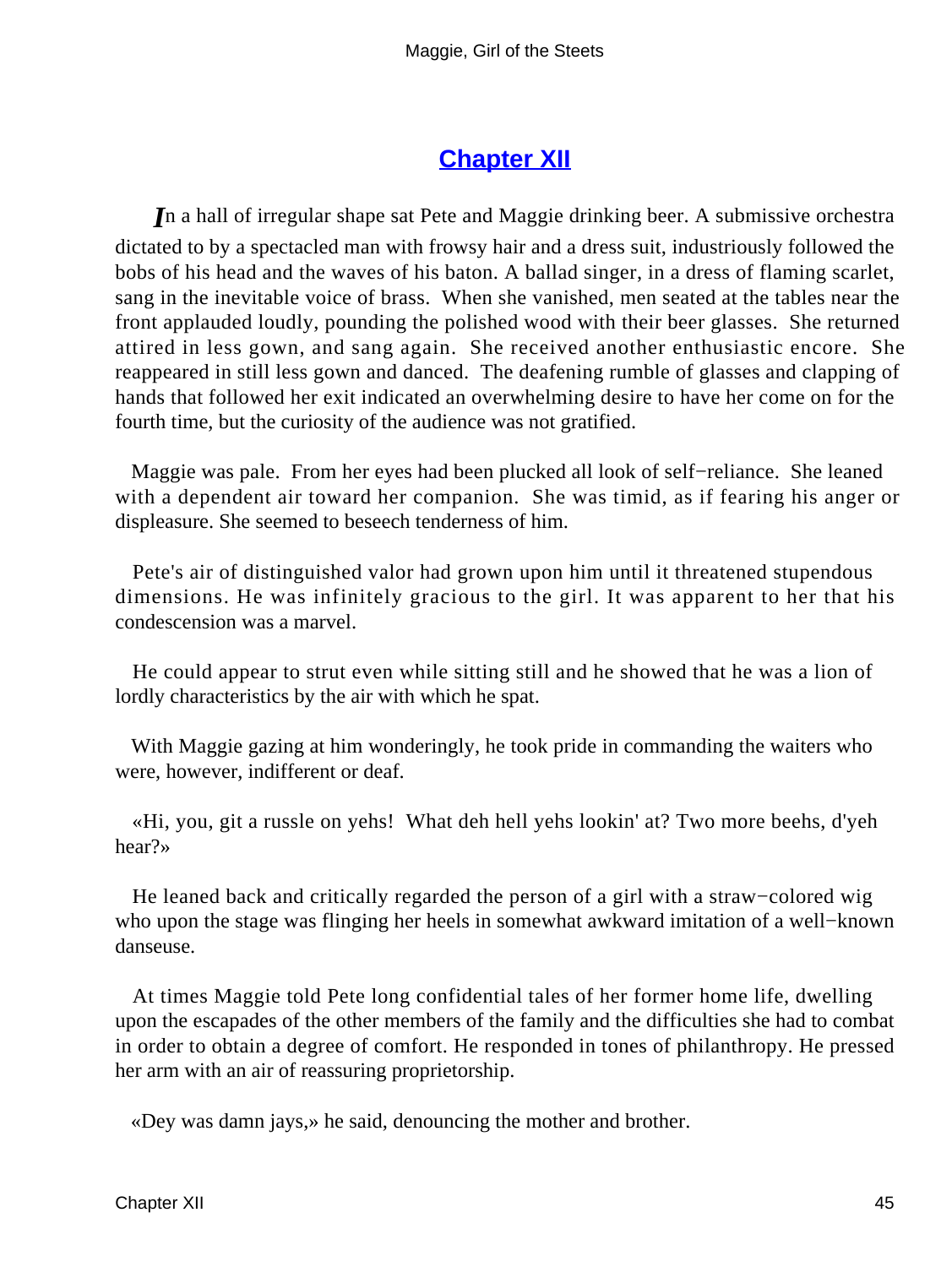### **[Chapter XII](#page-67-0)**

<span id="page-45-0"></span>*I*n a hall of irregular shape sat Pete and Maggie drinking beer. A submissive orchestra dictated to by a spectacled man with frowsy hair and a dress suit, industriously followed the bobs of his head and the waves of his baton. A ballad singer, in a dress of flaming scarlet, sang in the inevitable voice of brass. When she vanished, men seated at the tables near the front applauded loudly, pounding the polished wood with their beer glasses. She returned attired in less gown, and sang again. She received another enthusiastic encore. She reappeared in still less gown and danced. The deafening rumble of glasses and clapping of hands that followed her exit indicated an overwhelming desire to have her come on for the fourth time, but the curiosity of the audience was not gratified.

 Maggie was pale. From her eyes had been plucked all look of self−reliance. She leaned with a dependent air toward her companion. She was timid, as if fearing his anger or displeasure. She seemed to beseech tenderness of him.

 Pete's air of distinguished valor had grown upon him until it threatened stupendous dimensions. He was infinitely gracious to the girl. It was apparent to her that his condescension was a marvel.

 He could appear to strut even while sitting still and he showed that he was a lion of lordly characteristics by the air with which he spat.

 With Maggie gazing at him wonderingly, he took pride in commanding the waiters who were, however, indifferent or deaf.

 «Hi, you, git a russle on yehs! What deh hell yehs lookin' at? Two more beehs, d'yeh hear?»

 He leaned back and critically regarded the person of a girl with a straw−colored wig who upon the stage was flinging her heels in somewhat awkward imitation of a well−known danseuse.

 At times Maggie told Pete long confidential tales of her former home life, dwelling upon the escapades of the other members of the family and the difficulties she had to combat in order to obtain a degree of comfort. He responded in tones of philanthropy. He pressed her arm with an air of reassuring proprietorship.

«Dey was damn jays,» he said, denouncing the mother and brother.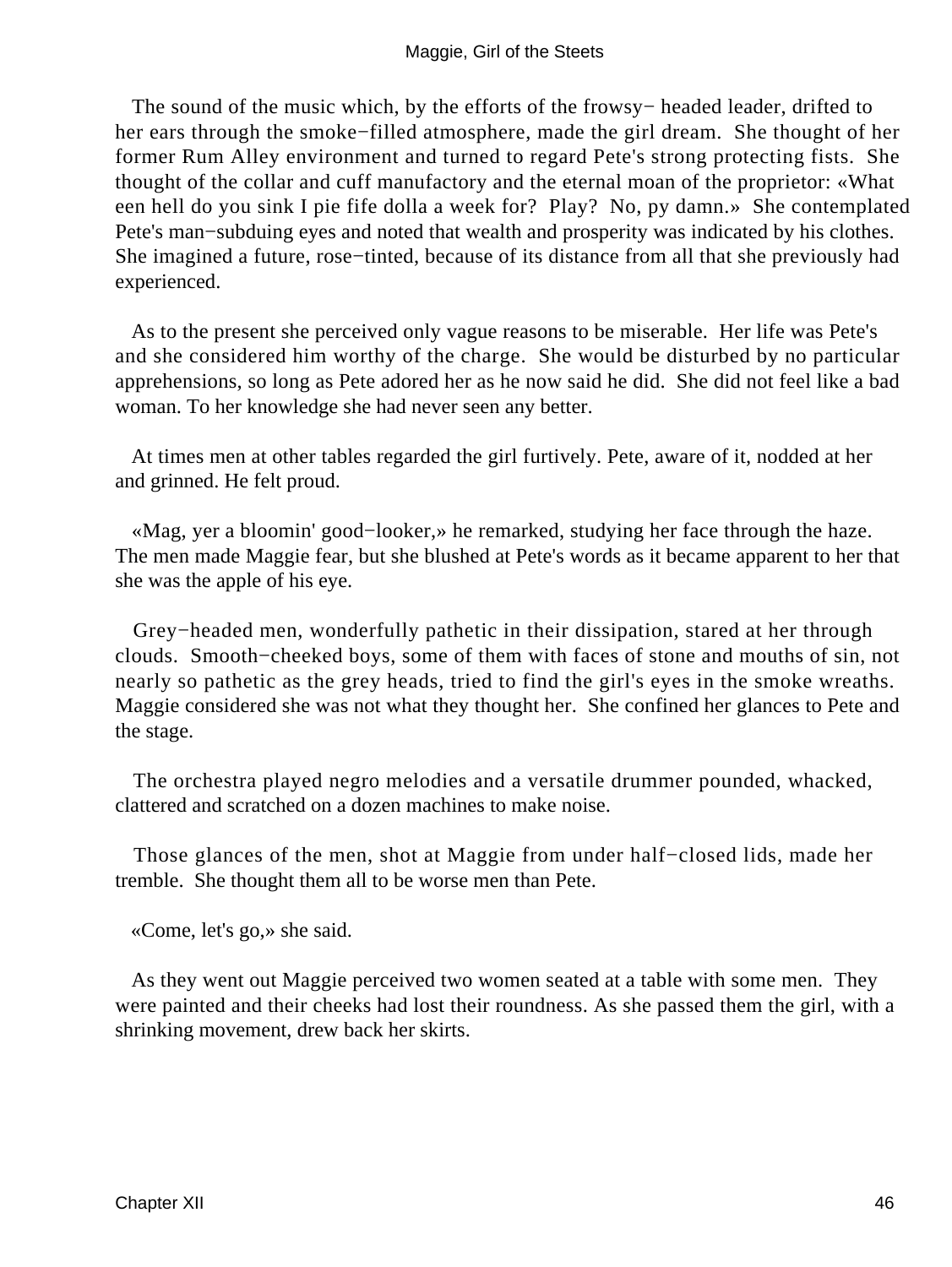The sound of the music which, by the efforts of the frowsy– headed leader, drifted to her ears through the smoke−filled atmosphere, made the girl dream. She thought of her former Rum Alley environment and turned to regard Pete's strong protecting fists. She thought of the collar and cuff manufactory and the eternal moan of the proprietor: «What een hell do you sink I pie fife dolla a week for? Play? No, py damn.» She contemplated Pete's man−subduing eyes and noted that wealth and prosperity was indicated by his clothes. She imagined a future, rose−tinted, because of its distance from all that she previously had experienced.

 As to the present she perceived only vague reasons to be miserable. Her life was Pete's and she considered him worthy of the charge. She would be disturbed by no particular apprehensions, so long as Pete adored her as he now said he did. She did not feel like a bad woman. To her knowledge she had never seen any better.

 At times men at other tables regarded the girl furtively. Pete, aware of it, nodded at her and grinned. He felt proud.

 «Mag, yer a bloomin' good−looker,» he remarked, studying her face through the haze. The men made Maggie fear, but she blushed at Pete's words as it became apparent to her that she was the apple of his eye.

 Grey−headed men, wonderfully pathetic in their dissipation, stared at her through clouds. Smooth−cheeked boys, some of them with faces of stone and mouths of sin, not nearly so pathetic as the grey heads, tried to find the girl's eyes in the smoke wreaths. Maggie considered she was not what they thought her. She confined her glances to Pete and the stage.

 The orchestra played negro melodies and a versatile drummer pounded, whacked, clattered and scratched on a dozen machines to make noise.

 Those glances of the men, shot at Maggie from under half−closed lids, made her tremble. She thought them all to be worse men than Pete.

«Come, let's go,» she said.

 As they went out Maggie perceived two women seated at a table with some men. They were painted and their cheeks had lost their roundness. As she passed them the girl, with a shrinking movement, drew back her skirts.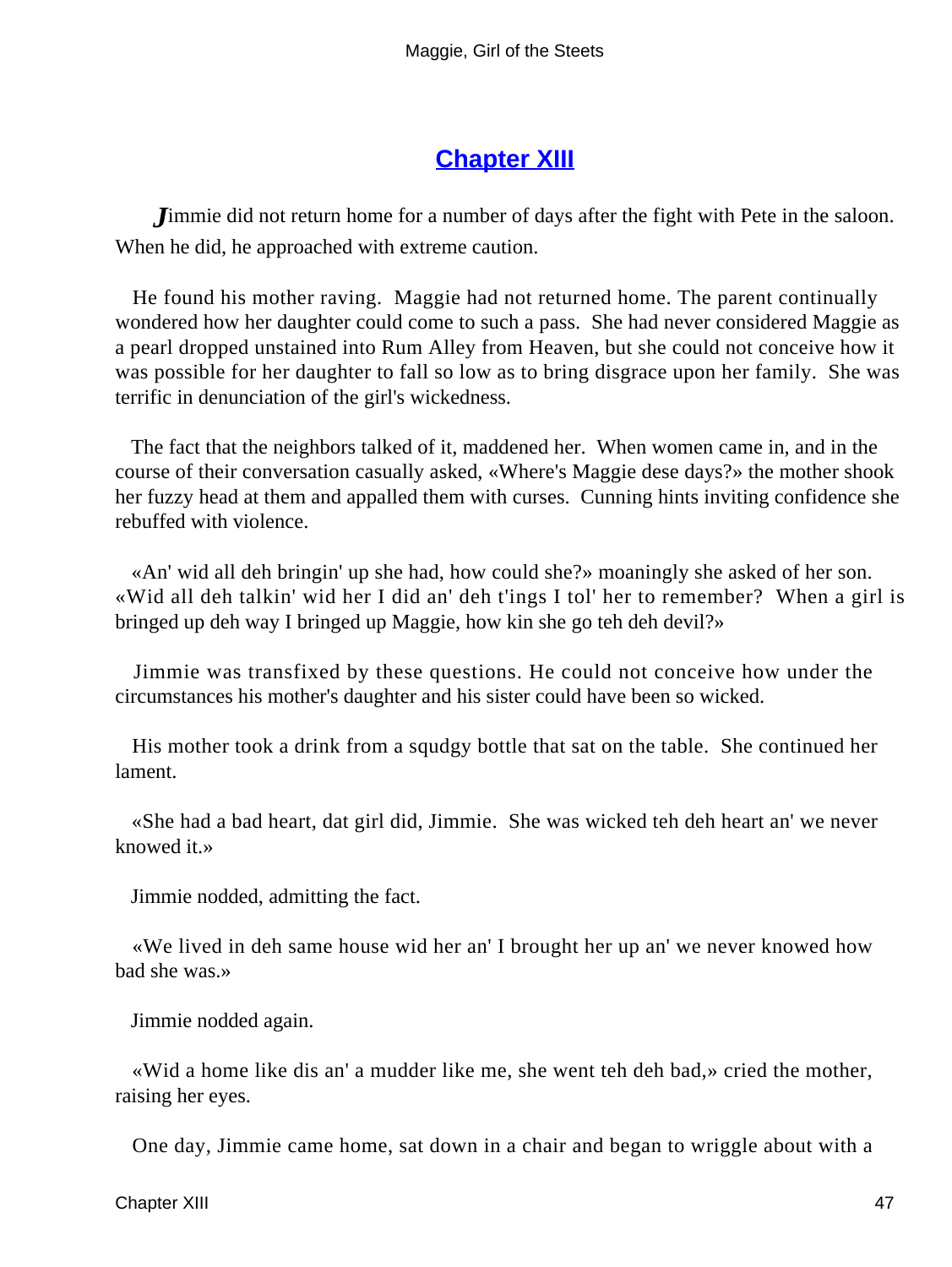## **[Chapter XIII](#page-67-0)**

<span id="page-47-0"></span>*J*immie did not return home for a number of days after the fight with Pete in the saloon. When he did, he approached with extreme caution.

 He found his mother raving. Maggie had not returned home. The parent continually wondered how her daughter could come to such a pass. She had never considered Maggie as a pearl dropped unstained into Rum Alley from Heaven, but she could not conceive how it was possible for her daughter to fall so low as to bring disgrace upon her family. She was terrific in denunciation of the girl's wickedness.

 The fact that the neighbors talked of it, maddened her. When women came in, and in the course of their conversation casually asked, «Where's Maggie dese days?» the mother shook her fuzzy head at them and appalled them with curses. Cunning hints inviting confidence she rebuffed with violence.

 «An' wid all deh bringin' up she had, how could she?» moaningly she asked of her son. «Wid all deh talkin' wid her I did an' deh t'ings I tol' her to remember? When a girl is bringed up deh way I bringed up Maggie, how kin she go teh deh devil?»

 Jimmie was transfixed by these questions. He could not conceive how under the circumstances his mother's daughter and his sister could have been so wicked.

 His mother took a drink from a squdgy bottle that sat on the table. She continued her lament.

 «She had a bad heart, dat girl did, Jimmie. She was wicked teh deh heart an' we never knowed it.»

Jimmie nodded, admitting the fact.

 «We lived in deh same house wid her an' I brought her up an' we never knowed how bad she was.»

Jimmie nodded again.

 «Wid a home like dis an' a mudder like me, she went teh deh bad,» cried the mother, raising her eyes.

One day, Jimmie came home, sat down in a chair and began to wriggle about with a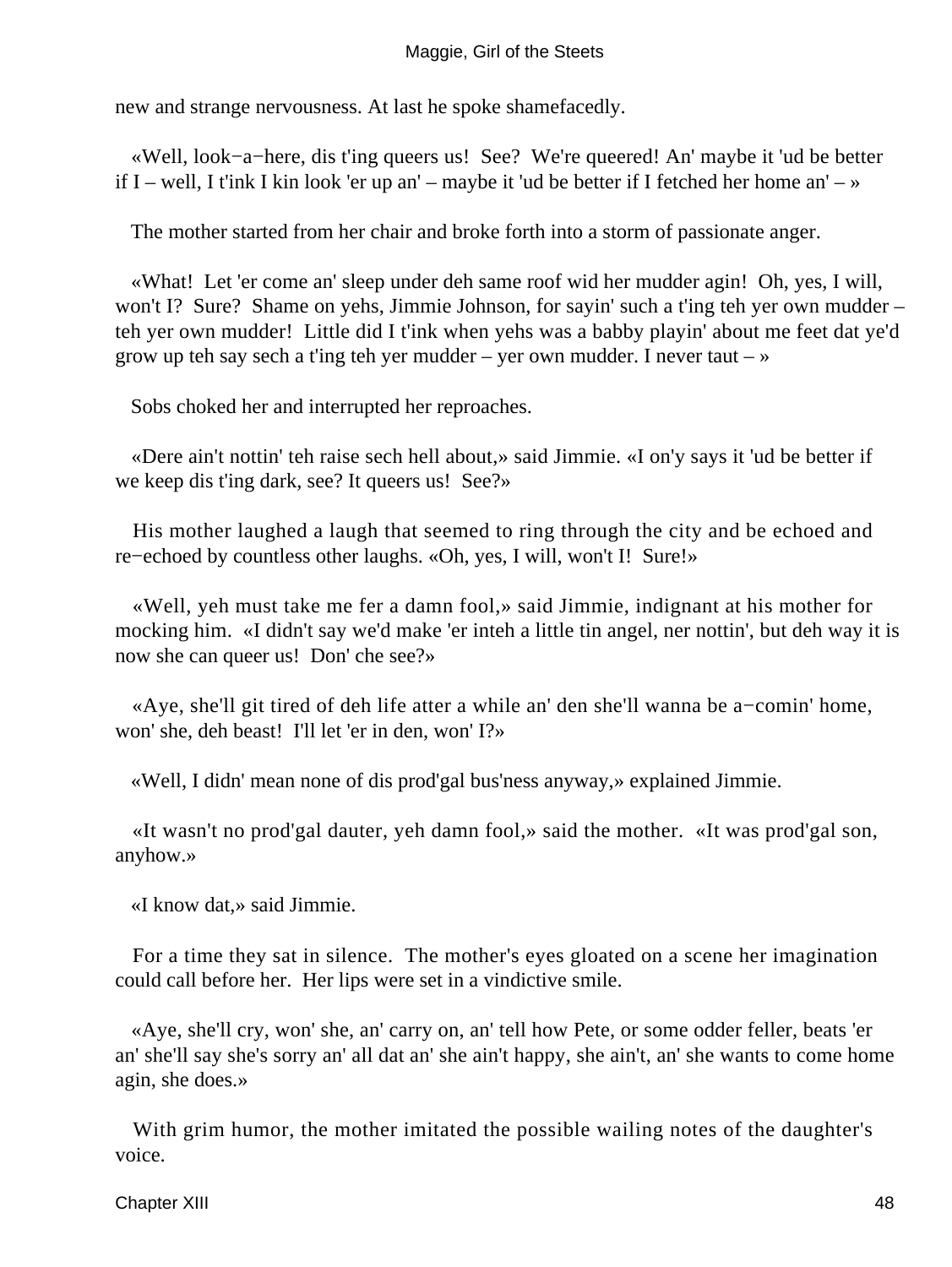new and strange nervousness. At last he spoke shamefacedly.

 «Well, look−a−here, dis t'ing queers us! See? We're queered! An' maybe it 'ud be better if I – well, I t'ink I kin look 'er up an' – maybe it 'ud be better if I fetched her home an' – »

The mother started from her chair and broke forth into a storm of passionate anger.

 «What! Let 'er come an' sleep under deh same roof wid her mudder agin! Oh, yes, I will, won't I? Sure? Shame on yehs, Jimmie Johnson, for sayin' such a t'ing teh yer own mudder – teh yer own mudder! Little did I t'ink when yehs was a babby playin' about me feet dat ye'd grow up teh say sech a t'ing teh yer mudder – yer own mudder. I never taut –  $\ast$ 

Sobs choked her and interrupted her reproaches.

 «Dere ain't nottin' teh raise sech hell about,» said Jimmie. «I on'y says it 'ud be better if we keep dis t'ing dark, see? It queers us! See?»

 His mother laughed a laugh that seemed to ring through the city and be echoed and re−echoed by countless other laughs. «Oh, yes, I will, won't I! Sure!»

 «Well, yeh must take me fer a damn fool,» said Jimmie, indignant at his mother for mocking him. «I didn't say we'd make 'er inteh a little tin angel, ner nottin', but deh way it is now she can queer us! Don' che see?»

 «Aye, she'll git tired of deh life atter a while an' den she'll wanna be a−comin' home, won' she, deh beast! I'll let 'er in den, won' I?»

«Well, I didn' mean none of dis prod'gal bus'ness anyway,» explained Jimmie.

 «It wasn't no prod'gal dauter, yeh damn fool,» said the mother. «It was prod'gal son, anyhow.»

«I know dat,» said Jimmie.

 For a time they sat in silence. The mother's eyes gloated on a scene her imagination could call before her. Her lips were set in a vindictive smile.

 «Aye, she'll cry, won' she, an' carry on, an' tell how Pete, or some odder feller, beats 'er an' she'll say she's sorry an' all dat an' she ain't happy, she ain't, an' she wants to come home agin, she does.»

 With grim humor, the mother imitated the possible wailing notes of the daughter's voice.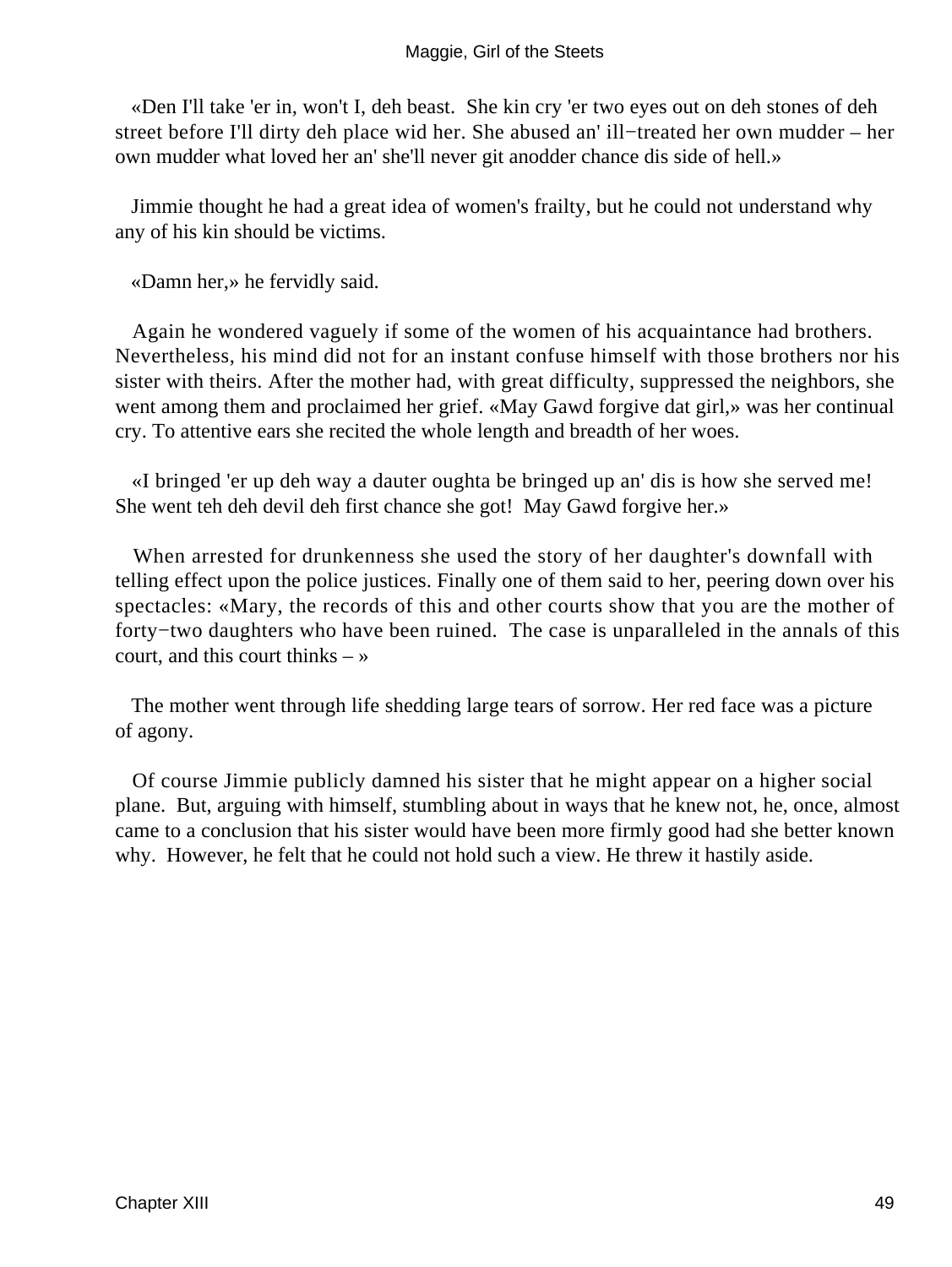#### Maggie, Girl of the Steets

 «Den I'll take 'er in, won't I, deh beast. She kin cry 'er two eyes out on deh stones of deh street before I'll dirty deh place wid her. She abused an' ill−treated her own mudder – her own mudder what loved her an' she'll never git anodder chance dis side of hell.»

 Jimmie thought he had a great idea of women's frailty, but he could not understand why any of his kin should be victims.

«Damn her,» he fervidly said.

 Again he wondered vaguely if some of the women of his acquaintance had brothers. Nevertheless, his mind did not for an instant confuse himself with those brothers nor his sister with theirs. After the mother had, with great difficulty, suppressed the neighbors, she went among them and proclaimed her grief. «May Gawd forgive dat girl,» was her continual cry. To attentive ears she recited the whole length and breadth of her woes.

 «I bringed 'er up deh way a dauter oughta be bringed up an' dis is how she served me! She went teh deh devil deh first chance she got! May Gawd forgive her.»

 When arrested for drunkenness she used the story of her daughter's downfall with telling effect upon the police justices. Finally one of them said to her, peering down over his spectacles: «Mary, the records of this and other courts show that you are the mother of forty−two daughters who have been ruined. The case is unparalleled in the annals of this court, and this court thinks  $-\infty$ 

 The mother went through life shedding large tears of sorrow. Her red face was a picture of agony.

 Of course Jimmie publicly damned his sister that he might appear on a higher social plane. But, arguing with himself, stumbling about in ways that he knew not, he, once, almost came to a conclusion that his sister would have been more firmly good had she better known why. However, he felt that he could not hold such a view. He threw it hastily aside.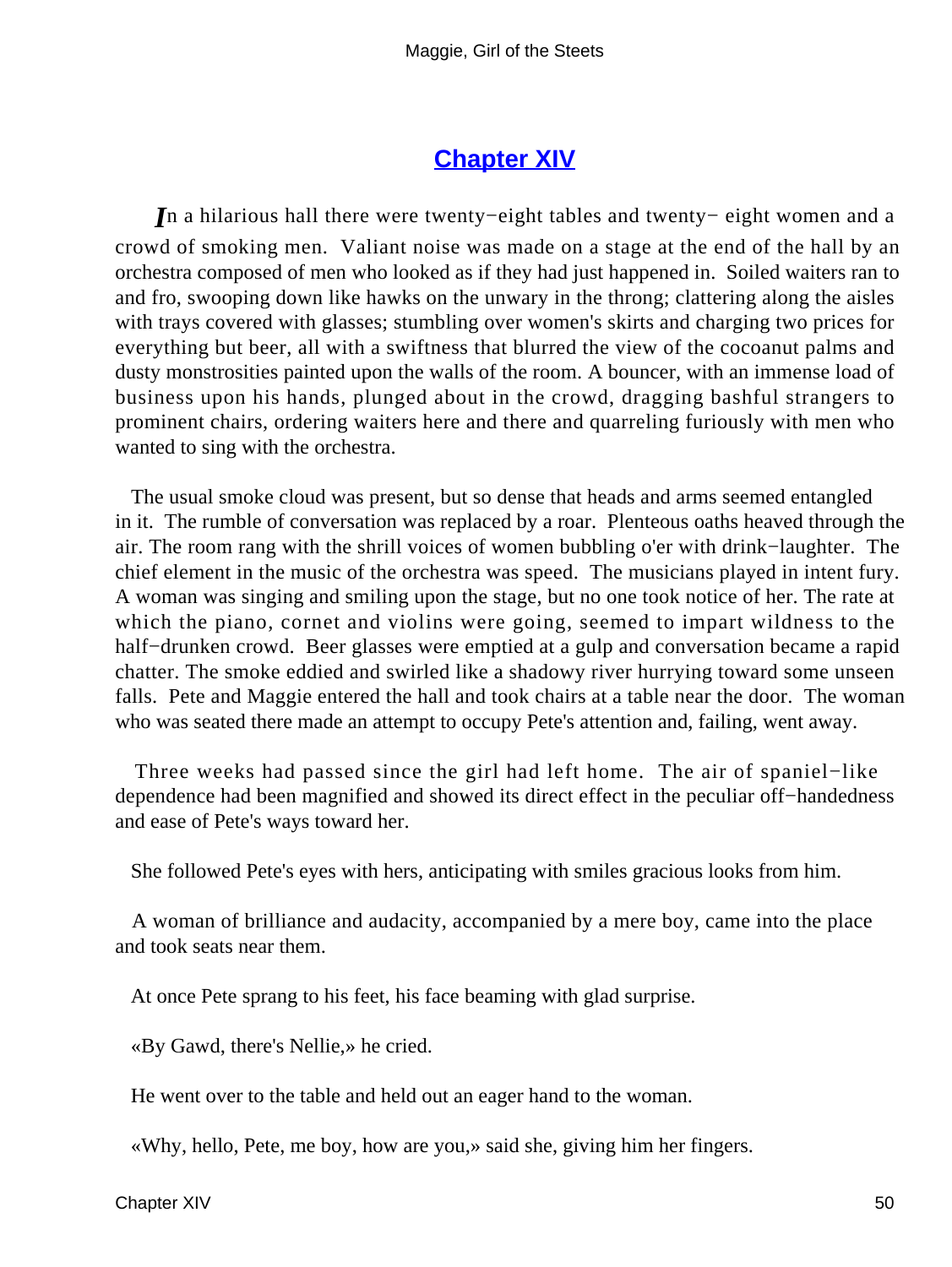### **[Chapter XIV](#page-67-0)**

<span id="page-50-0"></span>*I*n a hilarious hall there were twenty−eight tables and twenty− eight women and a crowd of smoking men. Valiant noise was made on a stage at the end of the hall by an orchestra composed of men who looked as if they had just happened in. Soiled waiters ran to and fro, swooping down like hawks on the unwary in the throng; clattering along the aisles with trays covered with glasses; stumbling over women's skirts and charging two prices for everything but beer, all with a swiftness that blurred the view of the cocoanut palms and dusty monstrosities painted upon the walls of the room. A bouncer, with an immense load of business upon his hands, plunged about in the crowd, dragging bashful strangers to prominent chairs, ordering waiters here and there and quarreling furiously with men who wanted to sing with the orchestra.

 The usual smoke cloud was present, but so dense that heads and arms seemed entangled in it. The rumble of conversation was replaced by a roar. Plenteous oaths heaved through the air. The room rang with the shrill voices of women bubbling o'er with drink−laughter. The chief element in the music of the orchestra was speed. The musicians played in intent fury. A woman was singing and smiling upon the stage, but no one took notice of her. The rate at which the piano, cornet and violins were going, seemed to impart wildness to the half−drunken crowd. Beer glasses were emptied at a gulp and conversation became a rapid chatter. The smoke eddied and swirled like a shadowy river hurrying toward some unseen falls. Pete and Maggie entered the hall and took chairs at a table near the door. The woman who was seated there made an attempt to occupy Pete's attention and, failing, went away.

 Three weeks had passed since the girl had left home. The air of spaniel−like dependence had been magnified and showed its direct effect in the peculiar off−handedness and ease of Pete's ways toward her.

She followed Pete's eyes with hers, anticipating with smiles gracious looks from him.

 A woman of brilliance and audacity, accompanied by a mere boy, came into the place and took seats near them.

At once Pete sprang to his feet, his face beaming with glad surprise.

«By Gawd, there's Nellie,» he cried.

He went over to the table and held out an eager hand to the woman.

«Why, hello, Pete, me boy, how are you,» said she, giving him her fingers.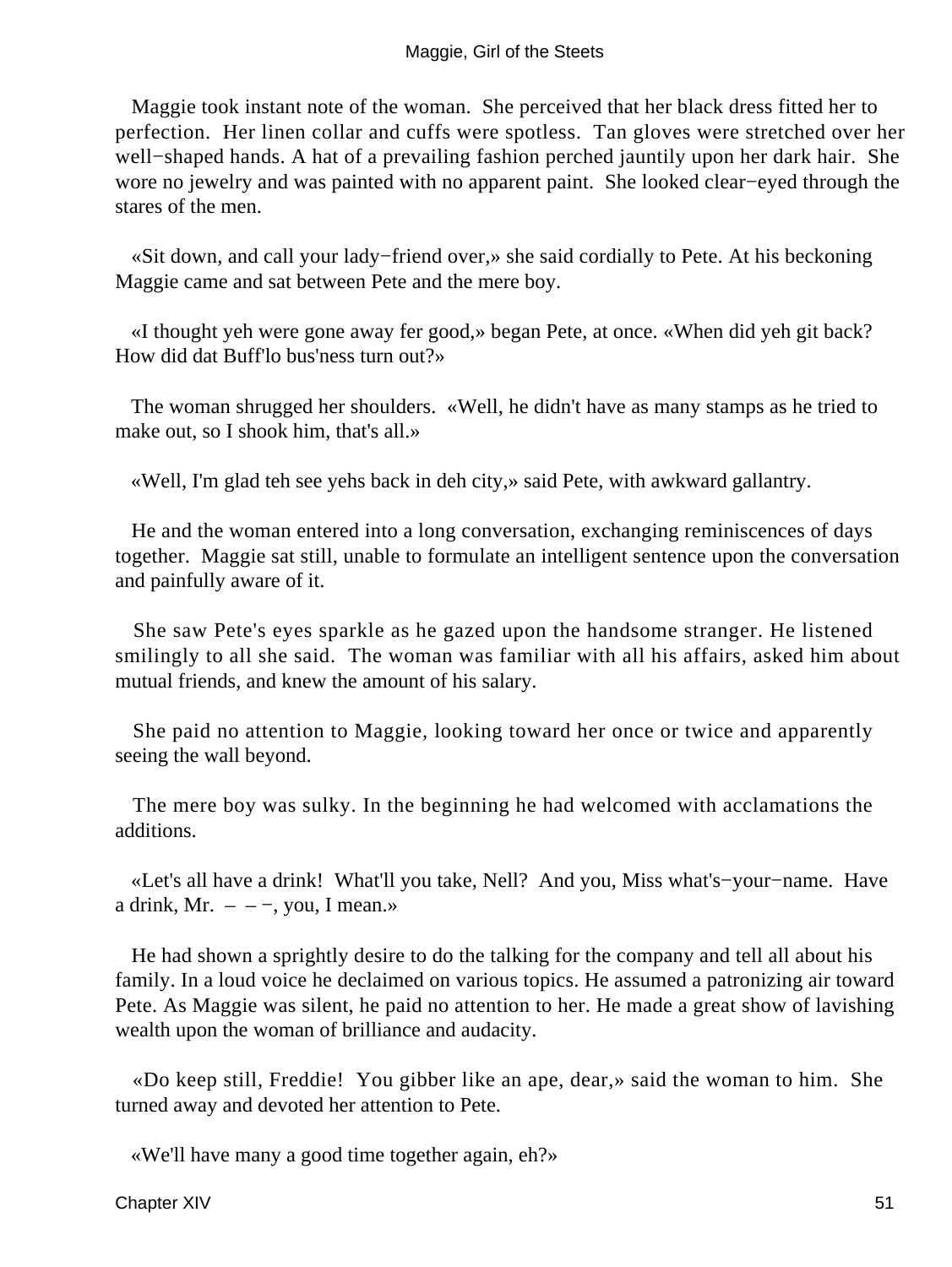Maggie took instant note of the woman. She perceived that her black dress fitted her to perfection. Her linen collar and cuffs were spotless. Tan gloves were stretched over her well−shaped hands. A hat of a prevailing fashion perched jauntily upon her dark hair. She wore no jewelry and was painted with no apparent paint. She looked clear−eyed through the stares of the men.

 «Sit down, and call your lady−friend over,» she said cordially to Pete. At his beckoning Maggie came and sat between Pete and the mere boy.

 «I thought yeh were gone away fer good,» began Pete, at once. «When did yeh git back? How did dat Buff'lo bus'ness turn out?»

 The woman shrugged her shoulders. «Well, he didn't have as many stamps as he tried to make out, so I shook him, that's all.»

«Well, I'm glad teh see yehs back in deh city,» said Pete, with awkward gallantry.

 He and the woman entered into a long conversation, exchanging reminiscences of days together. Maggie sat still, unable to formulate an intelligent sentence upon the conversation and painfully aware of it.

 She saw Pete's eyes sparkle as he gazed upon the handsome stranger. He listened smilingly to all she said. The woman was familiar with all his affairs, asked him about mutual friends, and knew the amount of his salary.

 She paid no attention to Maggie, looking toward her once or twice and apparently seeing the wall beyond.

 The mere boy was sulky. In the beginning he had welcomed with acclamations the additions.

 «Let's all have a drink! What'll you take, Nell? And you, Miss what's−your−name. Have a drink, Mr.  $-$  – –, you, I mean.»

 He had shown a sprightly desire to do the talking for the company and tell all about his family. In a loud voice he declaimed on various topics. He assumed a patronizing air toward Pete. As Maggie was silent, he paid no attention to her. He made a great show of lavishing wealth upon the woman of brilliance and audacity.

 «Do keep still, Freddie! You gibber like an ape, dear,» said the woman to him. She turned away and devoted her attention to Pete.

«We'll have many a good time together again, eh?»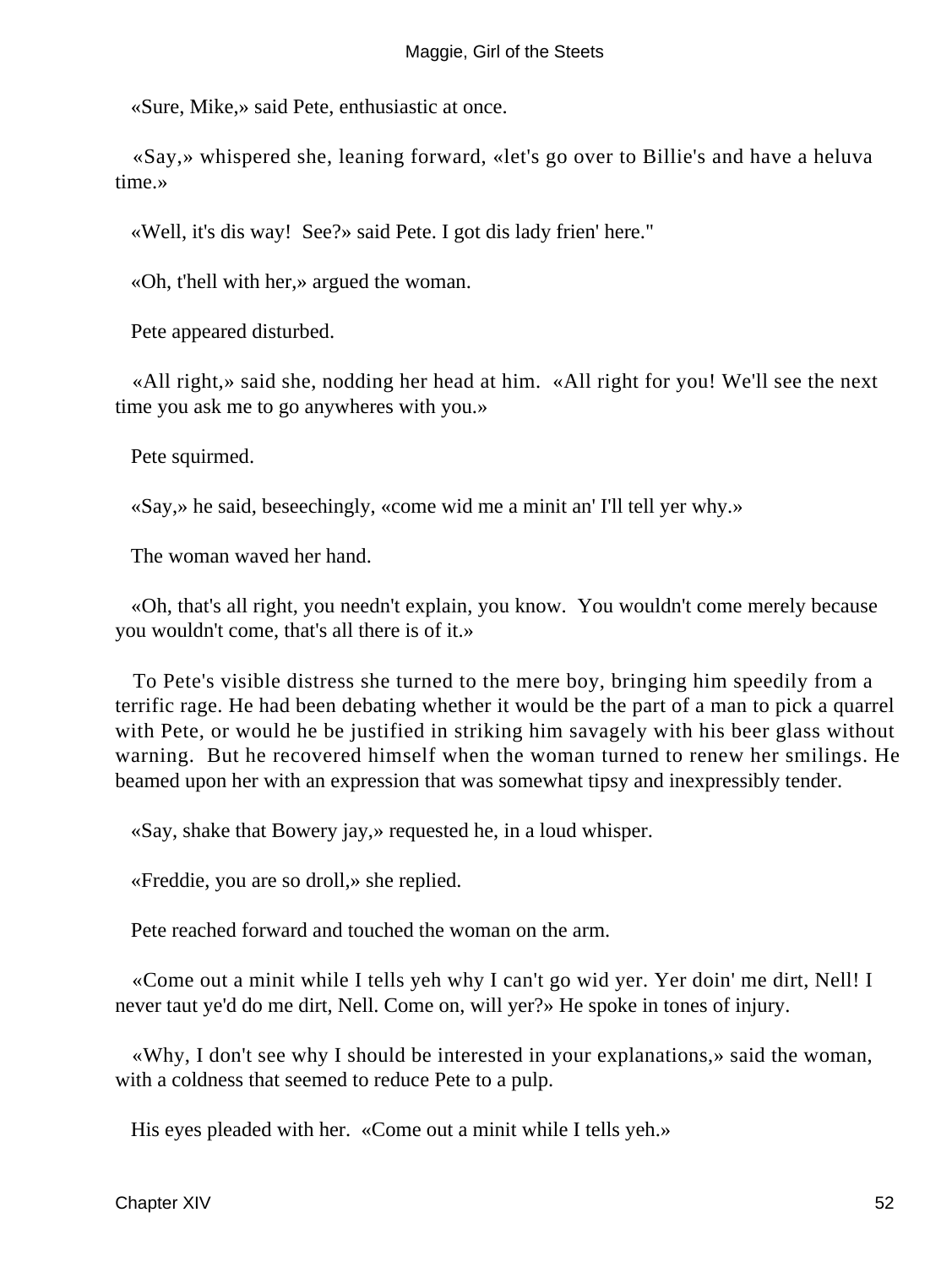«Sure, Mike,» said Pete, enthusiastic at once.

 «Say,» whispered she, leaning forward, «let's go over to Billie's and have a heluva time.»

«Well, it's dis way! See?» said Pete. I got dis lady frien' here."

«Oh, t'hell with her,» argued the woman.

Pete appeared disturbed.

 «All right,» said she, nodding her head at him. «All right for you! We'll see the next time you ask me to go anywheres with you.»

Pete squirmed.

«Say,» he said, beseechingly, «come wid me a minit an' I'll tell yer why.»

The woman waved her hand.

 «Oh, that's all right, you needn't explain, you know. You wouldn't come merely because you wouldn't come, that's all there is of it.»

 To Pete's visible distress she turned to the mere boy, bringing him speedily from a terrific rage. He had been debating whether it would be the part of a man to pick a quarrel with Pete, or would he be justified in striking him savagely with his beer glass without warning. But he recovered himself when the woman turned to renew her smilings. He beamed upon her with an expression that was somewhat tipsy and inexpressibly tender.

«Say, shake that Bowery jay,» requested he, in a loud whisper.

«Freddie, you are so droll,» she replied.

Pete reached forward and touched the woman on the arm.

 «Come out a minit while I tells yeh why I can't go wid yer. Yer doin' me dirt, Nell! I never taut ye'd do me dirt, Nell. Come on, will yer?» He spoke in tones of injury.

 «Why, I don't see why I should be interested in your explanations,» said the woman, with a coldness that seemed to reduce Pete to a pulp.

His eyes pleaded with her. «Come out a minit while I tells yeh.»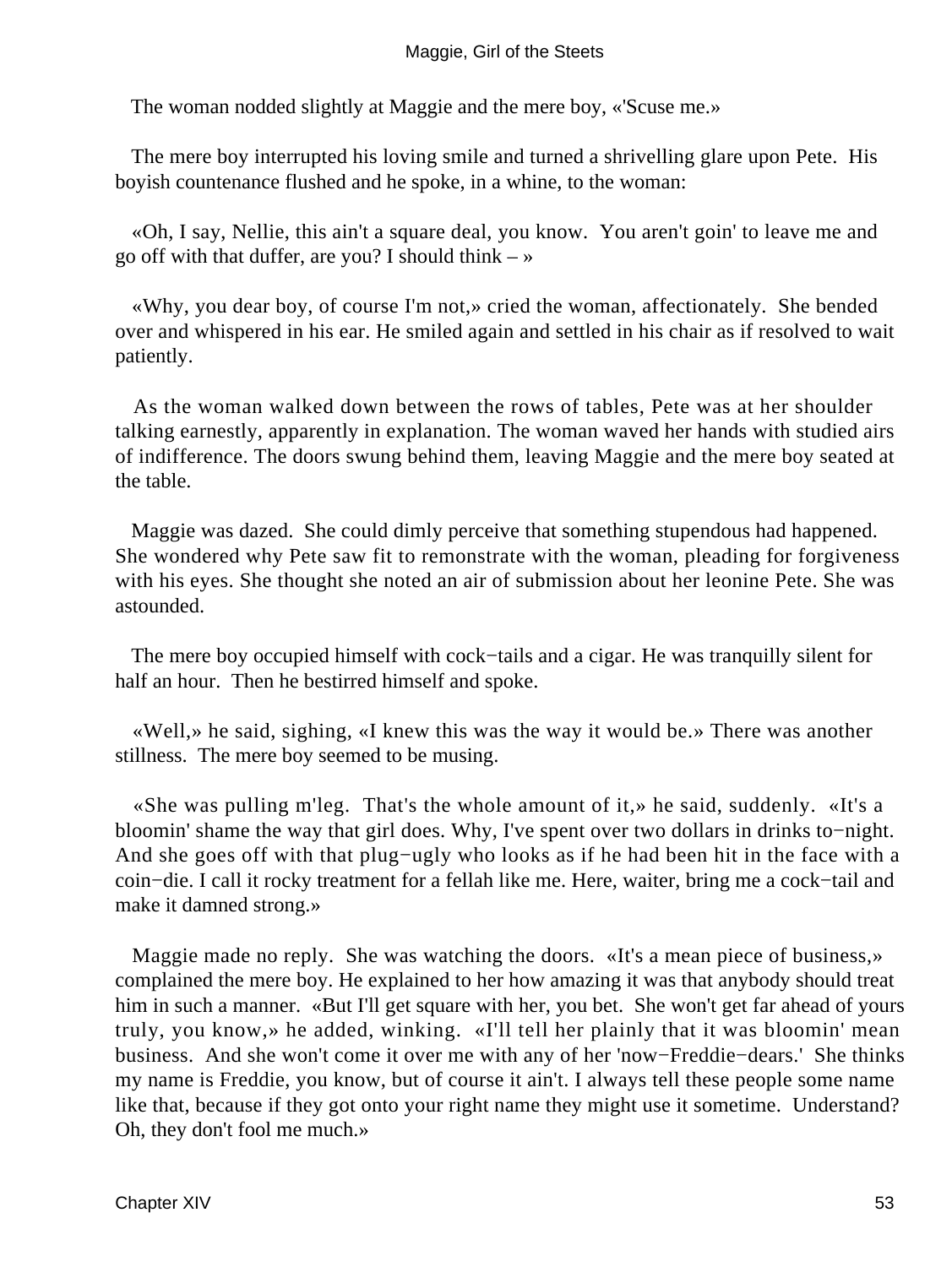The woman nodded slightly at Maggie and the mere boy, «'Scuse me.»

 The mere boy interrupted his loving smile and turned a shrivelling glare upon Pete. His boyish countenance flushed and he spoke, in a whine, to the woman:

 «Oh, I say, Nellie, this ain't a square deal, you know. You aren't goin' to leave me and go off with that duffer, are you? I should think  $-\infty$ 

 «Why, you dear boy, of course I'm not,» cried the woman, affectionately. She bended over and whispered in his ear. He smiled again and settled in his chair as if resolved to wait patiently.

 As the woman walked down between the rows of tables, Pete was at her shoulder talking earnestly, apparently in explanation. The woman waved her hands with studied airs of indifference. The doors swung behind them, leaving Maggie and the mere boy seated at the table.

 Maggie was dazed. She could dimly perceive that something stupendous had happened. She wondered why Pete saw fit to remonstrate with the woman, pleading for forgiveness with his eyes. She thought she noted an air of submission about her leonine Pete. She was astounded.

The mere boy occupied himself with cock–tails and a cigar. He was tranquilly silent for half an hour. Then he bestirred himself and spoke.

 «Well,» he said, sighing, «I knew this was the way it would be.» There was another stillness. The mere boy seemed to be musing.

 «She was pulling m'leg. That's the whole amount of it,» he said, suddenly. «It's a bloomin' shame the way that girl does. Why, I've spent over two dollars in drinks to−night. And she goes off with that plug−ugly who looks as if he had been hit in the face with a coin−die. I call it rocky treatment for a fellah like me. Here, waiter, bring me a cock−tail and make it damned strong.»

 Maggie made no reply. She was watching the doors. «It's a mean piece of business,» complained the mere boy. He explained to her how amazing it was that anybody should treat him in such a manner. «But I'll get square with her, you bet. She won't get far ahead of yours truly, you know,» he added, winking. «I'll tell her plainly that it was bloomin' mean business. And she won't come it over me with any of her 'now−Freddie−dears.' She thinks my name is Freddie, you know, but of course it ain't. I always tell these people some name like that, because if they got onto your right name they might use it sometime. Understand? Oh, they don't fool me much.»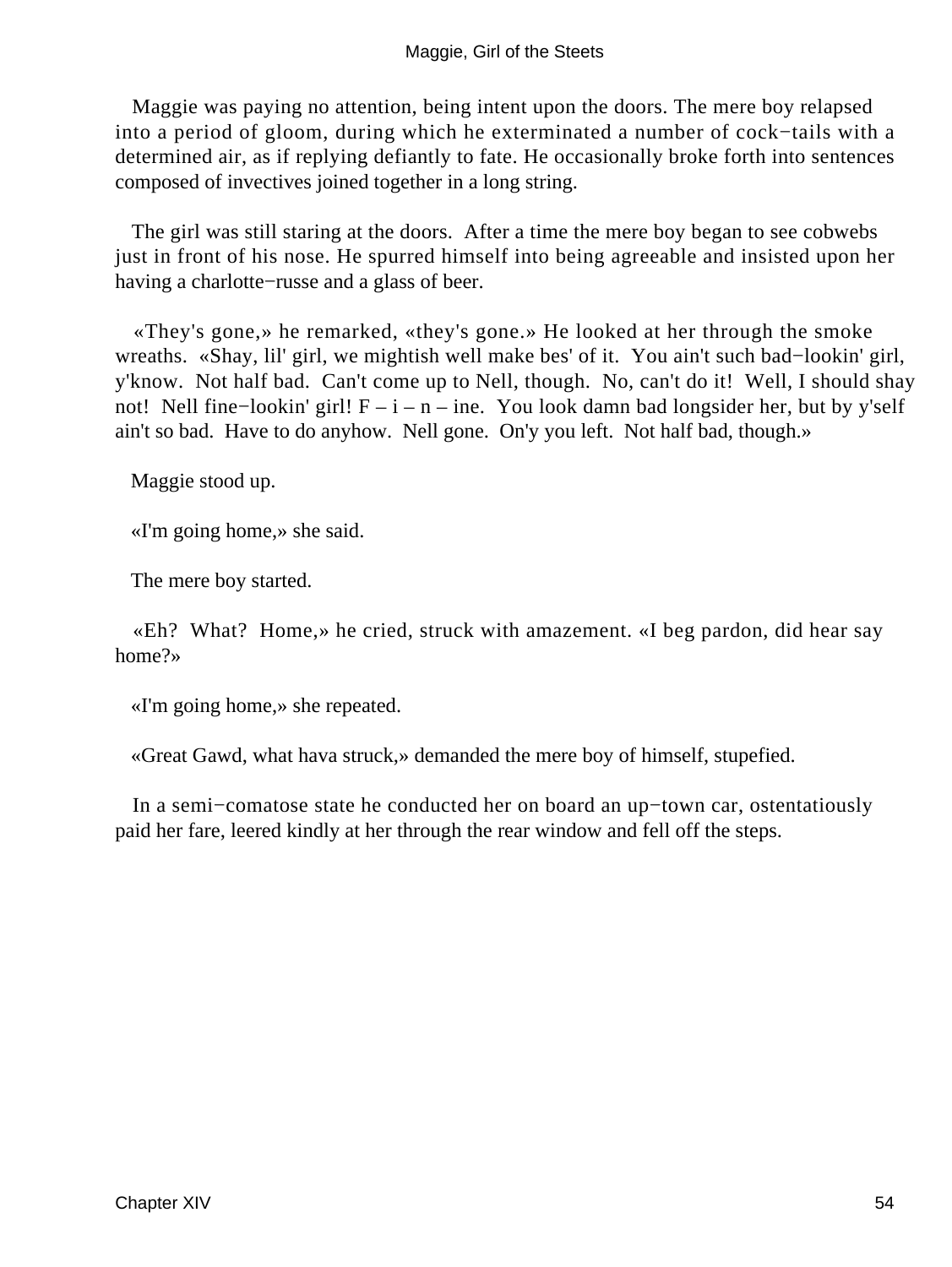#### Maggie, Girl of the Steets

 Maggie was paying no attention, being intent upon the doors. The mere boy relapsed into a period of gloom, during which he exterminated a number of cock−tails with a determined air, as if replying defiantly to fate. He occasionally broke forth into sentences composed of invectives joined together in a long string.

 The girl was still staring at the doors. After a time the mere boy began to see cobwebs just in front of his nose. He spurred himself into being agreeable and insisted upon her having a charlotte−russe and a glass of beer.

 «They's gone,» he remarked, «they's gone.» He looked at her through the smoke wreaths. «Shay, lil' girl, we mightish well make bes' of it. You ain't such bad−lookin' girl, y'know. Not half bad. Can't come up to Nell, though. No, can't do it! Well, I should shay not! Nell fine−lookin' girl! F – i – n – ine. You look damn bad longsider her, but by y'self ain't so bad. Have to do anyhow. Nell gone. On'y you left. Not half bad, though.»

Maggie stood up.

«I'm going home,» she said.

The mere boy started.

 «Eh? What? Home,» he cried, struck with amazement. «I beg pardon, did hear say home?»

«I'm going home,» she repeated.

«Great Gawd, what hava struck,» demanded the mere boy of himself, stupefied.

 In a semi−comatose state he conducted her on board an up−town car, ostentatiously paid her fare, leered kindly at her through the rear window and fell off the steps.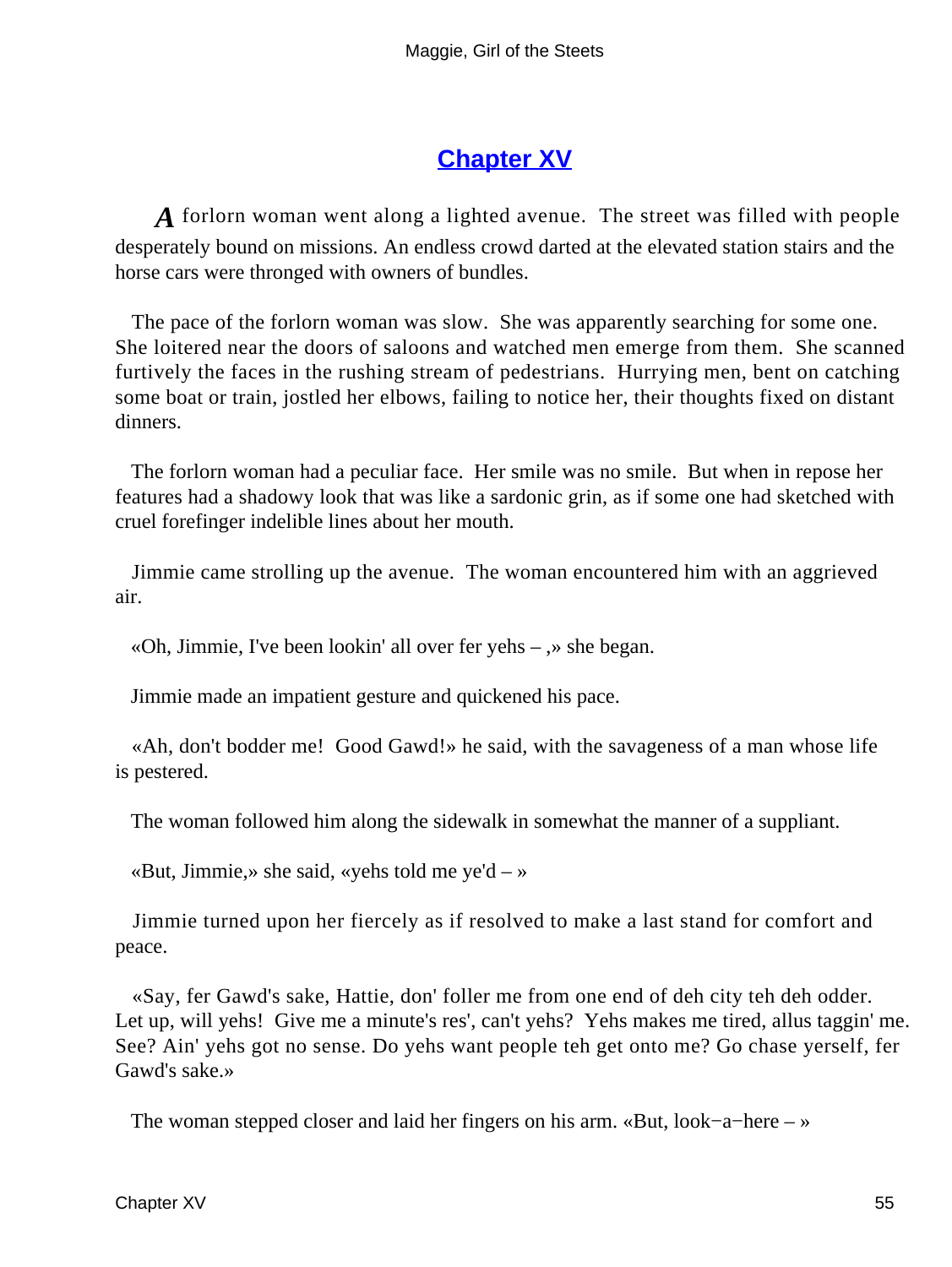# **[Chapter XV](#page-67-0)**

<span id="page-55-0"></span>*A* forlorn woman went along a lighted avenue. The street was filled with people desperately bound on missions. An endless crowd darted at the elevated station stairs and the horse cars were thronged with owners of bundles.

 The pace of the forlorn woman was slow. She was apparently searching for some one. She loitered near the doors of saloons and watched men emerge from them. She scanned furtively the faces in the rushing stream of pedestrians. Hurrying men, bent on catching some boat or train, jostled her elbows, failing to notice her, their thoughts fixed on distant dinners.

 The forlorn woman had a peculiar face. Her smile was no smile. But when in repose her features had a shadowy look that was like a sardonic grin, as if some one had sketched with cruel forefinger indelible lines about her mouth.

 Jimmie came strolling up the avenue. The woman encountered him with an aggrieved air.

«Oh, Jimmie, I've been lookin' all over fer yehs – ,» she began.

Jimmie made an impatient gesture and quickened his pace.

 «Ah, don't bodder me! Good Gawd!» he said, with the savageness of a man whose life is pestered.

The woman followed him along the sidewalk in somewhat the manner of a suppliant.

«But, Jimmie,» she said, «yehs told me ye'd – »

 Jimmie turned upon her fiercely as if resolved to make a last stand for comfort and peace.

 «Say, fer Gawd's sake, Hattie, don' foller me from one end of deh city teh deh odder. Let up, will yehs! Give me a minute's res', can't yehs? Yehs makes me tired, allus taggin' me. See? Ain' yehs got no sense. Do yehs want people teh get onto me? Go chase yerself, fer Gawd's sake.»

The woman stepped closer and laid her fingers on his arm. «But, look−a−here – »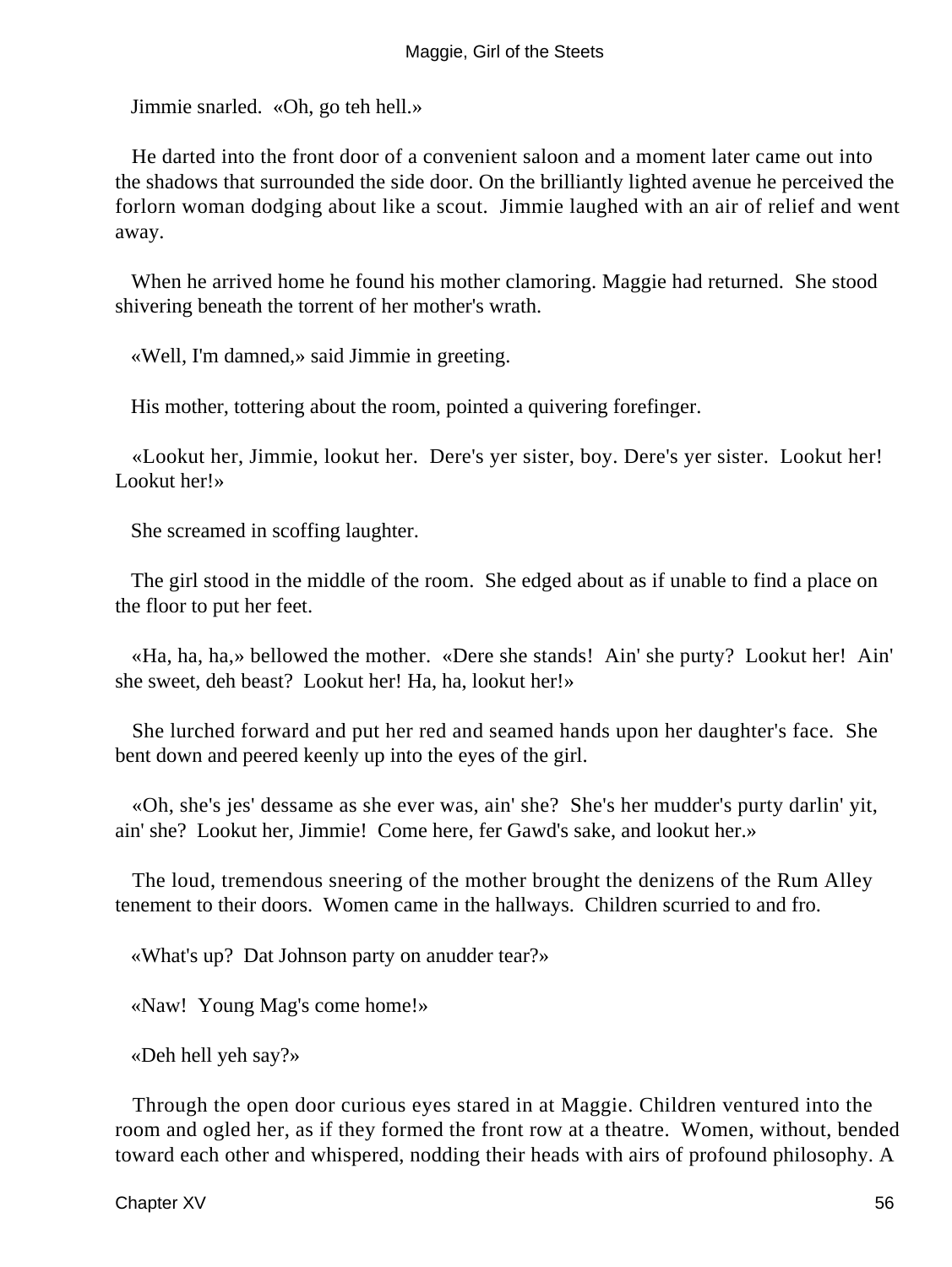Jimmie snarled. «Oh, go teh hell.»

 He darted into the front door of a convenient saloon and a moment later came out into the shadows that surrounded the side door. On the brilliantly lighted avenue he perceived the forlorn woman dodging about like a scout. Jimmie laughed with an air of relief and went away.

 When he arrived home he found his mother clamoring. Maggie had returned. She stood shivering beneath the torrent of her mother's wrath.

«Well, I'm damned,» said Jimmie in greeting.

His mother, tottering about the room, pointed a quivering forefinger.

 «Lookut her, Jimmie, lookut her. Dere's yer sister, boy. Dere's yer sister. Lookut her! Lookut her!»

She screamed in scoffing laughter.

 The girl stood in the middle of the room. She edged about as if unable to find a place on the floor to put her feet.

 «Ha, ha, ha,» bellowed the mother. «Dere she stands! Ain' she purty? Lookut her! Ain' she sweet, deh beast? Lookut her! Ha, ha, lookut her!»

 She lurched forward and put her red and seamed hands upon her daughter's face. She bent down and peered keenly up into the eyes of the girl.

 «Oh, she's jes' dessame as she ever was, ain' she? She's her mudder's purty darlin' yit, ain' she? Lookut her, Jimmie! Come here, fer Gawd's sake, and lookut her.»

 The loud, tremendous sneering of the mother brought the denizens of the Rum Alley tenement to their doors. Women came in the hallways. Children scurried to and fro.

«What's up? Dat Johnson party on anudder tear?»

«Naw! Young Mag's come home!»

«Deh hell yeh say?»

 Through the open door curious eyes stared in at Maggie. Children ventured into the room and ogled her, as if they formed the front row at a theatre. Women, without, bended toward each other and whispered, nodding their heads with airs of profound philosophy. A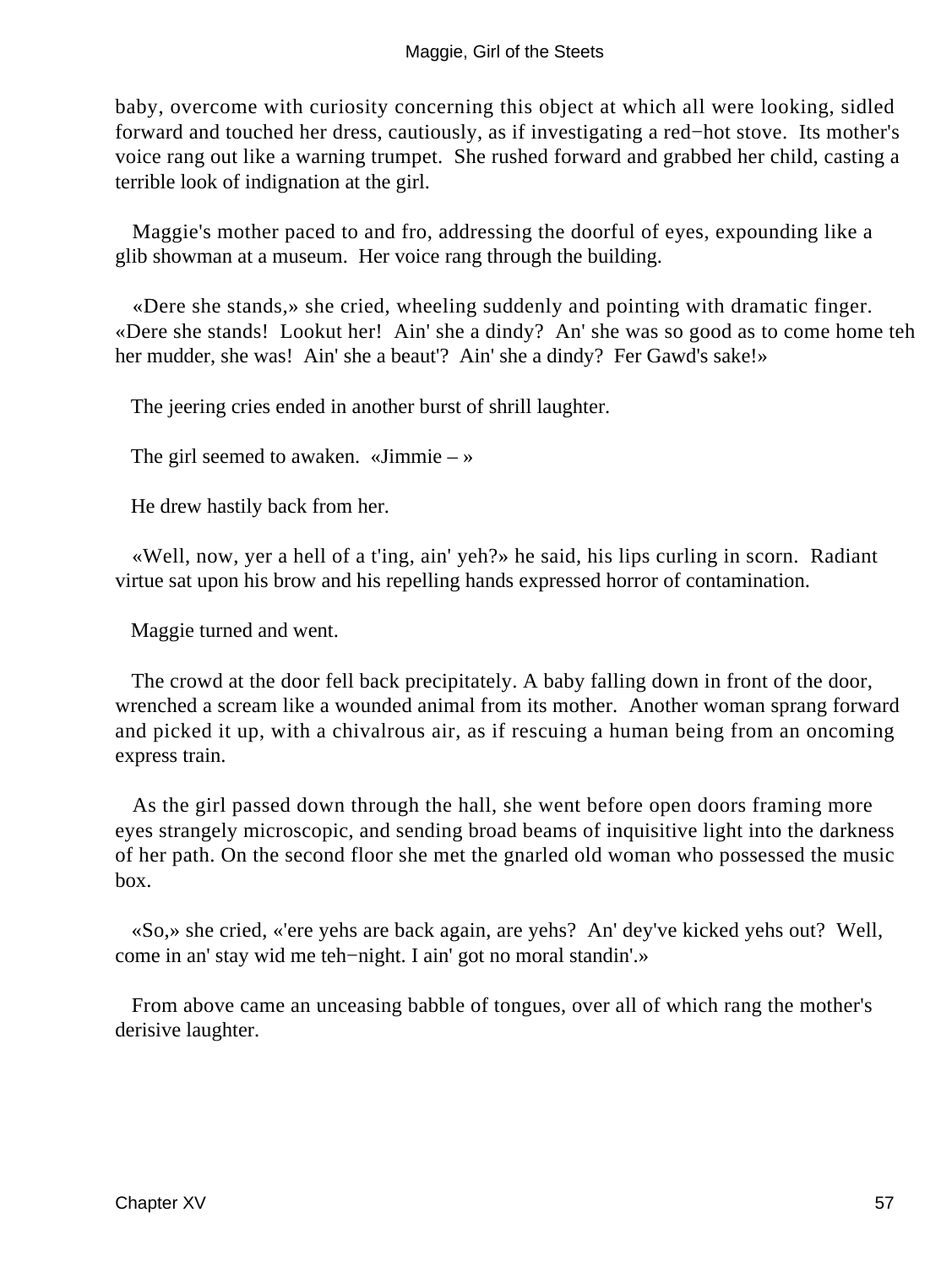baby, overcome with curiosity concerning this object at which all were looking, sidled forward and touched her dress, cautiously, as if investigating a red−hot stove. Its mother's voice rang out like a warning trumpet. She rushed forward and grabbed her child, casting a terrible look of indignation at the girl.

 Maggie's mother paced to and fro, addressing the doorful of eyes, expounding like a glib showman at a museum. Her voice rang through the building.

 «Dere she stands,» she cried, wheeling suddenly and pointing with dramatic finger. «Dere she stands! Lookut her! Ain' she a dindy? An' she was so good as to come home teh her mudder, she was! Ain' she a beaut'? Ain' she a dindy? Fer Gawd's sake!»

The jeering cries ended in another burst of shrill laughter.

The girl seemed to awaken. «Jimmie – »

He drew hastily back from her.

 «Well, now, yer a hell of a t'ing, ain' yeh?» he said, his lips curling in scorn. Radiant virtue sat upon his brow and his repelling hands expressed horror of contamination.

Maggie turned and went.

 The crowd at the door fell back precipitately. A baby falling down in front of the door, wrenched a scream like a wounded animal from its mother. Another woman sprang forward and picked it up, with a chivalrous air, as if rescuing a human being from an oncoming express train.

 As the girl passed down through the hall, she went before open doors framing more eyes strangely microscopic, and sending broad beams of inquisitive light into the darkness of her path. On the second floor she met the gnarled old woman who possessed the music box.

 «So,» she cried, «'ere yehs are back again, are yehs? An' dey've kicked yehs out? Well, come in an' stay wid me teh−night. I ain' got no moral standin'.»

 From above came an unceasing babble of tongues, over all of which rang the mother's derisive laughter.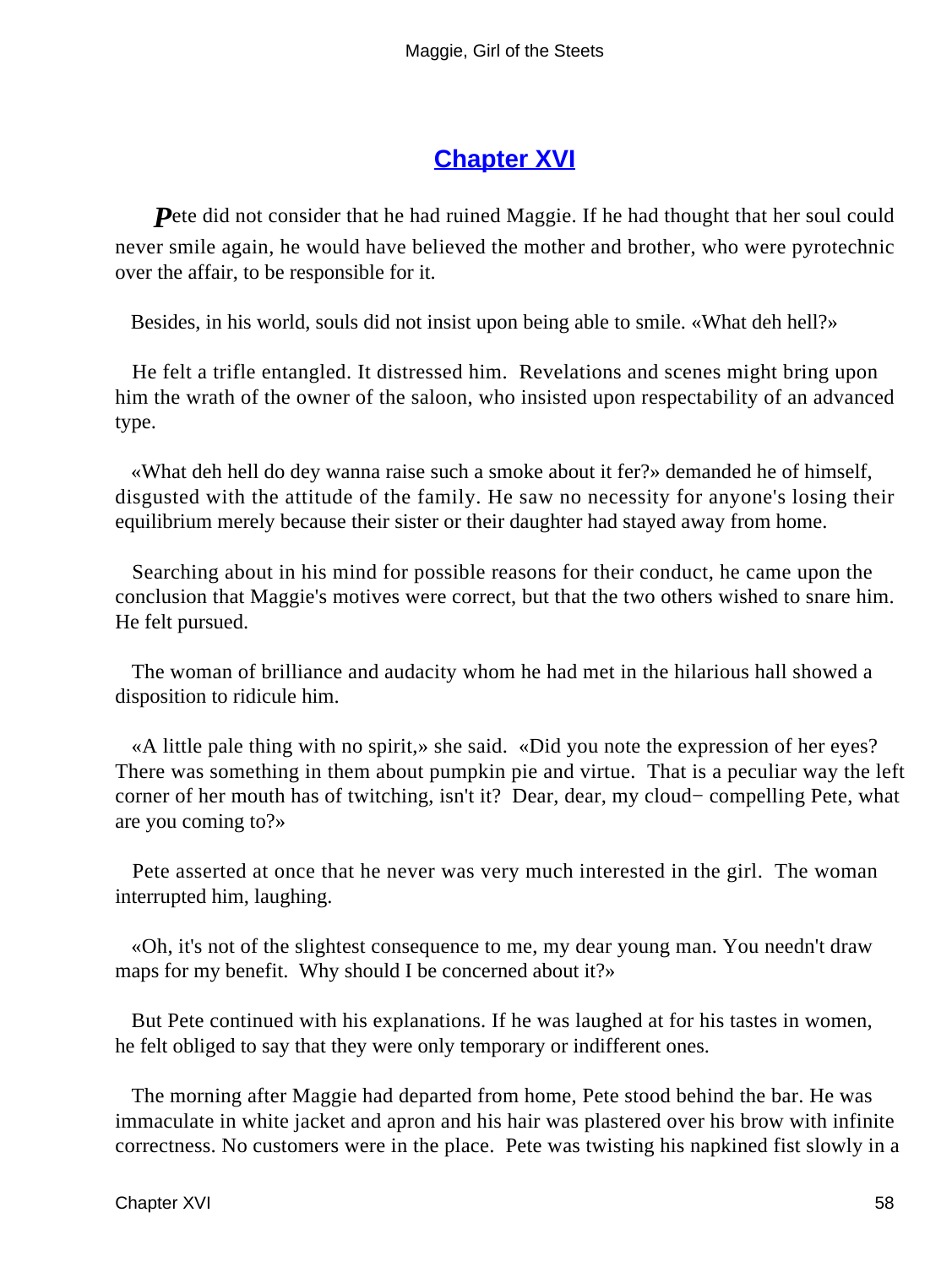## **[Chapter XVI](#page-67-0)**

<span id="page-58-0"></span>**P**ete did not consider that he had ruined Maggie. If he had thought that her soul could never smile again, he would have believed the mother and brother, who were pyrotechnic over the affair, to be responsible for it.

Besides, in his world, souls did not insist upon being able to smile. «What deh hell?»

 He felt a trifle entangled. It distressed him. Revelations and scenes might bring upon him the wrath of the owner of the saloon, who insisted upon respectability of an advanced type.

 «What deh hell do dey wanna raise such a smoke about it fer?» demanded he of himself, disgusted with the attitude of the family. He saw no necessity for anyone's losing their equilibrium merely because their sister or their daughter had stayed away from home.

 Searching about in his mind for possible reasons for their conduct, he came upon the conclusion that Maggie's motives were correct, but that the two others wished to snare him. He felt pursued.

 The woman of brilliance and audacity whom he had met in the hilarious hall showed a disposition to ridicule him.

 «A little pale thing with no spirit,» she said. «Did you note the expression of her eyes? There was something in them about pumpkin pie and virtue. That is a peculiar way the left corner of her mouth has of twitching, isn't it? Dear, dear, my cloud− compelling Pete, what are you coming to?»

 Pete asserted at once that he never was very much interested in the girl. The woman interrupted him, laughing.

 «Oh, it's not of the slightest consequence to me, my dear young man. You needn't draw maps for my benefit. Why should I be concerned about it?»

 But Pete continued with his explanations. If he was laughed at for his tastes in women, he felt obliged to say that they were only temporary or indifferent ones.

 The morning after Maggie had departed from home, Pete stood behind the bar. He was immaculate in white jacket and apron and his hair was plastered over his brow with infinite correctness. No customers were in the place. Pete was twisting his napkined fist slowly in a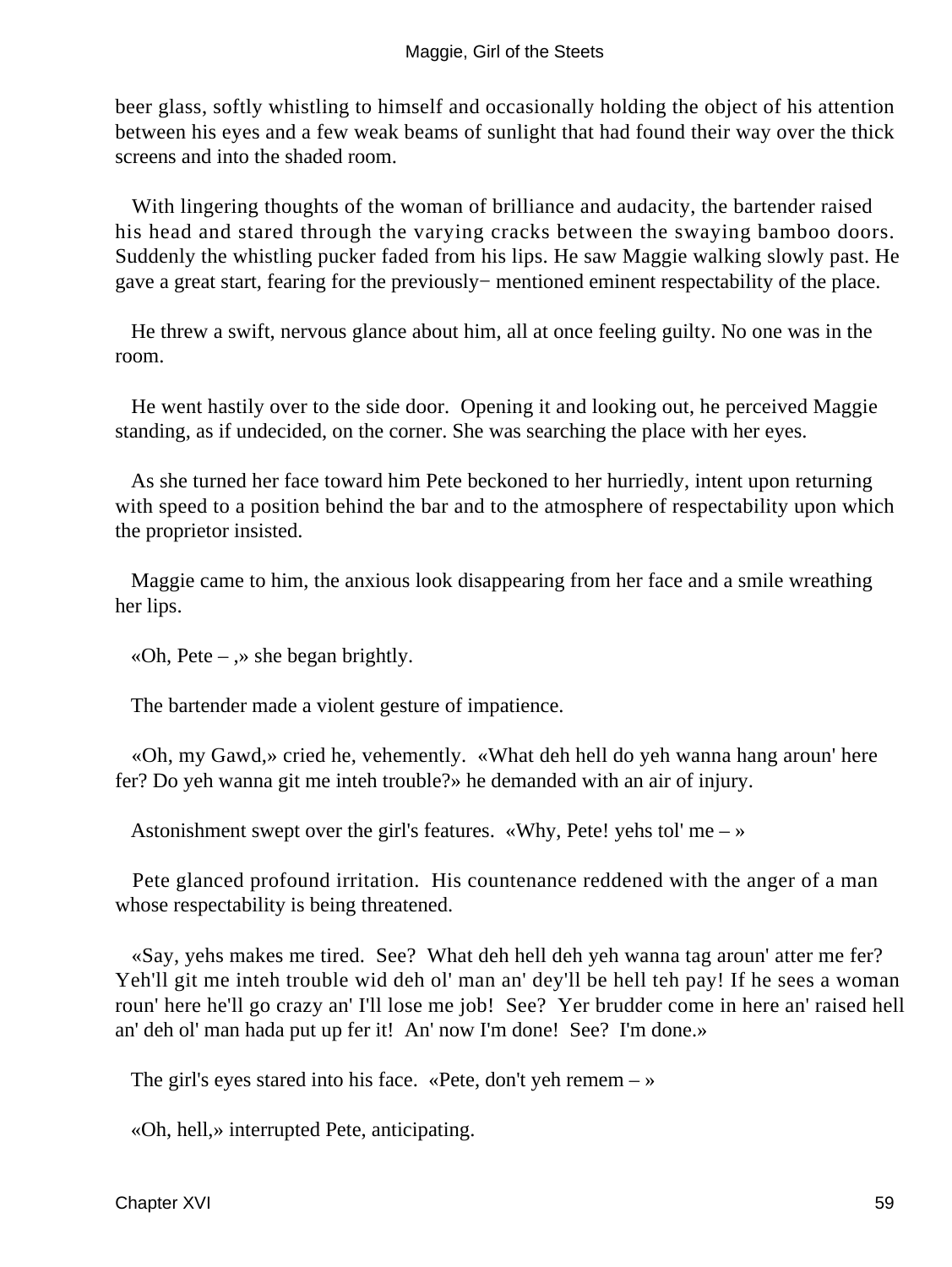beer glass, softly whistling to himself and occasionally holding the object of his attention between his eyes and a few weak beams of sunlight that had found their way over the thick screens and into the shaded room.

 With lingering thoughts of the woman of brilliance and audacity, the bartender raised his head and stared through the varying cracks between the swaying bamboo doors. Suddenly the whistling pucker faded from his lips. He saw Maggie walking slowly past. He gave a great start, fearing for the previously− mentioned eminent respectability of the place.

 He threw a swift, nervous glance about him, all at once feeling guilty. No one was in the room.

 He went hastily over to the side door. Opening it and looking out, he perceived Maggie standing, as if undecided, on the corner. She was searching the place with her eyes.

 As she turned her face toward him Pete beckoned to her hurriedly, intent upon returning with speed to a position behind the bar and to the atmosphere of respectability upon which the proprietor insisted.

 Maggie came to him, the anxious look disappearing from her face and a smile wreathing her lips.

«Oh, Pete –  $\rightarrow$  she began brightly.

The bartender made a violent gesture of impatience.

 «Oh, my Gawd,» cried he, vehemently. «What deh hell do yeh wanna hang aroun' here fer? Do yeh wanna git me inteh trouble?» he demanded with an air of injury.

Astonishment swept over the girl's features. «Why, Pete! yehs tol' me  $-\infty$ 

 Pete glanced profound irritation. His countenance reddened with the anger of a man whose respectability is being threatened.

 «Say, yehs makes me tired. See? What deh hell deh yeh wanna tag aroun' atter me fer? Yeh'll git me inteh trouble wid deh ol' man an' dey'll be hell teh pay! If he sees a woman roun' here he'll go crazy an' I'll lose me job! See? Yer brudder come in here an' raised hell an' deh ol' man hada put up fer it! An' now I'm done! See? I'm done.»

The girl's eyes stared into his face. «Pete, don't yeh remem  $-\infty$ 

«Oh, hell,» interrupted Pete, anticipating.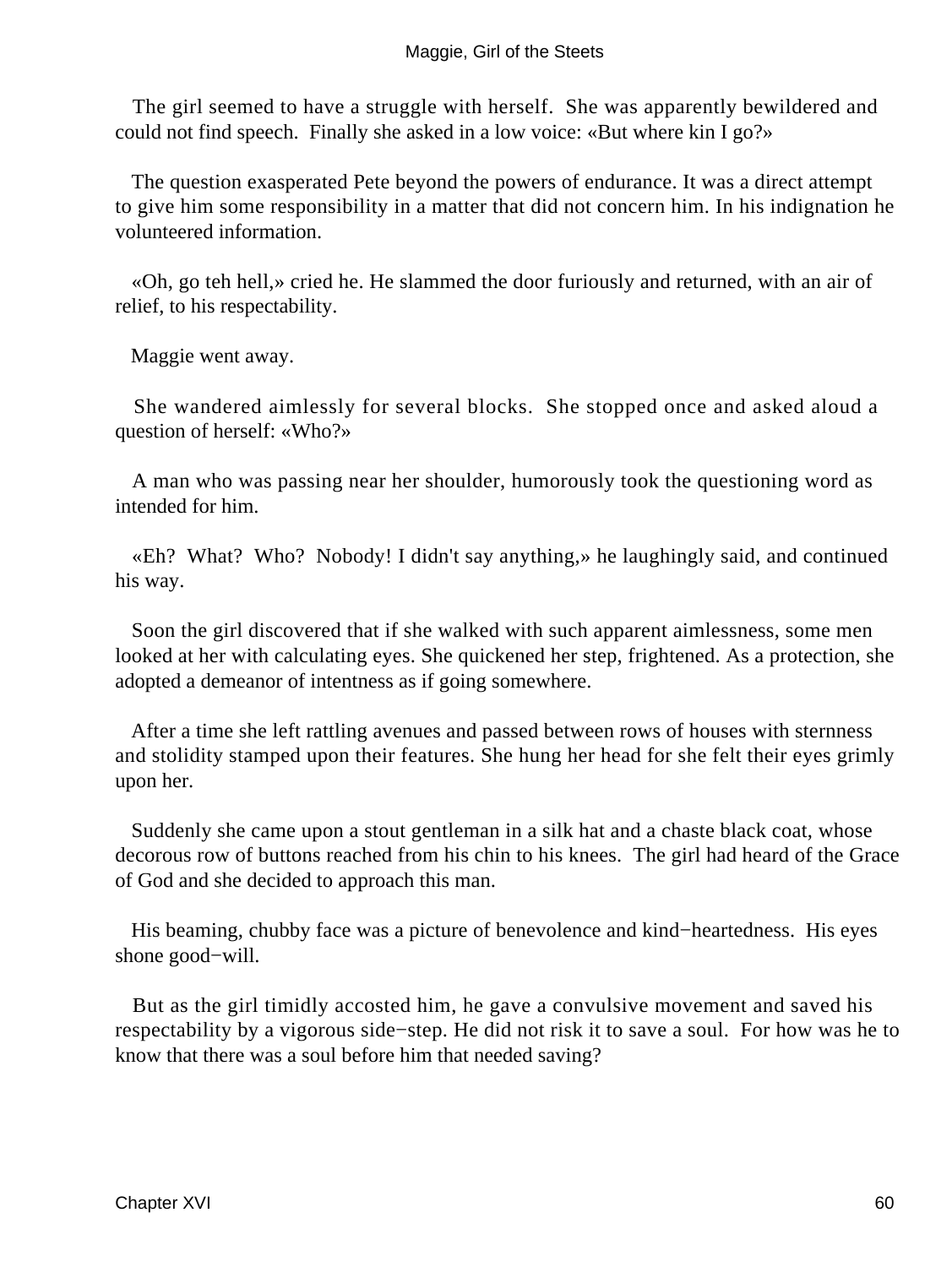The girl seemed to have a struggle with herself. She was apparently bewildered and could not find speech. Finally she asked in a low voice: «But where kin I go?»

 The question exasperated Pete beyond the powers of endurance. It was a direct attempt to give him some responsibility in a matter that did not concern him. In his indignation he volunteered information.

 «Oh, go teh hell,» cried he. He slammed the door furiously and returned, with an air of relief, to his respectability.

Maggie went away.

 She wandered aimlessly for several blocks. She stopped once and asked aloud a question of herself: «Who?»

 A man who was passing near her shoulder, humorously took the questioning word as intended for him.

 «Eh? What? Who? Nobody! I didn't say anything,» he laughingly said, and continued his way.

 Soon the girl discovered that if she walked with such apparent aimlessness, some men looked at her with calculating eyes. She quickened her step, frightened. As a protection, she adopted a demeanor of intentness as if going somewhere.

 After a time she left rattling avenues and passed between rows of houses with sternness and stolidity stamped upon their features. She hung her head for she felt their eyes grimly upon her.

 Suddenly she came upon a stout gentleman in a silk hat and a chaste black coat, whose decorous row of buttons reached from his chin to his knees. The girl had heard of the Grace of God and she decided to approach this man.

 His beaming, chubby face was a picture of benevolence and kind−heartedness. His eyes shone good−will.

 But as the girl timidly accosted him, he gave a convulsive movement and saved his respectability by a vigorous side−step. He did not risk it to save a soul. For how was he to know that there was a soul before him that needed saving?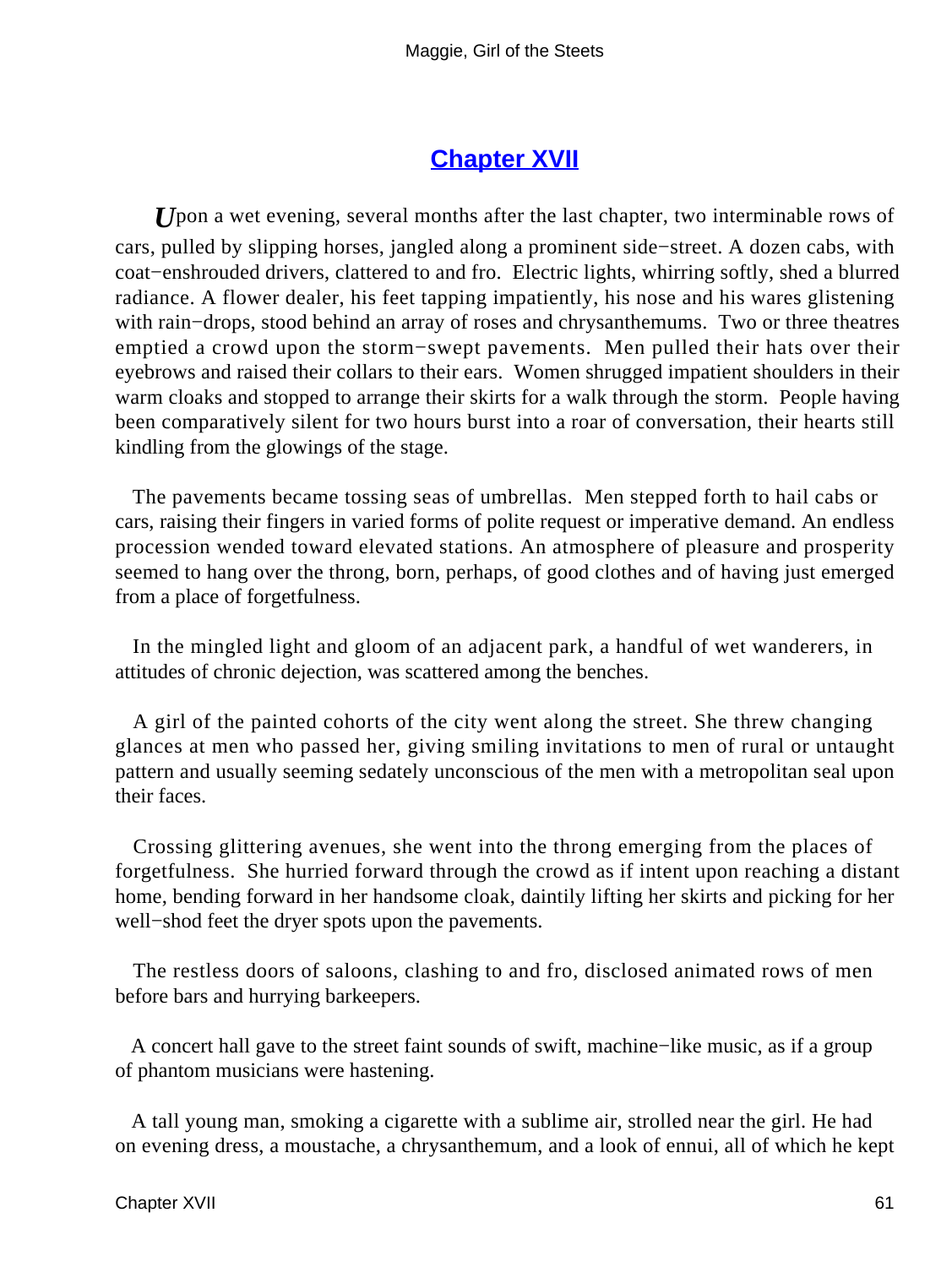### **[Chapter XVII](#page-67-0)**

<span id="page-61-0"></span>*U*pon a wet evening, several months after the last chapter, two interminable rows of cars, pulled by slipping horses, jangled along a prominent side−street. A dozen cabs, with coat−enshrouded drivers, clattered to and fro. Electric lights, whirring softly, shed a blurred radiance. A flower dealer, his feet tapping impatiently, his nose and his wares glistening with rain−drops, stood behind an array of roses and chrysanthemums. Two or three theatres emptied a crowd upon the storm−swept pavements. Men pulled their hats over their eyebrows and raised their collars to their ears. Women shrugged impatient shoulders in their warm cloaks and stopped to arrange their skirts for a walk through the storm. People having been comparatively silent for two hours burst into a roar of conversation, their hearts still kindling from the glowings of the stage.

 The pavements became tossing seas of umbrellas. Men stepped forth to hail cabs or cars, raising their fingers in varied forms of polite request or imperative demand. An endless procession wended toward elevated stations. An atmosphere of pleasure and prosperity seemed to hang over the throng, born, perhaps, of good clothes and of having just emerged from a place of forgetfulness.

 In the mingled light and gloom of an adjacent park, a handful of wet wanderers, in attitudes of chronic dejection, was scattered among the benches.

 A girl of the painted cohorts of the city went along the street. She threw changing glances at men who passed her, giving smiling invitations to men of rural or untaught pattern and usually seeming sedately unconscious of the men with a metropolitan seal upon their faces.

 Crossing glittering avenues, she went into the throng emerging from the places of forgetfulness. She hurried forward through the crowd as if intent upon reaching a distant home, bending forward in her handsome cloak, daintily lifting her skirts and picking for her well−shod feet the dryer spots upon the pavements.

 The restless doors of saloons, clashing to and fro, disclosed animated rows of men before bars and hurrying barkeepers.

 A concert hall gave to the street faint sounds of swift, machine−like music, as if a group of phantom musicians were hastening.

 A tall young man, smoking a cigarette with a sublime air, strolled near the girl. He had on evening dress, a moustache, a chrysanthemum, and a look of ennui, all of which he kept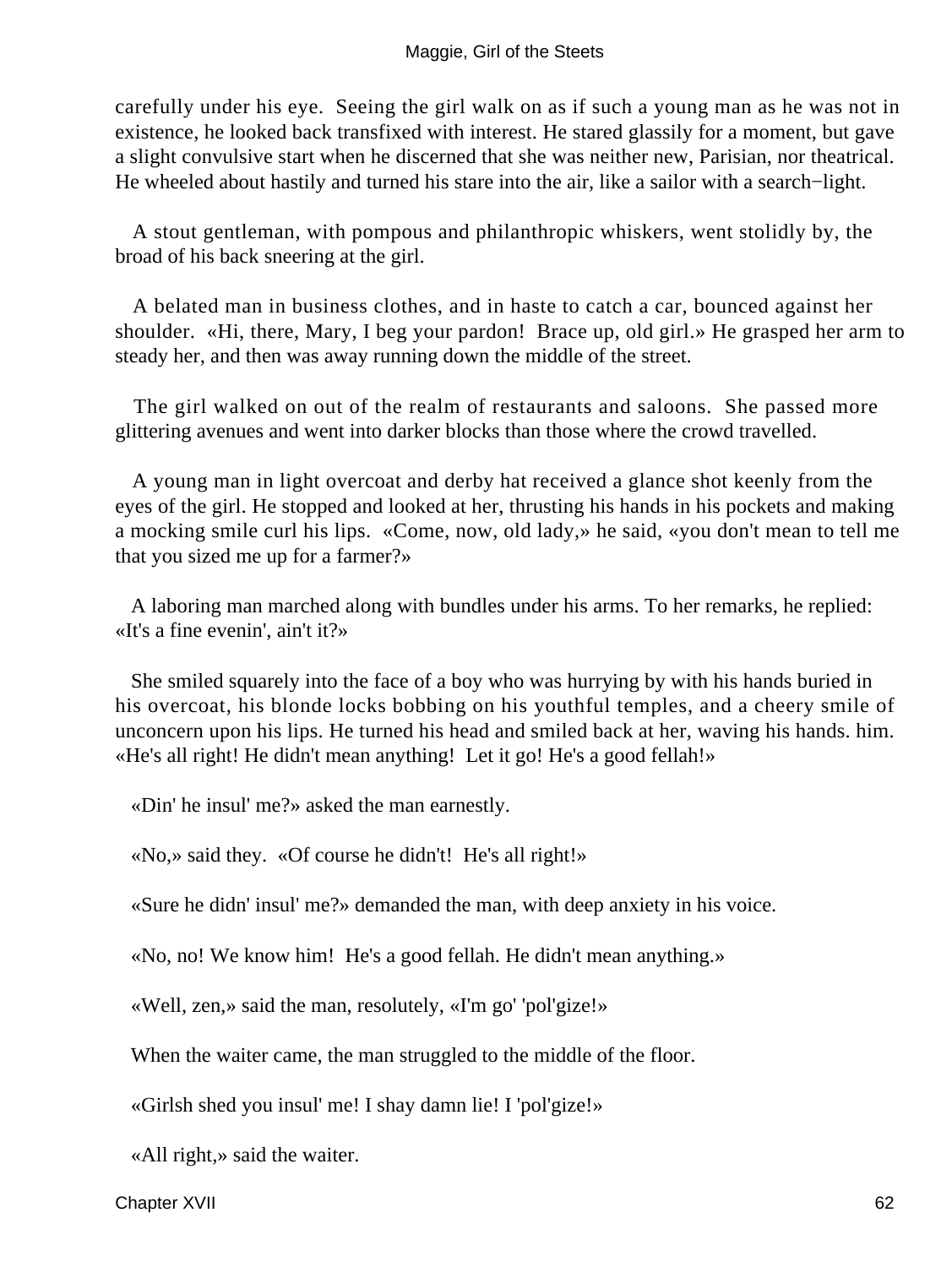carefully under his eye. Seeing the girl walk on as if such a young man as he was not in existence, he looked back transfixed with interest. He stared glassily for a moment, but gave a slight convulsive start when he discerned that she was neither new, Parisian, nor theatrical. He wheeled about hastily and turned his stare into the air, like a sailor with a search–light.

 A stout gentleman, with pompous and philanthropic whiskers, went stolidly by, the broad of his back sneering at the girl.

 A belated man in business clothes, and in haste to catch a car, bounced against her shoulder. «Hi, there, Mary, I beg your pardon! Brace up, old girl.» He grasped her arm to steady her, and then was away running down the middle of the street.

 The girl walked on out of the realm of restaurants and saloons. She passed more glittering avenues and went into darker blocks than those where the crowd travelled.

 A young man in light overcoat and derby hat received a glance shot keenly from the eyes of the girl. He stopped and looked at her, thrusting his hands in his pockets and making a mocking smile curl his lips. «Come, now, old lady,» he said, «you don't mean to tell me that you sized me up for a farmer?»

 A laboring man marched along with bundles under his arms. To her remarks, he replied: «It's a fine evenin', ain't it?»

 She smiled squarely into the face of a boy who was hurrying by with his hands buried in his overcoat, his blonde locks bobbing on his youthful temples, and a cheery smile of unconcern upon his lips. He turned his head and smiled back at her, waving his hands. him. «He's all right! He didn't mean anything! Let it go! He's a good fellah!»

«Din' he insul' me?» asked the man earnestly.

«No,» said they. «Of course he didn't! He's all right!»

«Sure he didn' insul' me?» demanded the man, with deep anxiety in his voice.

«No, no! We know him! He's a good fellah. He didn't mean anything.»

«Well, zen,» said the man, resolutely, «I'm go' 'pol'gize!»

When the waiter came, the man struggled to the middle of the floor.

«Girlsh shed you insul' me! I shay damn lie! I 'pol'gize!»

«All right,» said the waiter.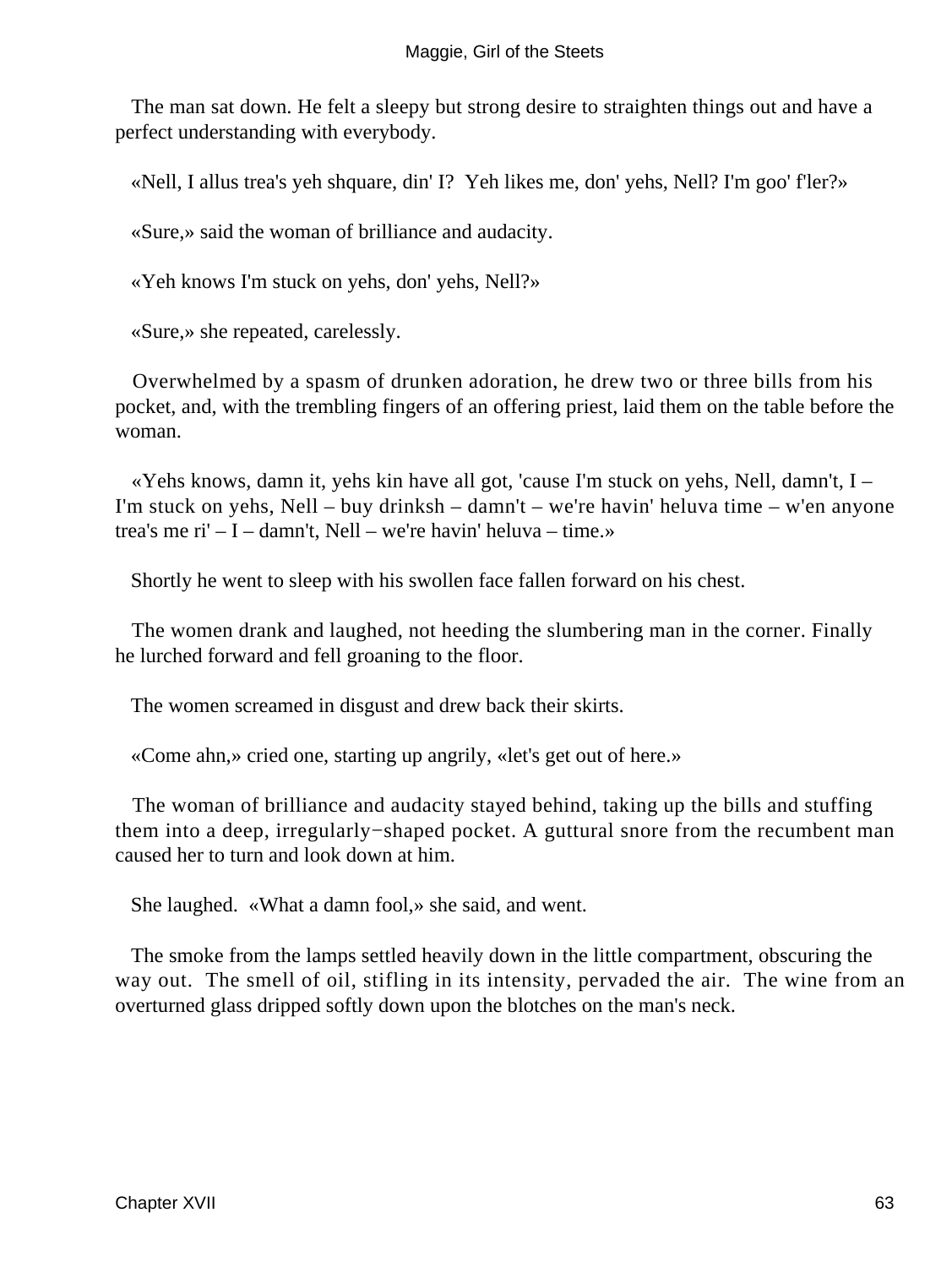The man sat down. He felt a sleepy but strong desire to straighten things out and have a perfect understanding with everybody.

«Nell, I allus trea's yeh shquare, din' I? Yeh likes me, don' yehs, Nell? I'm goo' f'ler?»

«Sure,» said the woman of brilliance and audacity.

«Yeh knows I'm stuck on yehs, don' yehs, Nell?»

«Sure,» she repeated, carelessly.

 Overwhelmed by a spasm of drunken adoration, he drew two or three bills from his pocket, and, with the trembling fingers of an offering priest, laid them on the table before the woman.

 «Yehs knows, damn it, yehs kin have all got, 'cause I'm stuck on yehs, Nell, damn't, I – I'm stuck on yehs, Nell – buy drinksh – damn't – we're havin' heluva time – w'en anyone trea's me ri' – I – damn't, Nell – we're havin' heluva – time.»

Shortly he went to sleep with his swollen face fallen forward on his chest.

 The women drank and laughed, not heeding the slumbering man in the corner. Finally he lurched forward and fell groaning to the floor.

The women screamed in disgust and drew back their skirts.

«Come ahn,» cried one, starting up angrily, «let's get out of here.»

 The woman of brilliance and audacity stayed behind, taking up the bills and stuffing them into a deep, irregularly−shaped pocket. A guttural snore from the recumbent man caused her to turn and look down at him.

She laughed. «What a damn fool,» she said, and went.

 The smoke from the lamps settled heavily down in the little compartment, obscuring the way out. The smell of oil, stifling in its intensity, pervaded the air. The wine from an overturned glass dripped softly down upon the blotches on the man's neck.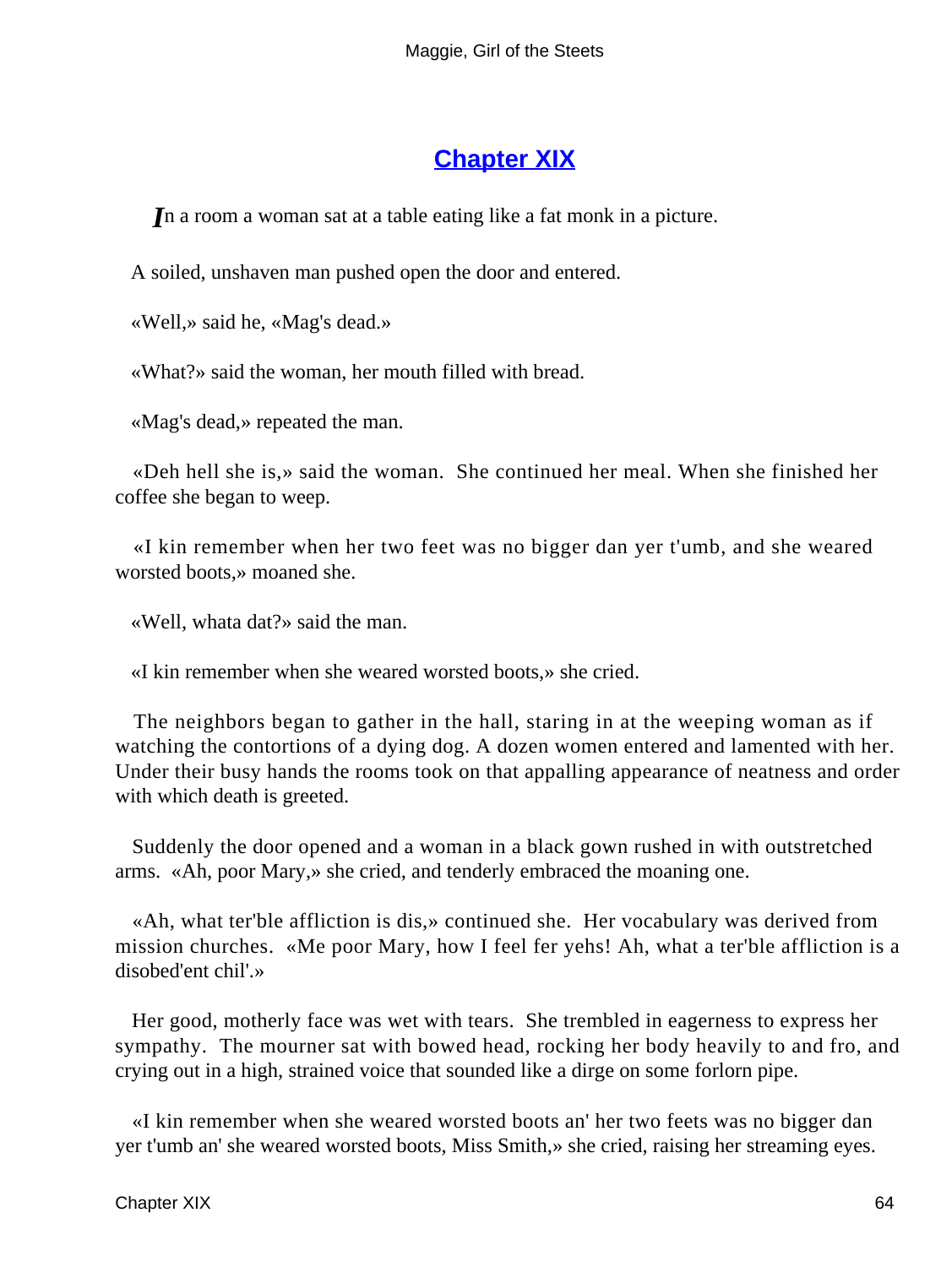### **[Chapter XIX](#page-67-0)**

<span id="page-64-0"></span>*I*n a room a woman sat at a table eating like a fat monk in a picture.

A soiled, unshaven man pushed open the door and entered.

«Well,» said he, «Mag's dead.»

«What?» said the woman, her mouth filled with bread.

«Mag's dead,» repeated the man.

 «Deh hell she is,» said the woman. She continued her meal. When she finished her coffee she began to weep.

 «I kin remember when her two feet was no bigger dan yer t'umb, and she weared worsted boots,» moaned she.

«Well, whata dat?» said the man.

«I kin remember when she weared worsted boots,» she cried.

 The neighbors began to gather in the hall, staring in at the weeping woman as if watching the contortions of a dying dog. A dozen women entered and lamented with her. Under their busy hands the rooms took on that appalling appearance of neatness and order with which death is greeted.

 Suddenly the door opened and a woman in a black gown rushed in with outstretched arms. «Ah, poor Mary,» she cried, and tenderly embraced the moaning one.

 «Ah, what ter'ble affliction is dis,» continued she. Her vocabulary was derived from mission churches. «Me poor Mary, how I feel fer yehs! Ah, what a ter'ble affliction is a disobed'ent chil'.»

 Her good, motherly face was wet with tears. She trembled in eagerness to express her sympathy. The mourner sat with bowed head, rocking her body heavily to and fro, and crying out in a high, strained voice that sounded like a dirge on some forlorn pipe.

 «I kin remember when she weared worsted boots an' her two feets was no bigger dan yer t'umb an' she weared worsted boots, Miss Smith,» she cried, raising her streaming eyes.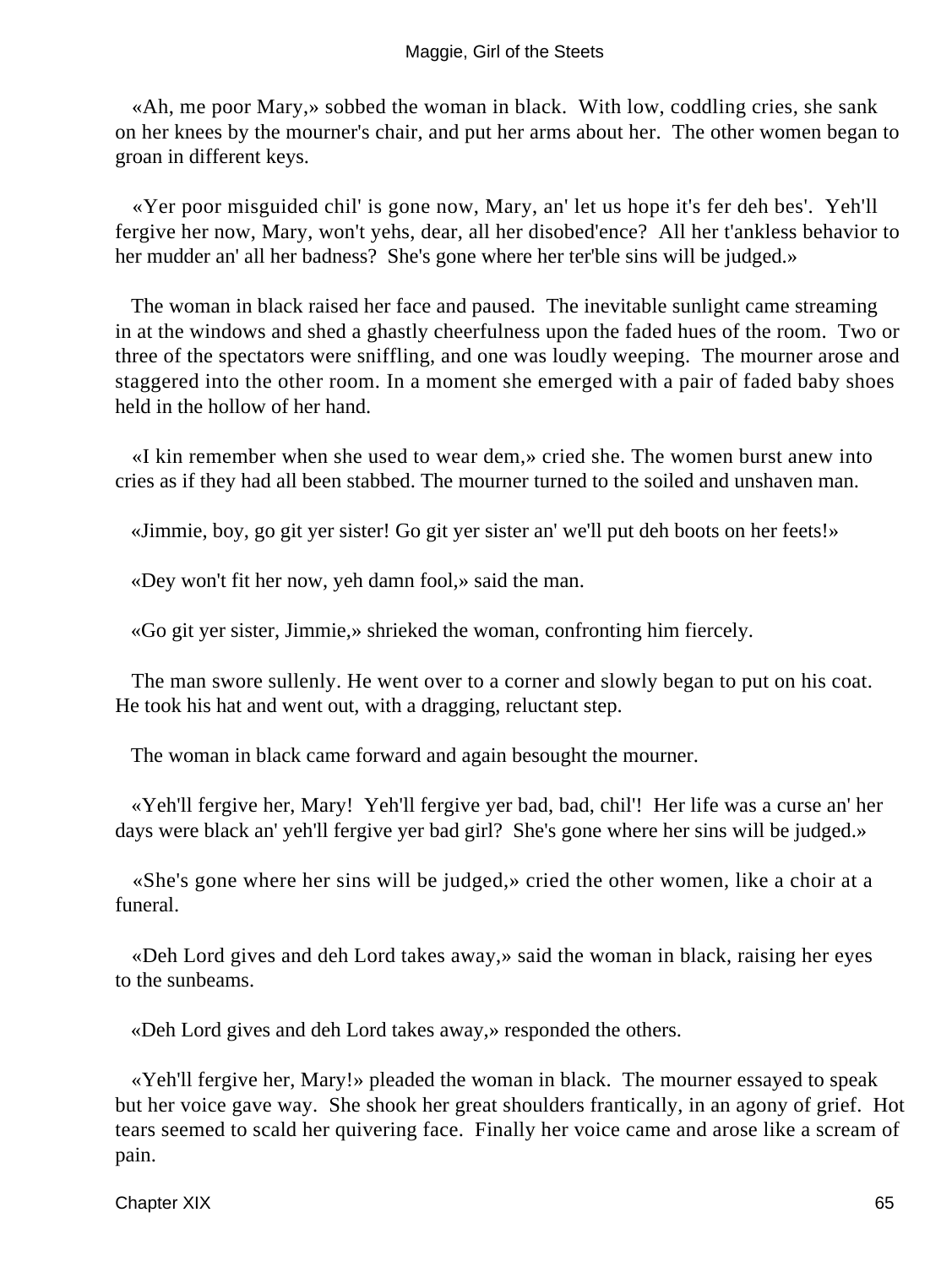#### Maggie, Girl of the Steets

 «Ah, me poor Mary,» sobbed the woman in black. With low, coddling cries, she sank on her knees by the mourner's chair, and put her arms about her. The other women began to groan in different keys.

 «Yer poor misguided chil' is gone now, Mary, an' let us hope it's fer deh bes'. Yeh'll fergive her now, Mary, won't yehs, dear, all her disobed'ence? All her t'ankless behavior to her mudder an' all her badness? She's gone where her ter'ble sins will be judged.»

 The woman in black raised her face and paused. The inevitable sunlight came streaming in at the windows and shed a ghastly cheerfulness upon the faded hues of the room. Two or three of the spectators were sniffling, and one was loudly weeping. The mourner arose and staggered into the other room. In a moment she emerged with a pair of faded baby shoes held in the hollow of her hand.

 «I kin remember when she used to wear dem,» cried she. The women burst anew into cries as if they had all been stabbed. The mourner turned to the soiled and unshaven man.

«Jimmie, boy, go git yer sister! Go git yer sister an' we'll put deh boots on her feets!»

«Dey won't fit her now, yeh damn fool,» said the man.

«Go git yer sister, Jimmie,» shrieked the woman, confronting him fiercely.

 The man swore sullenly. He went over to a corner and slowly began to put on his coat. He took his hat and went out, with a dragging, reluctant step.

The woman in black came forward and again besought the mourner.

 «Yeh'll fergive her, Mary! Yeh'll fergive yer bad, bad, chil'! Her life was a curse an' her days were black an' yeh'll fergive yer bad girl? She's gone where her sins will be judged.»

 «She's gone where her sins will be judged,» cried the other women, like a choir at a funeral.

 «Deh Lord gives and deh Lord takes away,» said the woman in black, raising her eyes to the sunbeams.

«Deh Lord gives and deh Lord takes away,» responded the others.

 «Yeh'll fergive her, Mary!» pleaded the woman in black. The mourner essayed to speak but her voice gave way. She shook her great shoulders frantically, in an agony of grief. Hot tears seemed to scald her quivering face. Finally her voice came and arose like a scream of pain.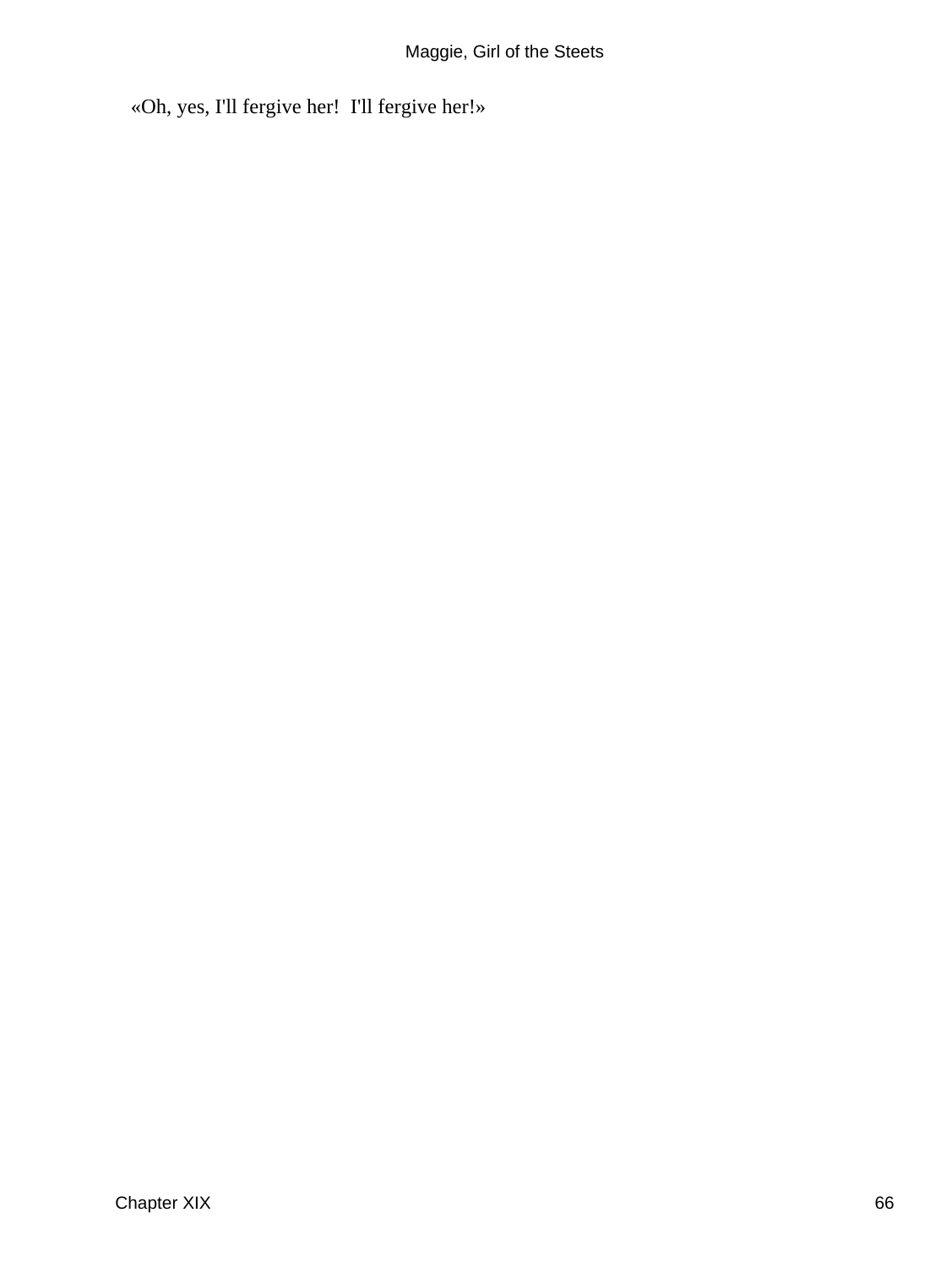«Oh, yes, I'll fergive her! I'll fergive her!»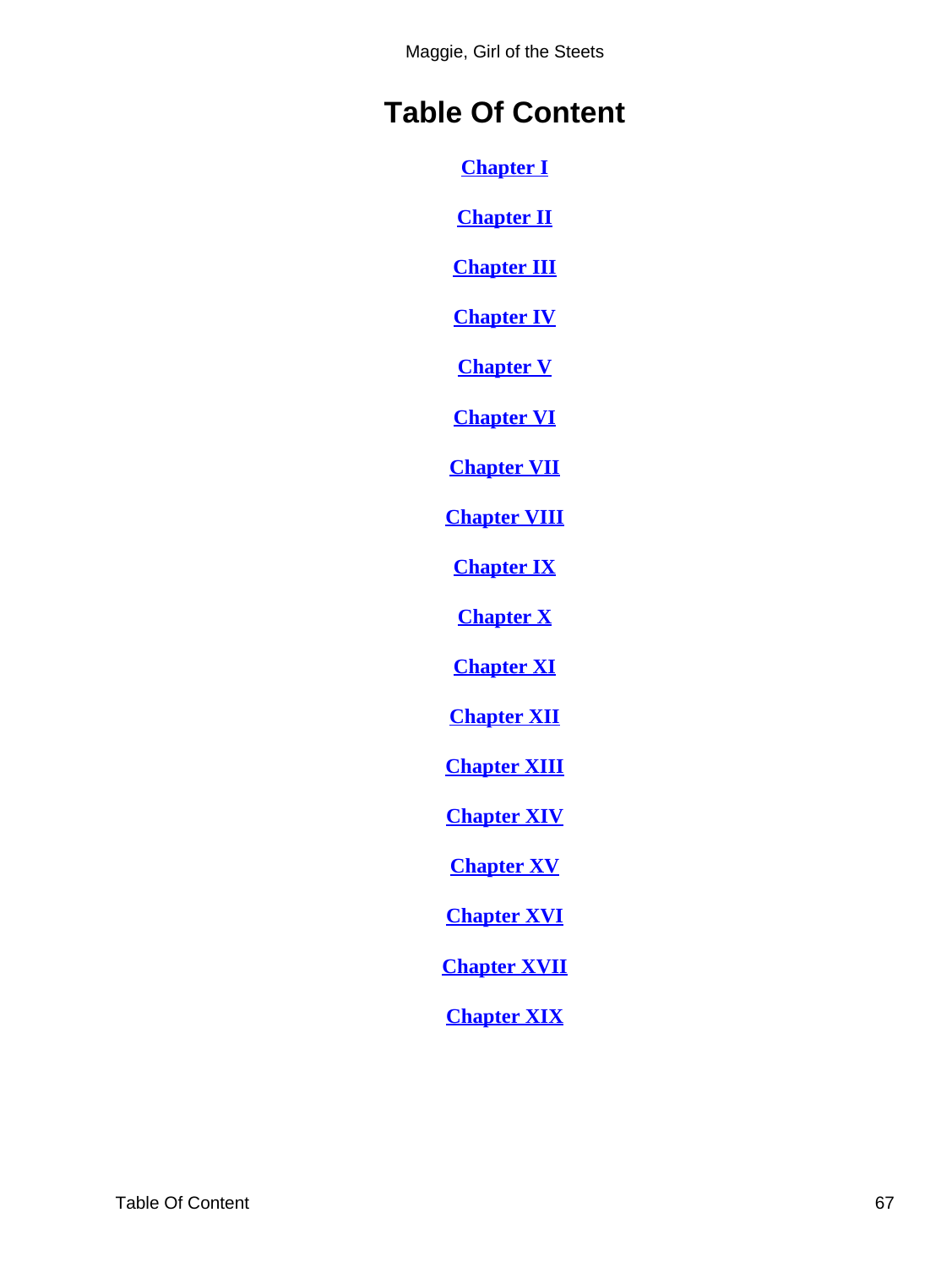Maggie, Girl of the Steets

# <span id="page-67-0"></span>**Table Of Content**

**[Chapter I](#page-3-0)**

**[Chapter II](#page-7-0)**

**[Chapter III](#page-12-0)**

**[Chapter IV](#page-16-0)**

**[Chapter V](#page-20-0)**

**[Chapter VI](#page-23-0)**

**[Chapter VII](#page-26-0)**

**[Chapter VIII](#page-30-0)**

**[Chapter IX](#page-32-0)**

**[Chapter X](#page-36-0)**

**[Chapter XI](#page-39-0)**

**[Chapter XII](#page-45-0)**

**[Chapter XIII](#page-47-0)**

**[Chapter XIV](#page-50-0)**

**[Chapter XV](#page-55-0)**

**[Chapter XVI](#page-58-0)**

**[Chapter XVII](#page-61-0)**

**[Chapter XIX](#page-64-0)**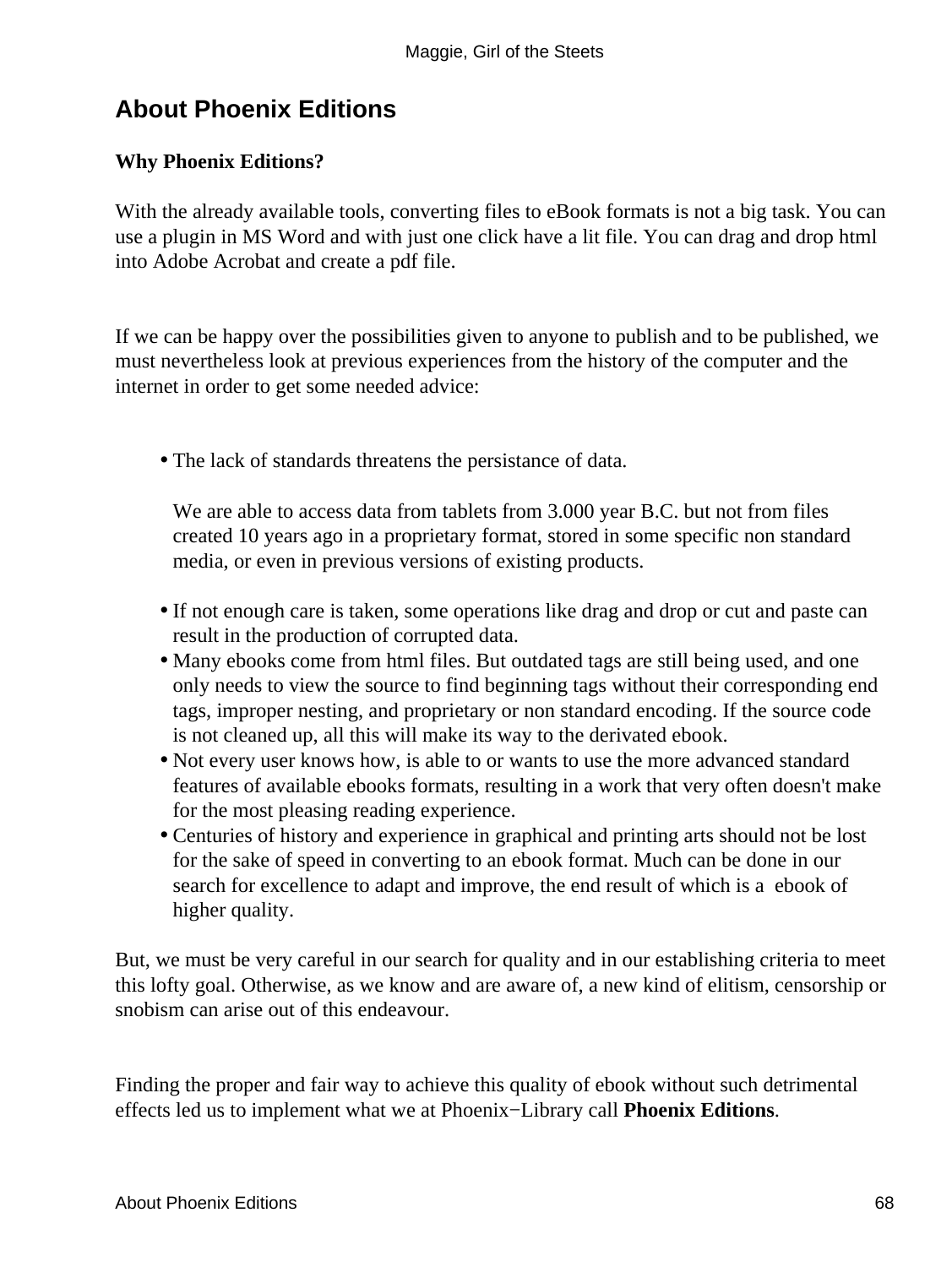# **About Phoenix Editions**

### **Why Phoenix Editions?**

With the already available tools, converting files to eBook formats is not a big task. You can use a plugin in MS Word and with just one click have a lit file. You can drag and drop html into Adobe Acrobat and create a pdf file.

If we can be happy over the possibilities given to anyone to publish and to be published, we must nevertheless look at previous experiences from the history of the computer and the internet in order to get some needed advice:

• The lack of standards threatens the persistance of data.

We are able to access data from tablets from 3.000 year B.C. but not from files created 10 years ago in a proprietary format, stored in some specific non standard media, or even in previous versions of existing products.

- If not enough care is taken, some operations like drag and drop or cut and paste can result in the production of corrupted data.
- Many ebooks come from html files. But outdated tags are still being used, and one only needs to view the source to find beginning tags without their corresponding end tags, improper nesting, and proprietary or non standard encoding. If the source code is not cleaned up, all this will make its way to the derivated ebook.
- Not every user knows how, is able to or wants to use the more advanced standard features of available ebooks formats, resulting in a work that very often doesn't make for the most pleasing reading experience.
- Centuries of history and experience in graphical and printing arts should not be lost for the sake of speed in converting to an ebook format. Much can be done in our search for excellence to adapt and improve, the end result of which is a ebook of higher quality.

But, we must be very careful in our search for quality and in our establishing criteria to meet this lofty goal. Otherwise, as we know and are aware of, a new kind of elitism, censorship or snobism can arise out of this endeavour.

Finding the proper and fair way to achieve this quality of ebook without such detrimental effects led us to implement what we at Phoenix−Library call **Phoenix Editions**.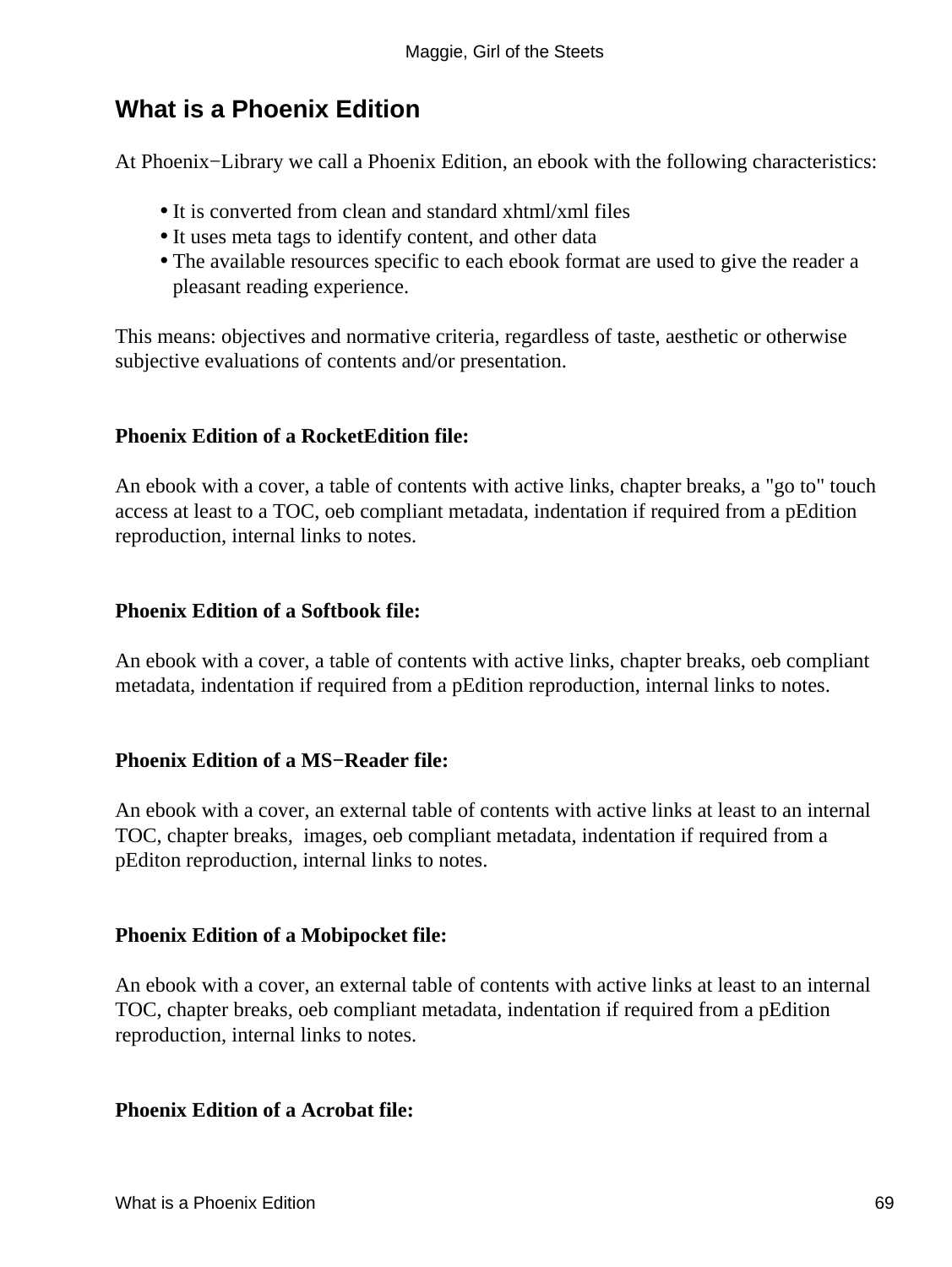### **What is a Phoenix Edition**

At Phoenix−Library we call a Phoenix Edition, an ebook with the following characteristics:

- It is converted from clean and standard xhtml/xml files
- It uses meta tags to identify content, and other data
- The available resources specific to each ebook format are used to give the reader a pleasant reading experience.

This means: objectives and normative criteria, regardless of taste, aesthetic or otherwise subjective evaluations of contents and/or presentation.

### **Phoenix Edition of a RocketEdition file:**

An ebook with a cover, a table of contents with active links, chapter breaks, a "go to" touch access at least to a TOC, oeb compliant metadata, indentation if required from a pEdition reproduction, internal links to notes.

### **Phoenix Edition of a Softbook file:**

An ebook with a cover, a table of contents with active links, chapter breaks, oeb compliant metadata, indentation if required from a pEdition reproduction, internal links to notes.

### **Phoenix Edition of a MS−Reader file:**

An ebook with a cover, an external table of contents with active links at least to an internal TOC, chapter breaks, images, oeb compliant metadata, indentation if required from a pEditon reproduction, internal links to notes.

### **Phoenix Edition of a Mobipocket file:**

An ebook with a cover, an external table of contents with active links at least to an internal TOC, chapter breaks, oeb compliant metadata, indentation if required from a pEdition reproduction, internal links to notes.

#### **Phoenix Edition of a Acrobat file:**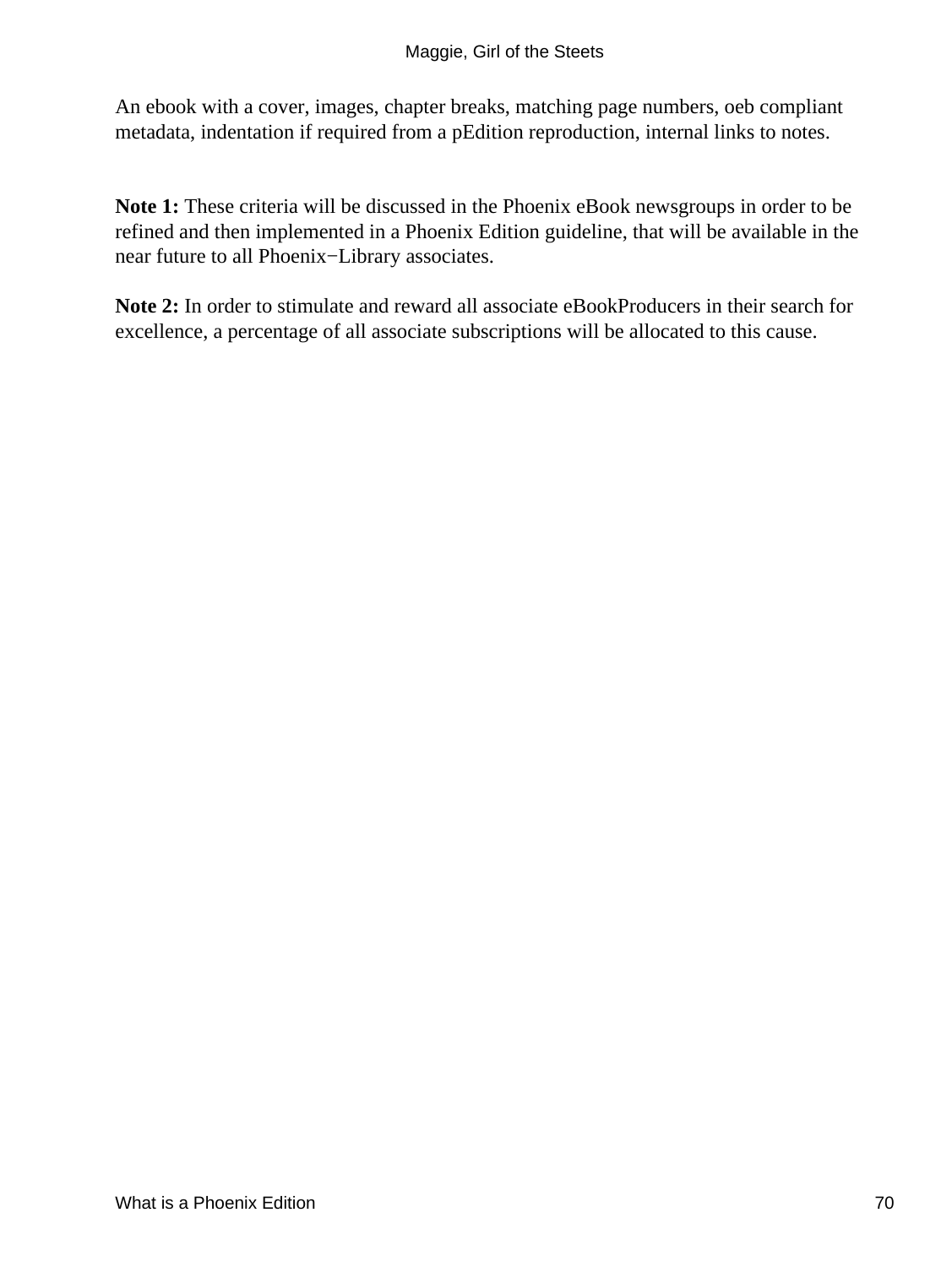An ebook with a cover, images, chapter breaks, matching page numbers, oeb compliant metadata, indentation if required from a pEdition reproduction, internal links to notes.

**Note 1:** These criteria will be discussed in the Phoenix eBook newsgroups in order to be refined and then implemented in a Phoenix Edition guideline, that will be available in the near future to all Phoenix−Library associates.

**Note 2:** In order to stimulate and reward all associate eBookProducers in their search for excellence, a percentage of all associate subscriptions will be allocated to this cause.